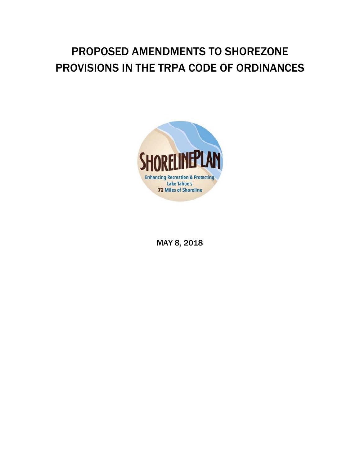## PROPOSED AMENDMENTS TO SHOREZONE PROVISIONS IN THE TRPA CODE OF ORDINANCES



MAY 8, 2018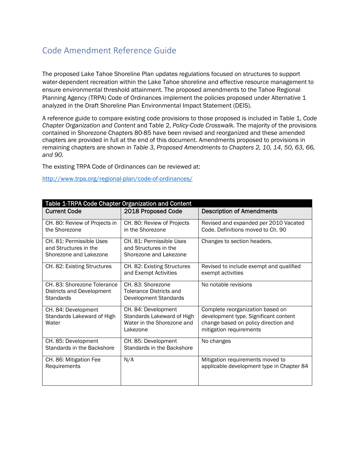### Code Amendment Reference Guide

The proposed Lake Tahoe Shoreline Plan updates regulations focused on structures to support water-dependent recreation within the Lake Tahoe shoreline and effective resource management to ensure environmental threshold attainment. The proposed amendments to the Tahoe Regional Planning Agency (TRPA) Code of Ordinances implement the policies proposed under Alternative 1 analyzed in the Draft Shoreline Plan Environmental Impact Statement (DEIS).

A reference guide to compare existing code provisions to those proposed is included in Table 1, *Code Chapter Organization and Content* and Table 2, *Policy-Code Crosswalk.* The majority of the provisions contained in Shorezone Chapters 80-85 have been revised and reorganized and these amended chapters are provided in full at the end of this document. Amendments proposed to provisions in remaining chapters are shown in *Table 3, Proposed Amendments to Chapters 2, 10, 14, 50, 63, 66, and 90.*

The existing TRPA Code of Ordinances can be reviewed at:

http://www.trpa.org/regional-plan/code-of-ordinances/

| Table 1-TRPA Code Chapter Organization and Content                           |                                                                                             |                                                                                                                                              |  |
|------------------------------------------------------------------------------|---------------------------------------------------------------------------------------------|----------------------------------------------------------------------------------------------------------------------------------------------|--|
| <b>Current Code</b>                                                          | 2018 Proposed Code                                                                          | <b>Description of Amendments</b>                                                                                                             |  |
| CH. 80: Review of Projects in<br>the Shorezone                               | CH. 80: Review of Projects<br>in the Shorezone                                              | Revised and expanded per 2010 Vacated<br>Code. Definitions moved to Ch. 90                                                                   |  |
| CH. 81: Permissible Uses<br>and Structures in the<br>Shorezone and Lakezone  | CH. 81: Permissible Uses<br>and Structures in the<br>Shorezone and Lakezone                 | Changes to section headers.                                                                                                                  |  |
| CH. 82: Existing Structures                                                  | CH. 82: Existing Structures<br>and Exempt Activities                                        | Revised to include exempt and qualified<br>exempt activities                                                                                 |  |
| CH. 83: Shorezone Tolerance<br>Districts and Development<br><b>Standards</b> | CH. 83: Shorezone<br><b>Tolerance Districts and</b><br><b>Development Standards</b>         | No notable revisions                                                                                                                         |  |
| CH. 84: Development<br>Standards Lakeward of High<br>Water                   | CH. 84: Development<br>Standards Lakeward of High<br>Water in the Shorezone and<br>Lakezone | Complete reorganization based on<br>development type. Significant content<br>change based on policy direction and<br>mitigation requirements |  |
| CH. 85: Development<br>Standards in the Backshore                            | CH. 85: Development<br>Standards in the Backshore                                           | No changes                                                                                                                                   |  |
| CH. 86: Mitigation Fee<br>Requirements                                       | N/A                                                                                         | Mitigation requirements moved to<br>applicable development type in Chapter 84                                                                |  |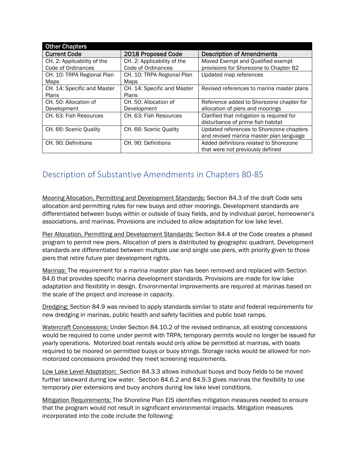| <b>Other Chapters</b>       |                             |                                           |
|-----------------------------|-----------------------------|-------------------------------------------|
| <b>Current Code</b>         | 2018 Proposed Code          | <b>Description of Amendments</b>          |
| CH. 2: Applicability of the | CH. 2: Applicability of the | Moved Exempt and Qualified exempt         |
| Code of Ordinances          | Code of Ordinances          | provisions for Shorezone to Chapter 82    |
| CH. 10: TRPA Regional Plan  | CH. 10: TRPA Regional Plan  | Updated map references                    |
| Maps                        | Maps                        |                                           |
| CH. 14: Specific and Master | CH. 14: Specific and Master | Revised references to marina master plans |
| Plans                       | Plans                       |                                           |
| CH. 50: Allocation of       | CH. 50: Allocation of       | Reference added to Shorezone chapter for  |
| Development                 | Development                 | allocation of piers and moorings          |
| CH. 63: Fish Resources      | CH. 63: Fish Resources      | Clarified that mitigation is required for |
|                             |                             | disturbance of prime fish habitat         |
| CH. 66: Scenic Quality      | CH. 66: Scenic Quality      | Updated references to Shorezone chapters  |
|                             |                             | and revised marina master plan language   |
| CH. 90: Definitions         | CH. 90: Definitions         | Added definitions related to Shorezone    |
|                             |                             | that were not previously defined          |

## Description of Substantive Amendments in Chapters 80‐85

Mooring Allocation, Permitting and Development Standards: Section 84.3 of the draft Code sets allocation and permitting rules for new buoys and other moorings. Development standards are differentiated between buoys within or outside of buoy fields, and by individual parcel, homeowner's associations, and marinas. Provisions are included to allow adaptation for low lake level.

Pier Allocation, Permitting and Development Standards: Section 84.4 of the Code creates a phased program to permit new piers. Allocation of piers is distributed by geographic quadrant. Development standards are differentiated between multiple use and single use piers, with priority given to those piers that retire future pier development rights.

Marinas: The requirement for a marina master plan has been removed and replaced with Section 84.6 that provides specific marina development standards. Provisions are made for low lake adaptation and flexibility in design. Environmental improvements are required at marinas based on the scale of the project and increase in capacity.

Dredging: Section 84.9 was revised to apply standards similar to state and federal requirements for new dredging in marinas, public health and safety facilities and public boat ramps.

Watercraft Concessions: Under Section 84.10.2 of the revised ordinance, all existing concessions would be required to come under permit with TRPA; temporary permits would no longer be issued for yearly operations. Motorized boat rentals would only allow be permitted at marinas, with boats required to be moored on permitted buoys or buoy strings. Storage racks would be allowed for nonmotorized concessions provided they meet screening requirements.

Low Lake Level Adaptation: Section 84.3.3 allows individual buoys and buoy fields to be moved further lakeward during low water. Section 84.6.2 and 84.9.3 gives marinas the flexibility to use temporary pier extensions and buoy anchors during low lake level conditions.

Mitigation Requirements: The Shoreline Plan EIS identifies mitigation measures needed to ensure that the program would not result in significant environmental impacts. Mitigation measures incorporated into the code include the following: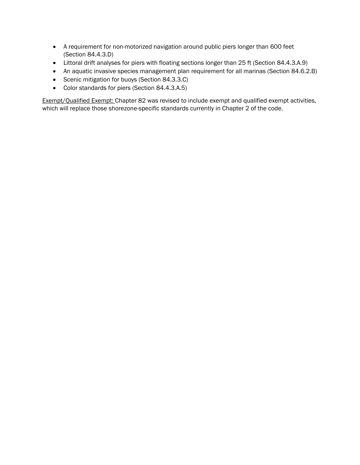- A requirement for non-motorized navigation around public piers longer than 600 feet (Section 84.4.3.D)
- Littoral drift analyses for piers with floating sections longer than 25 ft (Section 84.4.3.A.9)
- An aquatic invasive species management plan requirement for all marinas (Section 84.6.2.B)
- Scenic mitigation for buoys (Section 84.3.3.C)
- Color standards for piers (Section 84.4.3.A.5)

Exempt/Qualified Exempt: Chapter 82 was revised to include exempt and qualified exempt activities, which will replace those shorezone-specific standards currently in Chapter 2 of the code.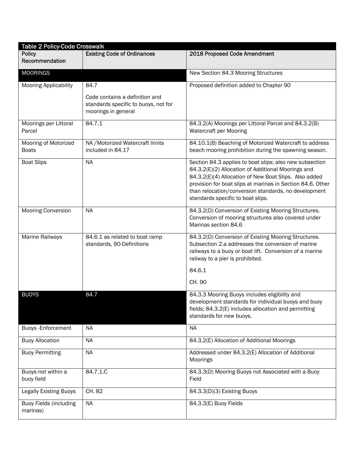| <b>Table 2 Policy-Code Crosswalk</b>      |                                                                                                       |                                                                                                                                                                                                                                                                                                                                   |  |
|-------------------------------------------|-------------------------------------------------------------------------------------------------------|-----------------------------------------------------------------------------------------------------------------------------------------------------------------------------------------------------------------------------------------------------------------------------------------------------------------------------------|--|
| <b>Policy</b><br>Recommendation           | <b>Existing Code of Ordinances</b>                                                                    | 2018 Proposed Code Amendment                                                                                                                                                                                                                                                                                                      |  |
| <b>MOORINGS</b>                           |                                                                                                       | New Section 84.3 Mooring Structures                                                                                                                                                                                                                                                                                               |  |
| <b>Mooring Applicability</b>              | 84.7<br>Code contains a definition and<br>standards specific to buoys, not for<br>moorings in general | Proposed definition added to Chapter 90                                                                                                                                                                                                                                                                                           |  |
| Moorings per Littoral<br>Parcel           | 84.7.1                                                                                                | 84.3.2(A) Moorings per Littoral Parcel and 84.3.2(B)<br>Watercraft per Mooring                                                                                                                                                                                                                                                    |  |
| Mooring of Motorized<br><b>Boats</b>      | NA / Motorized Watercraft limits<br>included in 84.17                                                 | 84.10.1(B) Beaching of Motorized Watercraft to address<br>beach mooring prohibition during the spawning season.                                                                                                                                                                                                                   |  |
| <b>Boat Slips</b>                         | <b>NA</b>                                                                                             | Section 84.3 applies to boat slips; also new subsection<br>84.3.2(E)(2) Allocation of Additional Moorings and<br>84.3.2(E)(4) Allocation of New Boat Slips. Also added<br>provision for boat slips at marinas in Section 84.6. Other<br>than relocation/conversion standards, no development<br>standards specific to boat slips. |  |
| Mooring Conversion                        | <b>NA</b>                                                                                             | 84.3.2(D) Conversion of Existing Mooring Structures.<br>Conversion of mooring structures also covered under<br>Marinas section 84.6                                                                                                                                                                                               |  |
| Marine Railways                           | 84.6.1 as related to boat ramp<br>standards, 90-Definitions                                           | 84.3.2(D) Conversion of Existing Mooring Structures.<br>Subsection 2.a addresses the conversion of marine<br>railways to a buoy or boat lift. Conversion of a marine<br>railway to a pier is prohibited.                                                                                                                          |  |
|                                           |                                                                                                       | 84.6.1<br>CH. 90                                                                                                                                                                                                                                                                                                                  |  |
| <b>BUOYS</b>                              | 84.7                                                                                                  | 84.3.3 Mooring Buoys includes eligibility and<br>development standards for individual buoys and buoy<br>fields; 84.3.2(E) includes allocation and permitting<br>standards for new buoys.                                                                                                                                          |  |
| Buoys - Enforcement                       | <b>NA</b>                                                                                             | <b>NA</b>                                                                                                                                                                                                                                                                                                                         |  |
| <b>Buoy Allocation</b>                    | <b>NA</b>                                                                                             | 84.3.2(E) Allocation of Additional Moorings                                                                                                                                                                                                                                                                                       |  |
| <b>Buoy Permitting</b>                    | <b>NA</b>                                                                                             | Addressed under 84.3.2(E) Allocation of Additional<br>Moorings                                                                                                                                                                                                                                                                    |  |
| Buoys not within a<br>buoy field          | 84.7.1.C                                                                                              | 84.3.3(D) Mooring Buoys not Associated with a Buoy<br>Field                                                                                                                                                                                                                                                                       |  |
| <b>Legally Existing Buoys</b>             | CH. 82                                                                                                | 84.3.3(D)(3) Existing Buoys                                                                                                                                                                                                                                                                                                       |  |
| <b>Buoy Fields (including</b><br>marinas) | <b>NA</b>                                                                                             | 84.3.3(E) Buoy Fields                                                                                                                                                                                                                                                                                                             |  |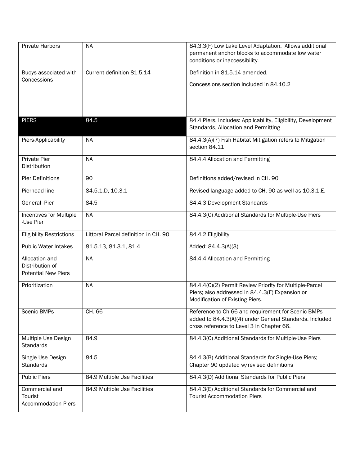| <b>Private Harbors</b>                                          | <b>NA</b>                            | 84.3.3(F) Low Lake Level Adaptation. Allows additional<br>permanent anchor blocks to accommodate low water<br>conditions or inaccessibility.               |
|-----------------------------------------------------------------|--------------------------------------|------------------------------------------------------------------------------------------------------------------------------------------------------------|
| Buoys associated with                                           | Current definition 81.5.14           | Definition in 81.5.14 amended.                                                                                                                             |
| Concessions                                                     |                                      | Concessions section included in 84.10.2                                                                                                                    |
| <b>PIERS</b>                                                    | 84.5                                 | 84.4 Piers. Includes: Applicability, Eligibility, Development<br>Standards, Allocation and Permitting                                                      |
| Piers-Applicability                                             | <b>NA</b>                            | 84.4.3(A)(7) Fish Habitat Mitigation refers to Mitigation<br>section 84.11                                                                                 |
| <b>Private Pier</b><br>Distribution                             | <b>NA</b>                            | 84.4.4 Allocation and Permitting                                                                                                                           |
| <b>Pier Definitions</b>                                         | 90                                   | Definitions added/revised in CH. 90                                                                                                                        |
| Pierhead line                                                   | 84.5.1.D, 10.3.1                     | Revised language added to CH. 90 as well as 10.3.1.E.                                                                                                      |
| General -Pier                                                   | 84.5                                 | 84.4.3 Development Standards                                                                                                                               |
| Incentives for Multiple<br>-Use Pier                            | <b>NA</b>                            | 84.4.3(C) Additional Standards for Multiple-Use Piers                                                                                                      |
| <b>Eligibility Restrictions</b>                                 | Littoral Parcel definition in CH. 90 | 84.4.2 Eligibility                                                                                                                                         |
| <b>Public Water Intakes</b>                                     | 81.5.13, 81.3.1, 81.4                | Added: 84.4.3(A)(3)                                                                                                                                        |
| Allocation and<br>Distribution of<br><b>Potential New Piers</b> | <b>NA</b>                            | 84.4.4 Allocation and Permitting                                                                                                                           |
| Prioritization                                                  | <b>NA</b>                            | 84.4.4(C)(2) Permit Review Priority for Multiple-Parcel<br>Piers; also addressed in 84.4.3(F) Expansion or<br>Modification of Existing Piers.              |
| Scenic BMPs                                                     | CH. 66                               | Reference to Ch 66 and requirement for Scenic BMPs<br>added to 84.4.3(A)(4) under General Standards. Included<br>cross reference to Level 3 in Chapter 66. |
| Multiple Use Design<br><b>Standards</b>                         | 84.9                                 | 84.4.3(C) Additional Standards for Multiple-Use Piers                                                                                                      |
| Single Use Design<br><b>Standards</b>                           | 84.5                                 | 84.4.3(B) Additional Standards for Single-Use Piers;<br>Chapter 90 updated w/revised definitions                                                           |
| <b>Public Piers</b>                                             | 84.9 Multiple Use Facilities         | 84.4.3(D) Additional Standards for Public Piers                                                                                                            |
| Commercial and<br>Tourist<br><b>Accommodation Piers</b>         | 84.9 Multiple Use Facilities         | 84.4.3(E) Additional Standards for Commercial and<br><b>Tourist Accommodation Piers</b>                                                                    |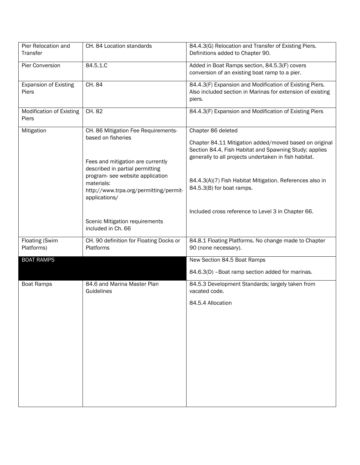| Pier Relocation and<br>Transfer          | CH. 84 Location standards                                                                                                         | 84.4.3(G) Relocation and Transfer of Existing Piers.<br>Definitions added to Chapter 90.                                                                                                        |
|------------------------------------------|-----------------------------------------------------------------------------------------------------------------------------------|-------------------------------------------------------------------------------------------------------------------------------------------------------------------------------------------------|
| Pier Conversion                          | $84.5.1.\overline{C}$                                                                                                             | Added in Boat Ramps section, 84.5.3(F) covers<br>conversion of an existing boat ramp to a pier.                                                                                                 |
| <b>Expansion of Existing</b><br>Piers    | CH. 84                                                                                                                            | 84.4.3(F) Expansion and Modification of Existing Piers.<br>Also included section in Marinas for extension of existing<br>piers.                                                                 |
| <b>Modification of Existing</b><br>Piers | CH. 82                                                                                                                            | 84.4.3(F) Expansion and Modification of Existing Piers                                                                                                                                          |
| Mitigation                               | CH. 86 Mitigation Fee Requirements-<br>based on fisheries<br>Fees and mitigation are currently<br>described in partial permitting | Chapter 86 deleted<br>Chapter 84.11 Mitigation added/moved based on original<br>Section 84.4, Fish Habitat and Spawning Study; applies<br>generally to all projects undertaken in fish habitat. |
|                                          | program- see website application<br>materials:<br>http://www.trpa.org/permitting/permit-<br>applications/                         | 84.4.3(A)(7) Fish Habitat Mitigation. References also in<br>84.5.3(B) for boat ramps.                                                                                                           |
|                                          | Scenic Mitigation requirements<br>included in Ch. 66                                                                              | Included cross reference to Level 3 in Chapter 66.                                                                                                                                              |
| <b>Floating (Swim</b><br>Platforms)      | CH. 90 definition for Floating Docks or<br>Platforms                                                                              | 84.8.1 Floating Platforms. No change made to Chapter<br>90 (none necessary).                                                                                                                    |
| <b>BOAT RAMPS</b>                        |                                                                                                                                   | New Section 84.5 Boat Ramps                                                                                                                                                                     |
|                                          |                                                                                                                                   | 84.6.3(D) - Boat ramp section added for marinas.                                                                                                                                                |
| <b>Boat Ramps</b>                        | 84.6 and Marina Master Plan<br>Guidelines                                                                                         | 84.5.3 Development Standards; largely taken from<br>vacated code.                                                                                                                               |
|                                          |                                                                                                                                   | 84.5.4 Allocation                                                                                                                                                                               |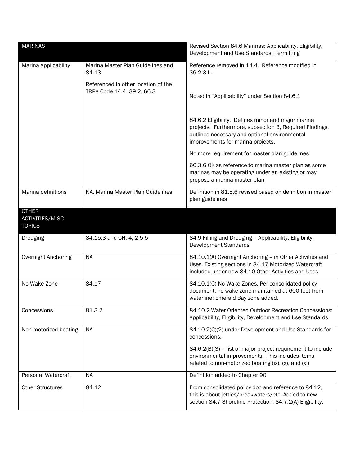| <b>MARINAS</b>                                          |                                                                   | Revised Section 84.6 Marinas: Applicability, Eligibility,<br>Development and Use Standards, Permitting                                                                                              |
|---------------------------------------------------------|-------------------------------------------------------------------|-----------------------------------------------------------------------------------------------------------------------------------------------------------------------------------------------------|
| Marina applicability                                    | Marina Master Plan Guidelines and<br>84.13                        | Reference removed in 14.4. Reference modified in<br>39.2.3.L.                                                                                                                                       |
|                                                         | Referenced in other location of the<br>TRPA Code 14.4, 39.2, 66.3 | Noted in "Applicability" under Section 84.6.1                                                                                                                                                       |
|                                                         |                                                                   | 84.6.2 Eligibility. Defines minor and major marina<br>projects. Furthermore, subsection B, Required Findings,<br>outlines necessary and optional environmental<br>improvements for marina projects. |
|                                                         |                                                                   | No more requirement for master plan guidelines.                                                                                                                                                     |
|                                                         |                                                                   | 66.3.6 Ok as reference to marina master plan as some<br>marinas may be operating under an existing or may<br>propose a marina master plan                                                           |
| Marina definitions                                      | NA, Marina Master Plan Guidelines                                 | Definition in 81.5.6 revised based on definition in master<br>plan guidelines                                                                                                                       |
| <b>OTHER</b><br><b>ACTIVITIES/MISC</b><br><b>TOPICS</b> |                                                                   |                                                                                                                                                                                                     |
| Dredging                                                | 84.15.3 and CH. 4, 2-5-5                                          | 84.9 Filling and Dredging - Applicability, Eligibility,<br><b>Development Standards</b>                                                                                                             |
| Overnight Anchoring                                     | <b>NA</b>                                                         | 84.10.1(A) Overnight Anchoring - in Other Activities and<br>Uses. Existing sections in 84.17 Motorized Watercraft<br>included under new 84.10 Other Activities and Uses                             |
| No Wake Zone                                            | 84.17                                                             | 84.10.1(C) No Wake Zones. Per consolidated policy<br>document, no wake zone maintained at 600 feet from<br>waterline; Emerald Bay zone added.                                                       |
| Concessions                                             | 81.3.2                                                            | 84.10.2 Water Oriented Outdoor Recreation Concessions:<br>Applicability, Eligibility, Development and Use Standards                                                                                 |
| Non-motorized boating                                   | <b>NA</b>                                                         | 84.10.2(C)(2) under Development and Use Standards for<br>concessions.                                                                                                                               |
|                                                         |                                                                   | 84.6.2(B)(3) - list of major project requirement to include<br>environmental improvements. This includes items<br>related to non-motorized boating (ix), (x), and (xi)                              |
| <b>Personal Watercraft</b>                              | <b>NA</b>                                                         | Definition added to Chapter 90                                                                                                                                                                      |
| <b>Other Structures</b>                                 | 84.12                                                             | From consolidated policy doc and reference to 84.12,<br>this is about jetties/breakwaters/etc. Added to new<br>section 84.7 Shoreline Protection: 84.7.2(A) Eligibility.                            |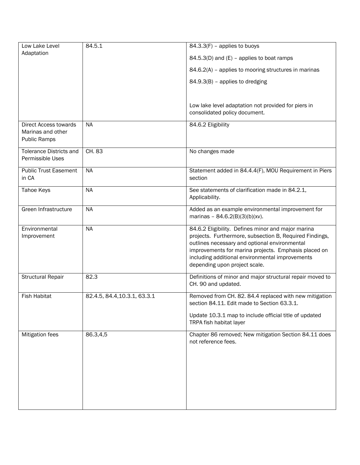| Low Lake Level                                                           | 84.5.1                       | $84.3.3(F)$ - applies to buoys                                                                                                                                                                                                                                                                             |
|--------------------------------------------------------------------------|------------------------------|------------------------------------------------------------------------------------------------------------------------------------------------------------------------------------------------------------------------------------------------------------------------------------------------------------|
| Adaptation                                                               |                              | 84.5.3(D) and (E) - applies to boat ramps                                                                                                                                                                                                                                                                  |
|                                                                          |                              | 84.6.2(A) - applies to mooring structures in marinas                                                                                                                                                                                                                                                       |
|                                                                          |                              | 84.9.3(B) - applies to dredging                                                                                                                                                                                                                                                                            |
|                                                                          |                              |                                                                                                                                                                                                                                                                                                            |
|                                                                          |                              | Low lake level adaptation not provided for piers in<br>consolidated policy document.                                                                                                                                                                                                                       |
| <b>Direct Access towards</b><br>Marinas and other<br><b>Public Ramps</b> | <b>NA</b>                    | 84.6.2 Eligibility                                                                                                                                                                                                                                                                                         |
| <b>Tolerance Districts and</b><br>Permissible Uses                       | CH. 83                       | No changes made                                                                                                                                                                                                                                                                                            |
| <b>Public Trust Easement</b><br>in CA                                    | <b>NA</b>                    | Statement added in 84.4.4(F), MOU Requirement in Piers<br>section                                                                                                                                                                                                                                          |
| Tahoe Keys                                                               | <b>NA</b>                    | See statements of clarification made in 84.2.1,<br>Applicability.                                                                                                                                                                                                                                          |
| Green Infrastructure                                                     | <b>NA</b>                    | Added as an example environmental improvement for<br>marinas - $84.6.2(B)(3)(b)(xv)$ .                                                                                                                                                                                                                     |
| Environmental<br>Improvement                                             | <b>NA</b>                    | 84.6.2 Eligibility. Defines minor and major marina<br>projects. Furthermore, subsection B, Required Findings,<br>outlines necessary and optional environmental<br>improvements for marina projects. Emphasis placed on<br>including additional environmental improvements<br>depending upon project scale. |
| <b>Structural Repair</b>                                                 | 82.3                         | Definitions of minor and major structural repair moved to<br>CH. 90 and updated.                                                                                                                                                                                                                           |
| <b>Fish Habitat</b>                                                      | 82.4.5, 84.4, 10.3.1, 63.3.1 | Removed from CH. 82. 84.4 replaced with new mitigation<br>section 84.11. Edit made to Section 63.3.1.                                                                                                                                                                                                      |
|                                                                          |                              | Update 10.3.1 map to include official title of updated<br>TRPA fish habitat layer                                                                                                                                                                                                                          |
| Mitigation fees                                                          | 86.3,4,5                     | Chapter 86 removed; New mitigation Section 84.11 does<br>not reference fees.                                                                                                                                                                                                                               |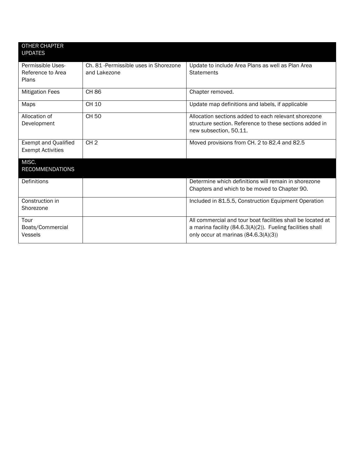| <b>OTHER CHAPTER</b><br><b>UPDATES</b>           |                                                        |                                                                                                                                                                   |
|--------------------------------------------------|--------------------------------------------------------|-------------------------------------------------------------------------------------------------------------------------------------------------------------------|
| Permissible Uses-<br>Reference to Area<br>Plans  | Ch. 81 - Permissible uses in Shorezone<br>and Lakezone | Update to include Area Plans as well as Plan Area<br><b>Statements</b>                                                                                            |
| <b>Mitigation Fees</b>                           | <b>CH 86</b>                                           | Chapter removed.                                                                                                                                                  |
| Maps                                             | CH 10                                                  | Update map definitions and labels, if applicable                                                                                                                  |
| Allocation of<br>Development                     | <b>CH 50</b>                                           | Allocation sections added to each relevant shorezone<br>structure section. Reference to these sections added in<br>new subsection, 50.11.                         |
| Exempt and Qualified<br><b>Exempt Activities</b> | CH <sub>2</sub>                                        | Moved provisions from CH. 2 to 82.4 and 82.5                                                                                                                      |
| MISC.<br><b>RECOMMENDATIONS</b>                  |                                                        |                                                                                                                                                                   |
| Definitions                                      |                                                        | Determine which definitions will remain in shorezone<br>Chapters and which to be moved to Chapter 90.                                                             |
| Construction in<br>Shorezone                     |                                                        | Included in 81.5.5, Construction Equipment Operation                                                                                                              |
| Tour<br>Boats/Commercial<br>Vessels              |                                                        | All commercial and tour boat facilities shall be located at<br>a marina facility (84.6.3(A)(2)). Fueling facilities shall<br>only occur at marinas (84.6.3(A)(3)) |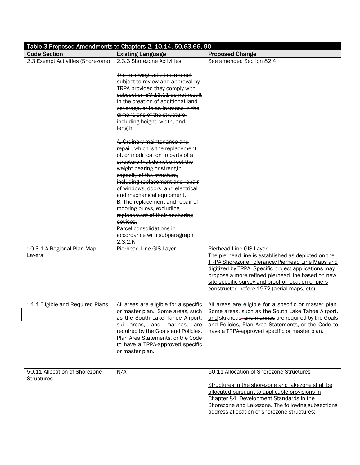| Table 3-Proposed Amendments to Chapters 2, 10,14, 50,63,66, 90 |                                                                                                                                                                                                                                                                                                                                                                                                                                                                                                                                                                                                                                                                                                                                                                                                               |                                                                                                                                                                                                                                                                                                                                                             |  |
|----------------------------------------------------------------|---------------------------------------------------------------------------------------------------------------------------------------------------------------------------------------------------------------------------------------------------------------------------------------------------------------------------------------------------------------------------------------------------------------------------------------------------------------------------------------------------------------------------------------------------------------------------------------------------------------------------------------------------------------------------------------------------------------------------------------------------------------------------------------------------------------|-------------------------------------------------------------------------------------------------------------------------------------------------------------------------------------------------------------------------------------------------------------------------------------------------------------------------------------------------------------|--|
| <b>Code Section</b>                                            | <b>Existing Language</b>                                                                                                                                                                                                                                                                                                                                                                                                                                                                                                                                                                                                                                                                                                                                                                                      | <b>Proposed Change</b>                                                                                                                                                                                                                                                                                                                                      |  |
| 2.3 Exempt Activities (Shorezone)                              | 2.3.3 Shorezone Activities                                                                                                                                                                                                                                                                                                                                                                                                                                                                                                                                                                                                                                                                                                                                                                                    | See amended Section 82.4                                                                                                                                                                                                                                                                                                                                    |  |
|                                                                | The following activities are not<br>subject to review and approval by<br><b>TRPA provided they comply with</b><br>subsection 83.11.11 do not result<br>in the creation of additional land<br>coverage, or in an increase in the<br>dimensions of the structure,<br>including height, width, and<br>length.<br>A. Ordinary maintenance and<br>repair, which is the replacement<br>of, or modification to parts of a<br>structure that do not affect the<br>weight bearing or strength<br>capacity of the structure,<br>including replacement and repair<br>of windows, doors, and electrical<br>and mechanical equipment.<br>B. The replacement and repair of<br>mooring buoys, excluding<br>replacement of their anchoring<br>devices.<br>Parcel consolidations in<br>accordance with subparagraph<br>2.3.2.K |                                                                                                                                                                                                                                                                                                                                                             |  |
| 10.3.1.A Regional Plan Map<br>Layers                           | Pierhead Line GIS Layer                                                                                                                                                                                                                                                                                                                                                                                                                                                                                                                                                                                                                                                                                                                                                                                       | Pierhead Line GIS Layer<br>The pierhead line is established as depicted on the<br><b>TRPA Shorezone Tolerance/Pierhead Line Maps and</b><br>digitized by TRPA. Specific project applications may<br>propose a more refined pierhead line based on new<br>site-specific survey and proof of location of piers<br>constructed before 1972 (aerial maps, etc). |  |
| 14.4 Eligible and Required Plans                               | or master plan. Some areas, such<br>as the South Lake Tahoe Airport,<br>ski areas, and marinas, are<br>required by the Goals and Policies,<br>Plan Area Statements, or the Code<br>to have a TRPA-approved specific<br>or master plan.                                                                                                                                                                                                                                                                                                                                                                                                                                                                                                                                                                        | All areas are eligible for a specific   All areas are eligible for a specific or master plan.<br>Some areas, such as the South Lake Tahoe Airport,<br>and ski areas, and marinas are required by the Goals<br>and Policies, Plan Area Statements, or the Code to<br>have a TRPA-approved specific or master plan.                                           |  |
| 50.11 Allocation of Shorezone<br><b>Structures</b>             | N/A                                                                                                                                                                                                                                                                                                                                                                                                                                                                                                                                                                                                                                                                                                                                                                                                           | 50.11 Allocation of Shorezone Structures<br>Structures in the shorezone and lakezone shall be<br>allocated pursuant to applicable provisions in<br>Chapter 84, Development Standards in the<br>Shorezone and Lakezone. The following subsections<br>address allocation of shorezone structures:                                                             |  |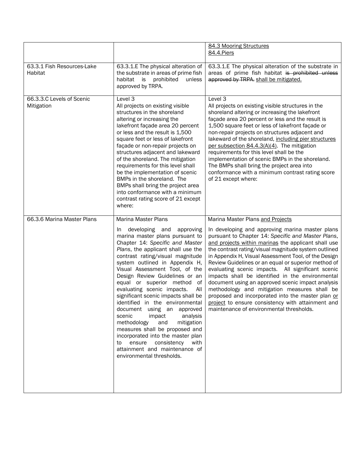|                                         |                                                                                                                                                                                                                                                                                                                                                                                                                                                                                                                                                                                                                                                                                                                         | 84.3 Mooring Structures<br>84.4.Piers                                                                                                                                                                                                                                                                                                                                                                                                                                                                                                                                                                                                                                                                   |
|-----------------------------------------|-------------------------------------------------------------------------------------------------------------------------------------------------------------------------------------------------------------------------------------------------------------------------------------------------------------------------------------------------------------------------------------------------------------------------------------------------------------------------------------------------------------------------------------------------------------------------------------------------------------------------------------------------------------------------------------------------------------------------|---------------------------------------------------------------------------------------------------------------------------------------------------------------------------------------------------------------------------------------------------------------------------------------------------------------------------------------------------------------------------------------------------------------------------------------------------------------------------------------------------------------------------------------------------------------------------------------------------------------------------------------------------------------------------------------------------------|
| 63.3.1 Fish Resources-Lake<br>Habitat   | 63.3.1.E The physical alteration of<br>the substrate in areas of prime fish<br>habitat<br>is<br>prohibited<br>unless<br>approved by TRPA.                                                                                                                                                                                                                                                                                                                                                                                                                                                                                                                                                                               | 63.3.1.E The physical alteration of the substrate in<br>areas of prime fish habitat is prohibited unless<br>approved by TRPA. shall be mitigated.                                                                                                                                                                                                                                                                                                                                                                                                                                                                                                                                                       |
| 66.3.3.C Levels of Scenic<br>Mitigation | Level 3<br>All projects on existing visible<br>structures in the shoreland<br>altering or increasing the<br>lakefront façade area 20 percent<br>or less and the result is 1,500<br>square feet or less of lakefront<br>façade or non-repair projects on<br>structures adjacent and lakeward<br>of the shoreland. The mitigation<br>requirements for this level shall<br>be the implementation of scenic<br>BMPs in the shoreland. The<br>BMPs shall bring the project area<br>into conformance with a minimum<br>contrast rating score of 21 except<br>where:                                                                                                                                                           | Level 3<br>All projects on existing visible structures in the<br>shoreland altering or increasing the lakefront<br>façade area 20 percent or less and the result is<br>1,500 square feet or less of lakefront façade or<br>non-repair projects on structures adjacent and<br>lakeward of the shoreland, including pier structures<br>per subsection 84.4.3(A)(4). The mitigation<br>requirements for this level shall be the<br>implementation of scenic BMPs in the shoreland.<br>The BMPs shall bring the project area into<br>conformance with a minimum contrast rating score<br>of 21 except where:                                                                                                |
| 66.3.6 Marina Master Plans              | <b>Marina Master Plans</b>                                                                                                                                                                                                                                                                                                                                                                                                                                                                                                                                                                                                                                                                                              | Marina Master Plans and Projects                                                                                                                                                                                                                                                                                                                                                                                                                                                                                                                                                                                                                                                                        |
|                                         | developing and<br>approving<br>In.<br>marina master plans pursuant to<br>Chapter 14: Specific and Master<br>Plans, the applicant shall use the<br>contrast rating/visual magnitude<br>system outlined in Appendix H,<br>Visual Assessment Tool, of the<br>Design Review Guidelines or an<br>equal or superior method<br>of<br>evaluating scenic impacts.<br>All<br>significant scenic impacts shall be<br>identified in the environmental<br>document using an approved<br>impact<br>scenic<br>analysis<br>methodology<br>and<br>mitigation<br>measures shall be proposed and<br>incorporated into the master plan<br>ensure<br>consistency<br>with<br>to<br>attainment and maintenance of<br>environmental thresholds. | In developing and approving marina master plans<br>pursuant to Chapter 14: Specific and Master Plans,<br>and projects within marinas the applicant shall use<br>the contrast rating/visual magnitude system outlined<br>in Appendix H, Visual Assessment Tool, of the Design<br>Review Guidelines or an equal or superior method of<br>evaluating scenic impacts. All significant scenic<br>impacts shall be identified in the environmental<br>document using an approved scenic impact analysis<br>methodology and mitigation measures shall be<br>proposed and incorporated into the master plan or<br>project to ensure consistency with attainment and<br>maintenance of environmental thresholds. |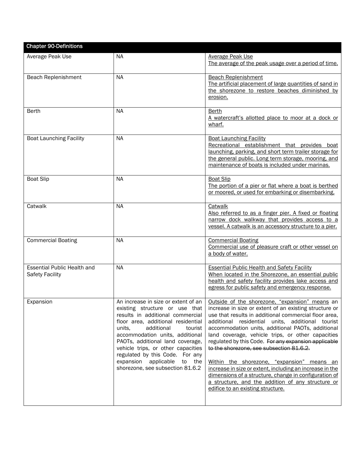| <b>Chapter 90-Definitions</b>                                |                                                                                                                                                                                                                                                                                                                                                                                                          |                                                                                                                                                                                                                                                                                                                                                                                                                                                                                                                                                                                                                                                                                                  |
|--------------------------------------------------------------|----------------------------------------------------------------------------------------------------------------------------------------------------------------------------------------------------------------------------------------------------------------------------------------------------------------------------------------------------------------------------------------------------------|--------------------------------------------------------------------------------------------------------------------------------------------------------------------------------------------------------------------------------------------------------------------------------------------------------------------------------------------------------------------------------------------------------------------------------------------------------------------------------------------------------------------------------------------------------------------------------------------------------------------------------------------------------------------------------------------------|
| Average Peak Use                                             | <b>NA</b>                                                                                                                                                                                                                                                                                                                                                                                                | <b>Average Peak Use</b><br>The average of the peak usage over a period of time.                                                                                                                                                                                                                                                                                                                                                                                                                                                                                                                                                                                                                  |
| Beach Replenishment                                          | <b>NA</b>                                                                                                                                                                                                                                                                                                                                                                                                | <b>Beach Replenishment</b><br>The artificial placement of large quantities of sand in<br>the shorezone to restore beaches diminished by<br>erosion.                                                                                                                                                                                                                                                                                                                                                                                                                                                                                                                                              |
| <b>Berth</b>                                                 | <b>NA</b>                                                                                                                                                                                                                                                                                                                                                                                                | Berth<br>A watercraft's allotted place to moor at a dock or<br>wharf.                                                                                                                                                                                                                                                                                                                                                                                                                                                                                                                                                                                                                            |
| <b>Boat Launching Facility</b>                               | <b>NA</b>                                                                                                                                                                                                                                                                                                                                                                                                | <b>Boat Launching Facility</b><br>Recreational establishment that provides boat<br>launching, parking, and short term trailer storage for<br>the general public. Long term storage, mooring, and<br>maintenance of boats is included under marinas.                                                                                                                                                                                                                                                                                                                                                                                                                                              |
| <b>Boat Slip</b>                                             | <b>NA</b>                                                                                                                                                                                                                                                                                                                                                                                                | <b>Boat Slip</b><br>The portion of a pier or flat where a boat is berthed<br>or moored, or used for embarking or disembarking.                                                                                                                                                                                                                                                                                                                                                                                                                                                                                                                                                                   |
| Catwalk                                                      | <b>NA</b>                                                                                                                                                                                                                                                                                                                                                                                                | Catwalk<br>Also referred to as a finger pier. A fixed or floating<br>narrow dock walkway that provides access to a<br>vessel. A catwalk is an accessory structure to a pier.                                                                                                                                                                                                                                                                                                                                                                                                                                                                                                                     |
| <b>Commercial Boating</b>                                    | <b>NA</b>                                                                                                                                                                                                                                                                                                                                                                                                | <b>Commercial Boating</b><br>Commercial use of pleasure craft or other vessel on<br>a body of water.                                                                                                                                                                                                                                                                                                                                                                                                                                                                                                                                                                                             |
| <b>Essential Public Health and</b><br><b>Safety Facility</b> | <b>NA</b>                                                                                                                                                                                                                                                                                                                                                                                                | <b>Essential Public Health and Safety Facility</b><br>When located in the Shorezone, an essential public<br>health and safety facility provides lake access and<br>egress for public safety and emergency response.                                                                                                                                                                                                                                                                                                                                                                                                                                                                              |
| Expansion                                                    | An increase in size or extent of an<br>existing structure or use that<br>results in additional commercial<br>floor area, additional residential<br>units,<br>additional<br>tourist<br>accommodation units, additional<br>PAOTs, additional land coverage,<br>vehicle trips, or other capacities<br>regulated by this Code. For any<br>expansion applicable<br>to the<br>shorezone, see subsection 81.6.2 | Outside of the shorezone, "expansion" means an<br>increase in size or extent of an existing structure or<br>use that results in additional commercial floor area,<br>additional residential units, additional tourist<br>accommodation units, additional PAOTs, additional<br>land coverage, vehicle trips, or other capacities<br>regulated by this Code. For any expansion applicable<br>to the shorezone, see subsection 81.6.2.<br>Within the shorezone, "expansion" means an<br>increase in size or extent, including an increase in the<br>dimensions of a structure, change in configuration of<br>a structure, and the addition of any structure or<br>edifice to an existing structure. |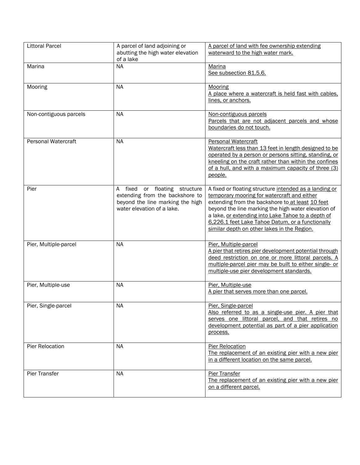| <b>Littoral Parcel</b>     | A parcel of land adjoining or<br>abutting the high water elevation<br>of a lake                                                       | A parcel of land with fee ownership extending<br>waterward to the high water mark.                                                                                                                                                                                                                                                                                        |
|----------------------------|---------------------------------------------------------------------------------------------------------------------------------------|---------------------------------------------------------------------------------------------------------------------------------------------------------------------------------------------------------------------------------------------------------------------------------------------------------------------------------------------------------------------------|
| Marina                     | <b>NA</b>                                                                                                                             | Marina<br>See subsection 81.5.6.                                                                                                                                                                                                                                                                                                                                          |
| Mooring                    | <b>NA</b>                                                                                                                             | Mooring<br>A place where a watercraft is held fast with cables.<br>lines, or anchors.                                                                                                                                                                                                                                                                                     |
| Non-contiguous parcels     | <b>NA</b>                                                                                                                             | Non-contiguous parcels<br>Parcels that are not adjacent parcels and whose<br>boundaries do not touch.                                                                                                                                                                                                                                                                     |
| <b>Personal Watercraft</b> | <b>NA</b>                                                                                                                             | <b>Personal Watercraft</b><br>Watercraft less than 13 feet in length designed to be<br>operated by a person or persons sitting, standing, or<br>kneeling on the craft rather than within the confines<br>of a hull, and with a maximum capacity of three (3)<br>people.                                                                                                   |
| Pier                       | or floating structure<br>A fixed<br>extending from the backshore to<br>beyond the line marking the high<br>water elevation of a lake. | A fixed or floating structure intended as a landing or<br>temporary mooring for watercraft and either<br>extending from the backshore to at least 10 feet<br>beyond the line marking the high water elevation of<br>a lake, or extending into Lake Tahoe to a depth of<br>6.226.1 feet Lake Tahoe Datum, or a functionally<br>similar depth on other lakes in the Region. |
| Pier, Multiple-parcel      | <b>NA</b>                                                                                                                             | Pier, Multiple-parcel<br>A pier that retires pier development potential through<br>deed restriction on one or more littoral parcels. A<br>multiple-parcel pier may be built to either single- or<br>multiple-use pier development standards.                                                                                                                              |
| Pier, Multiple-use         | <b>NA</b>                                                                                                                             | Pier, Multiple-use<br>A pier that serves more than one parcel.                                                                                                                                                                                                                                                                                                            |
| Pier, Single-parcel        | N <sub>A</sub>                                                                                                                        | Pier, Single-parcel<br>Also referred to as a single-use pier. A pier that<br>serves one littoral parcel, and that retires no<br>development potential as part of a pier application<br>process.                                                                                                                                                                           |
| Pier Relocation            | <b>NA</b>                                                                                                                             | <b>Pier Relocation</b><br>The replacement of an existing pier with a new pier<br>in a different location on the same parcel.                                                                                                                                                                                                                                              |
| Pier Transfer              | <b>NA</b>                                                                                                                             | <b>Pier Transfer</b><br>The replacement of an existing pier with a new pier<br>on a different parcel.                                                                                                                                                                                                                                                                     |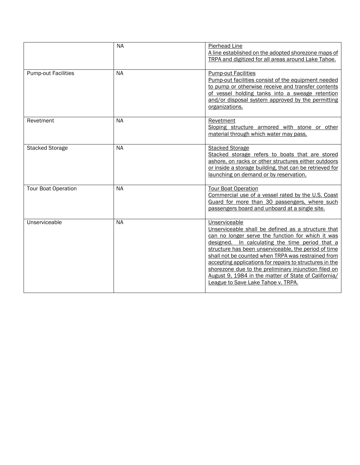|                            | <b>NA</b> | <b>Pierhead Line</b><br>A line established on the adopted shorezone maps of<br>TRPA and digitized for all areas around Lake Tahoe.                                                                                                                                                                                                                                                                                                                                                                         |
|----------------------------|-----------|------------------------------------------------------------------------------------------------------------------------------------------------------------------------------------------------------------------------------------------------------------------------------------------------------------------------------------------------------------------------------------------------------------------------------------------------------------------------------------------------------------|
| <b>Pump-out Facilities</b> | <b>NA</b> | <b>Pump-out Facilities</b><br>Pump-out facilities consist of the equipment needed<br>to pump or otherwise receive and transfer contents<br>of vessel holding tanks into a sweage retention<br>and/or disposal system approved by the permitting<br>organizations.                                                                                                                                                                                                                                          |
| Revetment                  | <b>NA</b> | Revetment<br>Sloping structure armored with stone or other<br>material through which water may pass.                                                                                                                                                                                                                                                                                                                                                                                                       |
| <b>Stacked Storage</b>     | <b>NA</b> | <b>Stacked Storage</b><br>Stacked storage refers to boats that are stored<br>ashore, on racks or other structures either outdoors<br>or inside a storage building, that can be retrieved for<br>launching on demand or by reservation.                                                                                                                                                                                                                                                                     |
| <b>Tour Boat Operation</b> | <b>NA</b> | <b>Tour Boat Operation</b><br>Commercial use of a vessel rated by the U.S. Coast<br>Guard for more than 30 passengers, where such<br>passengers board and unboard at a single site.                                                                                                                                                                                                                                                                                                                        |
| Unserviceable              | <b>NA</b> | Unserviceable<br>Unserviceable shall be defined as a structure that<br>can no longer serve the function for which it was<br>designed. In calculating the time period that a<br>structure has been unserviceable, the period of time<br>shall not be counted when TRPA was restrained from<br>accepting applications for repairs to structures in the<br>shorezone due to the preliminary injunction filed on<br>August 9, 1984 in the matter of State of California/<br>League to Save Lake Tahoe v. TRPA. |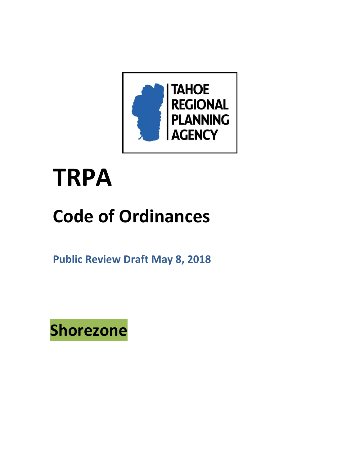

# **TRPA**

## **Code of Ordinances**

**Public Review Draft May 8, 2018** 

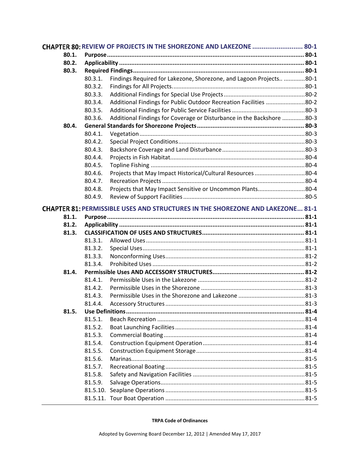| CHAPTER 80: REVIEW OF PROJECTS IN THE SHOREZONE AND LAKEZONE  80-1 |            |                                                                                       |  |
|--------------------------------------------------------------------|------------|---------------------------------------------------------------------------------------|--|
| 80.1.                                                              |            |                                                                                       |  |
| 80.2.                                                              |            |                                                                                       |  |
| 80.3.                                                              |            |                                                                                       |  |
|                                                                    | $80.3.1$ . | Findings Required for Lakezone, Shorezone, and Lagoon Projects 80-1                   |  |
|                                                                    | 80.3.2.    |                                                                                       |  |
|                                                                    | 80.3.3.    |                                                                                       |  |
|                                                                    | 80.3.4.    | Additional Findings for Public Outdoor Recreation Facilities 80-2                     |  |
|                                                                    | 80.3.5.    |                                                                                       |  |
|                                                                    | 80.3.6.    | Additional Findings for Coverage or Disturbance in the Backshore 80-3                 |  |
| 80.4.                                                              |            |                                                                                       |  |
|                                                                    | 80.4.1.    |                                                                                       |  |
|                                                                    | 80.4.2.    |                                                                                       |  |
|                                                                    | 80.4.3.    |                                                                                       |  |
|                                                                    | 80.4.4.    |                                                                                       |  |
|                                                                    | 80.4.5.    |                                                                                       |  |
|                                                                    | 80.4.6.    | Projects that May Impact Historical/Cultural Resources 80-4                           |  |
|                                                                    | 80.4.7.    |                                                                                       |  |
|                                                                    | 80.4.8.    | Projects that May Impact Sensitive or Uncommon Plants80-4                             |  |
|                                                                    | 80.4.9.    |                                                                                       |  |
|                                                                    |            | <b>CHAPTER 81: PERMISSIBLE USES AND STRUCTURES IN THE SHOREZONE AND LAKEZONE 81-1</b> |  |
| 81.1.                                                              |            |                                                                                       |  |
| 81.2.                                                              |            |                                                                                       |  |
| 81.3.                                                              |            |                                                                                       |  |
|                                                                    | 81.3.1.    |                                                                                       |  |
|                                                                    | 81.3.2.    |                                                                                       |  |
|                                                                    | 81.3.3.    |                                                                                       |  |
|                                                                    | 81.3.4.    |                                                                                       |  |
| 81.4.                                                              |            |                                                                                       |  |
|                                                                    | 81.4.1.    |                                                                                       |  |
|                                                                    | 81.4.2.    |                                                                                       |  |
|                                                                    | 81.4.3.    |                                                                                       |  |
|                                                                    | 81.4.4.    |                                                                                       |  |
| 81.5.                                                              |            |                                                                                       |  |
|                                                                    | 81.5.1.    |                                                                                       |  |
|                                                                    | 81.5.2.    |                                                                                       |  |
|                                                                    | 81.5.3.    |                                                                                       |  |
|                                                                    | 81.5.4.    |                                                                                       |  |
|                                                                    | 81.5.5.    |                                                                                       |  |
|                                                                    | 81.5.6.    |                                                                                       |  |
|                                                                    | 81.5.7.    |                                                                                       |  |
|                                                                    | 81.5.8.    |                                                                                       |  |
|                                                                    | 81.5.9.    |                                                                                       |  |
|                                                                    |            |                                                                                       |  |
|                                                                    |            |                                                                                       |  |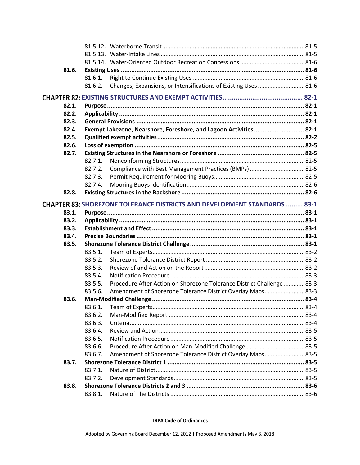| 81.6. |                                                                                  |  |
|-------|----------------------------------------------------------------------------------|--|
|       | 81.6.1.                                                                          |  |
|       | 81.6.2.                                                                          |  |
|       |                                                                                  |  |
| 82.1. |                                                                                  |  |
| 82.2. |                                                                                  |  |
| 82.3. |                                                                                  |  |
| 82.4. | Exempt Lakezone, Nearshore, Foreshore, and Lagoon Activities  82-1               |  |
| 82.5. |                                                                                  |  |
| 82.6. |                                                                                  |  |
| 82.7. |                                                                                  |  |
|       | 82.7.1.                                                                          |  |
|       | 82.7.2.                                                                          |  |
|       | 82.7.3.                                                                          |  |
|       | 82.7.4.                                                                          |  |
| 82.8. |                                                                                  |  |
|       | <b>CHAPTER 83: SHOREZONE TOLERANCE DISTRICTS AND DEVELOPMENT STANDARDS  83-1</b> |  |
| 83.1. |                                                                                  |  |
| 83.2. |                                                                                  |  |
| 83.3. |                                                                                  |  |
| 83.4. |                                                                                  |  |
| 83.5. |                                                                                  |  |
|       | 83.5.1.<br>83.5.2.                                                               |  |
|       | 83.5.3.                                                                          |  |
|       | 83.5.4.                                                                          |  |
|       | Procedure After Action on Shorezone Tolerance District Challenge 83-3<br>83.5.5. |  |
|       | 83.5.6.                                                                          |  |
| 83.6. |                                                                                  |  |
|       | 83.6.1.                                                                          |  |
|       | 83.6.2.                                                                          |  |
|       | 83.6.3.                                                                          |  |
|       | 83.6.4.                                                                          |  |
|       | 83.6.5.                                                                          |  |
|       | 83.6.6.                                                                          |  |
|       | Amendment of Shorezone Tolerance District Overlay Maps83-5<br>83.6.7.            |  |
| 83.7. |                                                                                  |  |
|       | 83.7.1.                                                                          |  |
|       | 83.7.2.                                                                          |  |
| 83.8. |                                                                                  |  |
|       | 83.8.1.                                                                          |  |
|       |                                                                                  |  |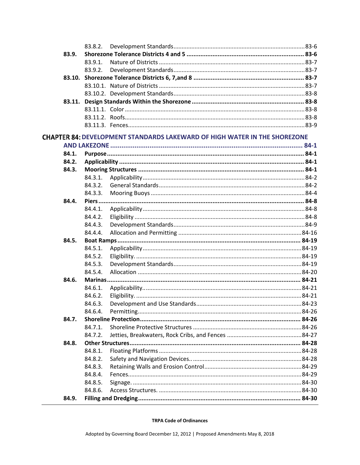|       | 83.8.2. |                                                                                  |  |
|-------|---------|----------------------------------------------------------------------------------|--|
| 83.9. |         |                                                                                  |  |
|       | 83.9.1. |                                                                                  |  |
|       | 83.9.2. |                                                                                  |  |
|       |         |                                                                                  |  |
|       |         |                                                                                  |  |
|       |         |                                                                                  |  |
|       |         |                                                                                  |  |
|       |         |                                                                                  |  |
|       |         |                                                                                  |  |
|       |         |                                                                                  |  |
|       |         | <b>CHAPTER 84: DEVELOPMENT STANDARDS LAKEWARD OF HIGH WATER IN THE SHOREZONE</b> |  |
|       |         |                                                                                  |  |
| 84.1. |         |                                                                                  |  |
| 84.2. |         |                                                                                  |  |
| 84.3. |         |                                                                                  |  |
|       | 84.3.1. |                                                                                  |  |
|       | 84.3.2. |                                                                                  |  |
|       | 84.3.3. |                                                                                  |  |
| 84.4. |         |                                                                                  |  |
|       | 84.4.1. |                                                                                  |  |
|       | 84.4.2. |                                                                                  |  |
|       | 84.4.3. |                                                                                  |  |
|       | 84.4.4. |                                                                                  |  |
| 84.5. |         |                                                                                  |  |
|       | 84.5.1. |                                                                                  |  |
|       | 84.5.2. |                                                                                  |  |
|       | 84.5.3. |                                                                                  |  |
|       | 84.5.4. |                                                                                  |  |
| 84.6. |         |                                                                                  |  |
|       | 84.6.1. |                                                                                  |  |
|       | 84.6.2. |                                                                                  |  |
|       | 84.6.3. |                                                                                  |  |
|       | 84.6.4. |                                                                                  |  |
| 84.7. |         |                                                                                  |  |
|       | 84.7.1. |                                                                                  |  |
|       | 84.7.2. |                                                                                  |  |
| 84.8. |         |                                                                                  |  |
|       | 84.8.1. |                                                                                  |  |
|       | 84.8.2. |                                                                                  |  |
|       | 84.8.3. |                                                                                  |  |
|       | 84.8.4. |                                                                                  |  |
|       | 84.8.5. |                                                                                  |  |
|       | 84.8.6. |                                                                                  |  |
| 84.9. |         |                                                                                  |  |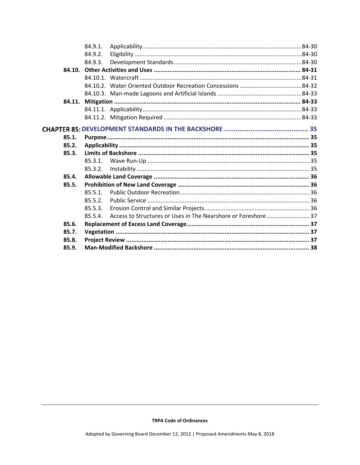|        | 84.9.1.    |  |  |
|--------|------------|--|--|
|        | 84.9.2.    |  |  |
|        | 84.9.3.    |  |  |
|        |            |  |  |
|        |            |  |  |
|        |            |  |  |
|        |            |  |  |
| 84.11. |            |  |  |
|        |            |  |  |
|        |            |  |  |
|        |            |  |  |
| 85.1.  |            |  |  |
| 85.2.  |            |  |  |
| 85.3.  |            |  |  |
|        | 85.3.1.    |  |  |
|        | 85.3.2.    |  |  |
| 85.4.  |            |  |  |
| 85.5.  |            |  |  |
|        | $85.5.1$ . |  |  |
|        | 85.5.2.    |  |  |
|        | 85.5.3.    |  |  |
|        | 85.5.4.    |  |  |
| 85.6.  |            |  |  |
| 85.7.  |            |  |  |
| 85.8.  |            |  |  |
| 85.9.  |            |  |  |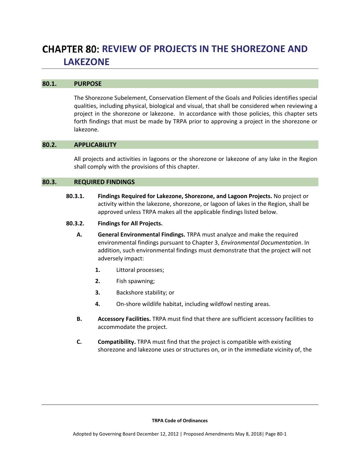## **REVIEW OF PROJECTS IN THE SHOREZONE AND LAKEZONE**

#### **80.1. PURPOSE**

The Shorezone Subelement, Conservation Element of the Goals and Policies identifies special qualities, including physical, biological and visual, that shall be considered when reviewing a project in the shorezone or lakezone. In accordance with those policies, this chapter sets forth findings that must be made by TRPA prior to approving a project in the shorezone or lakezone.

#### **80.2. APPLICABILITY**

All projects and activities in lagoons or the shorezone or lakezone of any lake in the Region shall comply with the provisions of this chapter.

#### **80.3. REQUIRED FINDINGS**

- **80.3.1. Findings Required for Lakezone, Shorezone, and Lagoon Projects.** No project or activity within the lakezone, shorezone, or lagoon of lakes in the Region, shall be approved unless TRPA makes all the applicable findings listed below.
- **80.3.2. Findings for All Projects.**
	- **A. General Environmental Findings.** TRPA must analyze and make the required environmental findings pursuant to Chapter 3, *Environmental Documentation*. In addition, such environmental findings must demonstrate that the project will not adversely impact:
		- **1.** Littoral processes;
		- **2.** Fish spawning;
		- **3.** Backshore stability; or
		- **4.** On‐shore wildlife habitat, including wildfowl nesting areas.
	- **B. Accessory Facilities.** TRPA must find that there are sufficient accessory facilities to accommodate the project.
	- **C. Compatibility.** TRPA must find that the project is compatible with existing shorezone and lakezone uses or structures on, or in the immediate vicinity of, the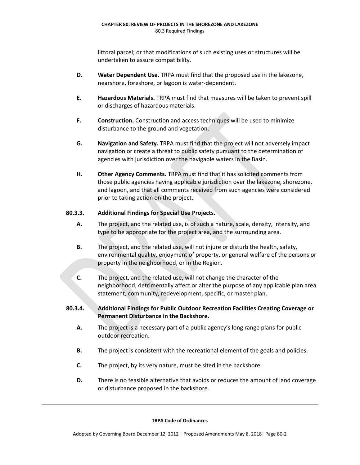littoral parcel; or that modifications of such existing uses or structures will be undertaken to assure compatibility.

- **D. Water Dependent Use.** TRPA must find that the proposed use in the lakezone, nearshore, foreshore, or lagoon is water‐dependent.
- **E. Hazardous Materials.** TRPA must find that measures will be taken to prevent spill or discharges of hazardous materials.
- **F. Construction.** Construction and access techniques will be used to minimize disturbance to the ground and vegetation.
- **G. Navigation and Safety.** TRPA must find that the project will not adversely impact navigation or create a threat to public safety pursuant to the determination of agencies with jurisdiction over the navigable waters in the Basin.
- **H. Other Agency Comments.** TRPA must find that it has solicited comments from those public agencies having applicable jurisdiction over the lakezone, shorezone, and lagoon, and that all comments received from such agencies were considered prior to taking action on the project.

#### **80.3.3. Additional Findings for Special Use Projects.**

- **A.** The project, and the related use, is of such a nature, scale, density, intensity, and type to be appropriate for the project area, and the surrounding area.
- **B.** The project, and the related use, will not injure or disturb the health, safety, environmental quality, enjoyment of property, or general welfare of the persons or property in the neighborhood, or in the Region.
- **C.** The project, and the related use, will not change the character of the neighborhood, detrimentally affect or alter the purpose of any applicable plan area statement, community, redevelopment, specific, or master plan.
- **80.3.4. Additional Findings for Public Outdoor Recreation Facilities Creating Coverage or Permanent Disturbance in the Backshore.**
	- **A.** The project is a necessary part of a public agency's long range plans for public outdoor recreation.
	- **B.** The project is consistent with the recreational element of the goals and policies.
	- **C.** The project, by its very nature, must be sited in the backshore.
	- **D.** There is no feasible alternative that avoids or reduces the amount of land coverage or disturbance proposed in the backshore.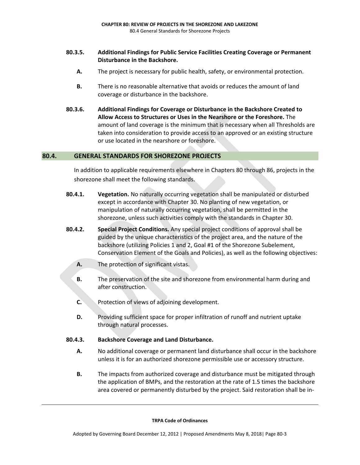#### **80.3.5. Additional Findings for Public Service Facilities Creating Coverage or Permanent Disturbance in the Backshore.**

- **A.** The project is necessary for public health, safety, or environmental protection.
- **B.** There is no reasonable alternative that avoids or reduces the amount of land coverage or disturbance in the backshore.
- **80.3.6. Additional Findings for Coverage or Disturbance in the Backshore Created to Allow Access to Structures or Uses in the Nearshore or the Foreshore.** The amount of land coverage is the minimum that is necessary when all Thresholds are taken into consideration to provide access to an approved or an existing structure or use located in the nearshore or foreshore.

#### **80.4. GENERAL STANDARDS FOR SHOREZONE PROJECTS**

In addition to applicable requirements elsewhere in Chapters 80 through 86, projects in the shorezone shall meet the following standards.

- **80.4.1. Vegetation.** No naturally occurring vegetation shall be manipulated or disturbed except in accordance with Chapter 30. No planting of new vegetation, or manipulation of naturally occurring vegetation, shall be permitted in the shorezone, unless such activities comply with the standards in Chapter 30.
- **80.4.2. Special Project Conditions.** Any special project conditions of approval shall be guided by the unique characteristics of the project area, and the nature of the backshore (utilizing Policies 1 and 2, Goal #1 of the Shorezone Subelement, Conservation Element of the Goals and Policies), as well as the following objectives:
	- **A.** The protection of significant vistas.
	- **B.** The preservation of the site and shorezone from environmental harm during and after construction.
	- **C.** Protection of views of adjoining development.
	- **D.** Providing sufficient space for proper infiltration of runoff and nutrient uptake through natural processes.

#### **80.4.3. Backshore Coverage and Land Disturbance.**

- **A.** No additional coverage or permanent land disturbance shall occur in the backshore unless it is for an authorized shorezone permissible use or accessory structure.
- **B.** The impacts from authorized coverage and disturbance must be mitigated through the application of BMPs, and the restoration at the rate of 1.5 times the backshore area covered or permanently disturbed by the project. Said restoration shall be in‐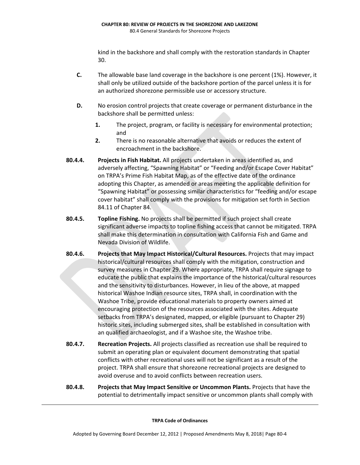kind in the backshore and shall comply with the restoration standards in Chapter 30.

- **C.** The allowable base land coverage in the backshore is one percent (1%). However, it shall only be utilized outside of the backshore portion of the parcel unless it is for an authorized shorezone permissible use or accessory structure.
- **D.** No erosion control projects that create coverage or permanent disturbance in the backshore shall be permitted unless:
	- **1.** The project, program, or facility is necessary for environmental protection; and
	- **2.** There is no reasonable alternative that avoids or reduces the extent of encroachment in the backshore.
- **80.4.4. Projects in Fish Habitat.** All projects undertaken in areas identified as, and adversely affecting, "Spawning Habitat" or "Feeding and/or Escape Cover Habitat" on TRPA's Prime Fish Habitat Map, as of the effective date of the ordinance adopting this Chapter, as amended or areas meeting the applicable definition for "Spawning Habitat" or possessing similar characteristics for "feeding and/or escape cover habitat" shall comply with the provisions for mitigation set forth in Section 84.11 of Chapter 84.
- **80.4.5. Topline Fishing.** No projects shall be permitted if such project shall create significant adverse impacts to topline fishing access that cannot be mitigated. TRPA shall make this determination in consultation with California Fish and Game and Nevada Division of Wildlife.
- **80.4.6. Projects that May Impact Historical/Cultural Resources.** Projects that may impact historical/cultural resources shall comply with the mitigation, construction and survey measures in Chapter 29. Where appropriate, TRPA shall require signage to educate the public that explains the importance of the historical/cultural resources and the sensitivity to disturbances. However, in lieu of the above, at mapped historical Washoe Indian resource sites, TRPA shall, in coordination with the Washoe Tribe, provide educational materials to property owners aimed at encouraging protection of the resources associated with the sites. Adequate setbacks from TRPA's designated, mapped, or eligible (pursuant to Chapter 29) historic sites, including submerged sites, shall be established in consultation with an qualified archaeologist, and if a Washoe site, the Washoe tribe.
- **80.4.7. Recreation Projects.** All projects classified as recreation use shall be required to submit an operating plan or equivalent document demonstrating that spatial conflicts with other recreational uses will not be significant as a result of the project. TRPA shall ensure that shorezone recreational projects are designed to avoid overuse and to avoid conflicts between recreation users.
- **80.4.8. Projects that May Impact Sensitive or Uncommon Plants.** Projects that have the potential to detrimentally impact sensitive or uncommon plants shall comply with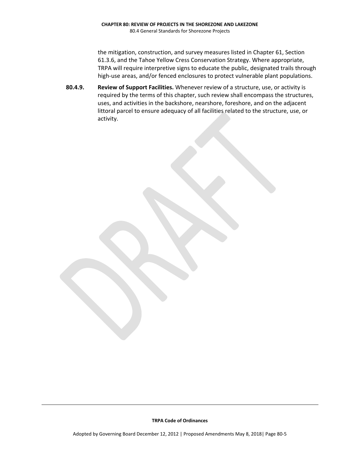the mitigation, construction, and survey measures listed in Chapter 61, Section 61.3.6, and the Tahoe Yellow Cress Conservation Strategy. Where appropriate, TRPA will require interpretive signs to educate the public, designated trails through high-use areas, and/or fenced enclosures to protect vulnerable plant populations.

**80.4.9. Review of Support Facilities.** Whenever review of a structure, use, or activity is required by the terms of this chapter, such review shall encompass the structures, uses, and activities in the backshore, nearshore, foreshore, and on the adjacent littoral parcel to ensure adequacy of all facilities related to the structure, use, or activity.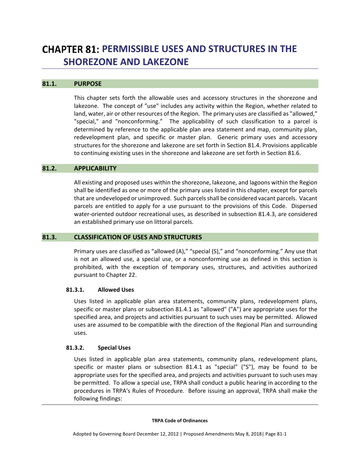## **PERMISSIBLE USES AND STRUCTURES IN THE SHOREZONE AND LAKEZONE**

#### **81.1. PURPOSE**

This chapter sets forth the allowable uses and accessory structures in the shorezone and lakezone. The concept of "use" includes any activity within the Region, whether related to land, water, air or other resources of the Region. The primary uses are classified as "allowed," "special," and "nonconforming." The applicability of such classification to a parcel is determined by reference to the applicable plan area statement and map, community plan, redevelopment plan, and specific or master plan. Generic primary uses and accessory structures for the shorezone and lakezone are set forth in Section 81.4. Provisions applicable to continuing existing uses in the shorezone and lakezone are set forth in Section 81.6.

#### **81.2. APPLICABILITY**

All existing and proposed uses within the shorezone, lakezone, and lagoons within the Region shall be identified as one or more of the primary uses listed in this chapter, except for parcels that are undeveloped or unimproved. Such parcelsshall be considered vacant parcels. Vacant parcels are entitled to apply for a use pursuant to the provisions of this Code. Dispersed water‐oriented outdoor recreational uses, as described in subsection 81.4.3, are considered an established primary use on littoral parcels.

#### **81.3. CLASSIFICATION OF USES AND STRUCTURES**

Primary uses are classified as "allowed (A)," "special (S)," and "nonconforming." Any use that is not an allowed use, a special use, or a nonconforming use as defined in this section is prohibited, with the exception of temporary uses, structures, and activities authorized pursuant to Chapter 22.

#### **81.3.1. Allowed Uses**

Uses listed in applicable plan area statements, community plans, redevelopment plans, specific or master plans or subsection 81.4.1 as "allowed" ("A") are appropriate uses for the specified area, and projects and activities pursuant to such uses may be permitted. Allowed uses are assumed to be compatible with the direction of the Regional Plan and surrounding uses.

#### **81.3.2. Special Uses**

Uses listed in applicable plan area statements, community plans, redevelopment plans, specific or master plans or subsection 81.4.1 as "special" ("S"), may be found to be appropriate uses for the specified area, and projects and activities pursuant to such uses may be permitted. To allow a special use, TRPA shall conduct a public hearing in according to the procedures in TRPA's Rules of Procedure. Before issuing an approval, TRPA shall make the following findings: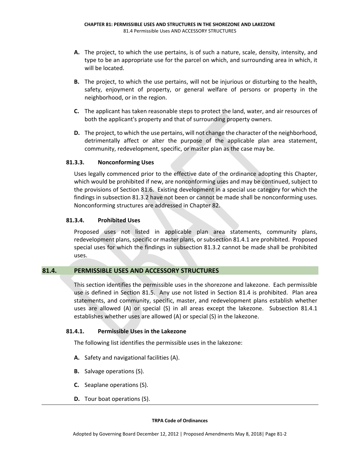- **A.** The project, to which the use pertains, is of such a nature, scale, density, intensity, and type to be an appropriate use for the parcel on which, and surrounding area in which, it will be located.
- **B.** The project, to which the use pertains, will not be injurious or disturbing to the health, safety, enjoyment of property, or general welfare of persons or property in the neighborhood, or in the region.
- **C.** The applicant has taken reasonable steps to protect the land, water, and air resources of both the applicant's property and that of surrounding property owners.
- **D.** The project, to which the use pertains, will not change the character of the neighborhood, detrimentally affect or alter the purpose of the applicable plan area statement, community, redevelopment, specific, or master plan as the case may be.

#### **81.3.3. Nonconforming Uses**

Uses legally commenced prior to the effective date of the ordinance adopting this Chapter, which would be prohibited if new, are nonconforming uses and may be continued, subject to the provisions of Section 81.6. Existing development in a special use category for which the findings in subsection 81.3.2 have not been or cannot be made shall be nonconforming uses. Nonconforming structures are addressed in Chapter 82.

#### **81.3.4. Prohibited Uses**

Proposed uses not listed in applicable plan area statements, community plans, redevelopment plans, specific or master plans, or subsection 81.4.1 are prohibited. Proposed special uses for which the findings in subsection 81.3.2 cannot be made shall be prohibited uses.

#### **81.4. PERMISSIBLE USES AND ACCESSORY STRUCTURES**

This section identifies the permissible uses in the shorezone and lakezone. Each permissible use is defined in Section 81.5. Any use not listed in Section 81.4 is prohibited. Plan area statements, and community, specific, master, and redevelopment plans establish whether uses are allowed (A) or special (S) in all areas except the lakezone. Subsection 81.4.1 establishes whether uses are allowed (A) or special (S) in the lakezone.

#### **81.4.1. Permissible Uses in the Lakezone**

The following list identifies the permissible uses in the lakezone:

- **A.** Safety and navigational facilities (A).
- **B.** Salvage operations (S).
- **C.** Seaplane operations (S).
- **D.** Tour boat operations (S).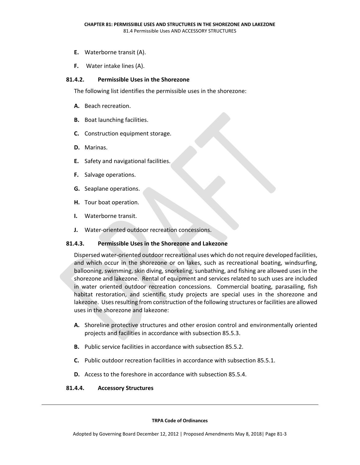- **E.** Waterborne transit (A).
- **F.** Water intake lines (A).

#### **81.4.2. Permissible Uses in the Shorezone**

The following list identifies the permissible uses in the shorezone:

- **A.** Beach recreation.
- **B.** Boat launching facilities.
- **C.** Construction equipment storage.
- **D.** Marinas.
- **E.** Safety and navigational facilities.
- **F.** Salvage operations.
- **G.** Seaplane operations.
- **H.** Tour boat operation.
- **I.** Waterborne transit.
- **J.** Water‐oriented outdoor recreation concessions.

#### **81.4.3. Permissible Uses in the Shorezone and Lakezone**

Dispersed water-oriented outdoor recreational uses which do not require developed facilities, and which occur in the shorezone or on lakes, such as recreational boating, windsurfing, ballooning, swimming, skin diving, snorkeling, sunbathing, and fishing are allowed uses in the shorezone and lakezone. Rental of equipment and services related to such uses are included in water oriented outdoor recreation concessions. Commercial boating, parasailing, fish habitat restoration, and scientific study projects are special uses in the shorezone and lakezone. Uses resulting from construction of the following structures or facilities are allowed uses in the shorezone and lakezone:

- **A.** Shoreline protective structures and other erosion control and environmentally oriented projects and facilities in accordance with subsection 85.5.3.
- **B.** Public service facilities in accordance with subsection 85.5.2.
- **C.** Public outdoor recreation facilities in accordance with subsection 85.5.1.
- **D.** Access to the foreshore in accordance with subsection 85.5.4.

#### **81.4.4. Accessory Structures**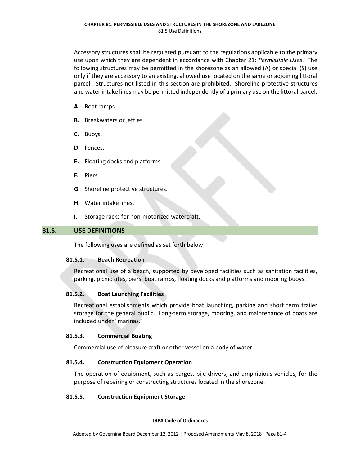Accessory structures shall be regulated pursuant to the regulations applicable to the primary use upon which they are dependent in accordance with Chapter 21: *Permissible Uses*. The following structures may be permitted in the shorezone as an allowed (A) or special (S) use only if they are accessory to an existing, allowed use located on the same or adjoining littoral parcel. Structures not listed in this section are prohibited. Shoreline protective structures and water intake lines may be permitted independently of a primary use on the littoral parcel:

- **A.** Boat ramps.
- **B.** Breakwaters or jetties.
- **C.** Buoys.
- **D.** Fences.
- **E.** Floating docks and platforms.
- **F.** Piers.
- **G.** Shoreline protective structures.
- **H.** Water intake lines.
- **I.** Storage racks for non‐motorized watercraft.

#### **81.5. USE DEFINITIONS**

The following uses are defined as set forth below:

#### **81.5.1. Beach Recreation**

Recreational use of a beach, supported by developed facilities such as sanitation facilities, parking, picnic sites, piers, boat ramps, floating docks and platforms and mooring buoys.

#### **81.5.2. Boat Launching Facilities**

Recreational establishments which provide boat launching, parking and short term trailer storage for the general public. Long-term storage, mooring, and maintenance of boats are included under "marinas."

#### **81.5.3. Commercial Boating**

Commercial use of pleasure craft or other vessel on a body of water.

#### **81.5.4. Construction Equipment Operation**

The operation of equipment, such as barges, pile drivers, and amphibious vehicles, for the purpose of repairing or constructing structures located in the shorezone.

#### **81.5.5. Construction Equipment Storage**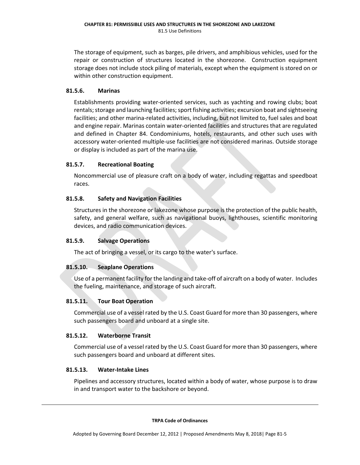The storage of equipment, such as barges, pile drivers, and amphibious vehicles, used for the repair or construction of structures located in the shorezone. Construction equipment storage does not include stock piling of materials, except when the equipment is stored on or within other construction equipment.

#### **81.5.6. Marinas**

Establishments providing water‐oriented services, such as yachting and rowing clubs; boat rentals; storage and launching facilities; sport fishing activities; excursion boat and sightseeing facilities; and other marina‐related activities, including, but not limited to, fuel sales and boat and engine repair. Marinas contain water‐oriented facilities and structures that are regulated and defined in Chapter 84. Condominiums, hotels, restaurants, and other such uses with accessory water‐oriented multiple‐use facilities are not considered marinas. Outside storage or display is included as part of the marina use.

#### **81.5.7. Recreational Boating**

Noncommercial use of pleasure craft on a body of water, including regattas and speedboat races.

#### **81.5.8. Safety and Navigation Facilities**

Structures in the shorezone or lakezone whose purpose is the protection of the public health, safety, and general welfare, such as navigational buoys, lighthouses, scientific monitoring devices, and radio communication devices.

#### **81.5.9. Salvage Operations**

The act of bringing a vessel, or its cargo to the water's surface.

#### **81.5.10. Seaplane Operations**

Use of a permanent facility for the landing and take‐off of aircraft on a body of water. Includes the fueling, maintenance, and storage of such aircraft.

#### **81.5.11. Tour Boat Operation**

Commercial use of a vessel rated by the U.S. Coast Guard for more than 30 passengers, where such passengers board and unboard at a single site.

#### **81.5.12. Waterborne Transit**

Commercial use of a vessel rated by the U.S. Coast Guard for more than 30 passengers, where such passengers board and unboard at different sites.

#### **81.5.13. Water‐Intake Lines**

Pipelines and accessory structures, located within a body of water, whose purpose is to draw in and transport water to the backshore or beyond.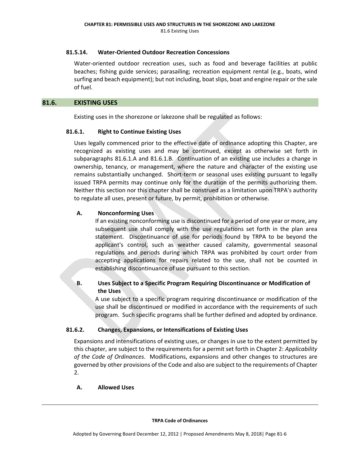#### **81.5.14. Water‐Oriented Outdoor Recreation Concessions**

Water-oriented outdoor recreation uses, such as food and beverage facilities at public beaches; fishing guide services; parasailing; recreation equipment rental (e.g., boats, wind surfing and beach equipment); but not including, boatslips, boat and engine repair or the sale of fuel.

#### **81.6. EXISTING USES**

Existing uses in the shorezone or lakezone shall be regulated as follows:

#### **81.6.1. Right to Continue Existing Uses**

Uses legally commenced prior to the effective date of ordinance adopting this Chapter, are recognized as existing uses and may be continued, except as otherwise set forth in subparagraphs 81.6.1.A and 81.6.1.B. Continuation of an existing use includes a change in ownership, tenancy, or management, where the nature and character of the existing use remains substantially unchanged. Short‐term or seasonal uses existing pursuant to legally issued TRPA permits may continue only for the duration of the permits authorizing them. Neither this section nor this chapter shall be construed as a limitation upon TRPA's authority to regulate all uses, present or future, by permit, prohibition or otherwise.

#### **A. Nonconforming Uses**

If an existing nonconforming use is discontinued for a period of one year or more, any subsequent use shall comply with the use regulations set forth in the plan area statement. Discontinuance of use for periods found by TRPA to be beyond the applicant's control, such as weather caused calamity, governmental seasonal regulations and periods during which TRPA was prohibited by court order from accepting applications for repairs related to the use, shall not be counted in establishing discontinuance of use pursuant to this section.

#### **B. Uses Subject to a Specific Program Requiring Discontinuance or Modification of the Uses**

A use subject to a specific program requiring discontinuance or modification of the use shall be discontinued or modified in accordance with the requirements of such program. Such specific programs shall be further defined and adopted by ordinance.

#### **81.6.2. Changes, Expansions, or Intensifications of Existing Uses**

Expansions and intensifications of existing uses, or changes in use to the extent permitted by this chapter, are subject to the requirements for a permit set forth in Chapter 2: *Applicability of the Code of Ordinances*. Modifications, expansions and other changes to structures are governed by other provisions of the Code and also are subject to the requirements of Chapter 2.

#### **A. Allowed Uses**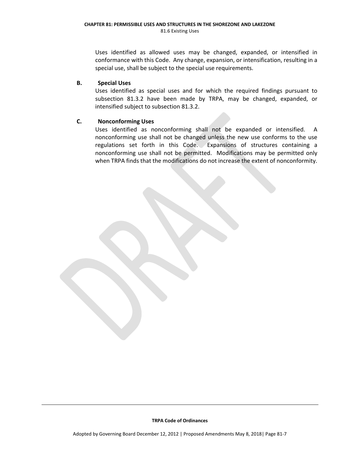Uses identified as allowed uses may be changed, expanded, or intensified in conformance with this Code. Any change, expansion, or intensification, resulting in a special use, shall be subject to the special use requirements.

#### **B. Special Uses**

Uses identified as special uses and for which the required findings pursuant to subsection 81.3.2 have been made by TRPA, may be changed, expanded, or intensified subject to subsection 81.3.2.

#### **C. Nonconforming Uses**

Uses identified as nonconforming shall not be expanded or intensified. A nonconforming use shall not be changed unless the new use conforms to the use regulations set forth in this Code. Expansions of structures containing a nonconforming use shall not be permitted. Modifications may be permitted only when TRPA finds that the modifications do not increase the extent of nonconformity.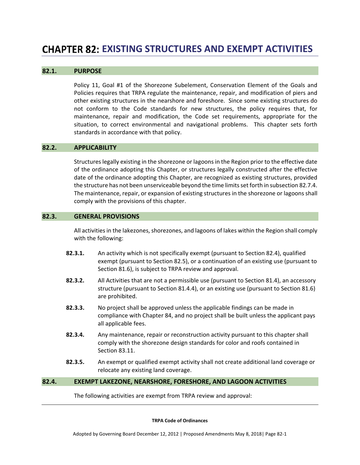## **EXISTING STRUCTURES AND EXEMPT ACTIVITIES**

#### **82.1. PURPOSE**

Policy 11, Goal #1 of the Shorezone Subelement, Conservation Element of the Goals and Policies requires that TRPA regulate the maintenance, repair, and modification of piers and other existing structures in the nearshore and foreshore. Since some existing structures do not conform to the Code standards for new structures, the policy requires that, for maintenance, repair and modification, the Code set requirements, appropriate for the situation, to correct environmental and navigational problems. This chapter sets forth standards in accordance with that policy.

#### **82.2. APPLICABILITY**

Structureslegally existing in the shorezone or lagoons in the Region prior to the effective date of the ordinance adopting this Chapter, or structures legally constructed after the effective date of the ordinance adopting this Chapter, are recognized as existing structures, provided the structure has not been unserviceable beyond the time limitsset forth in subsection 82.7.4. The maintenance, repair, or expansion of existing structures in the shorezone or lagoons shall comply with the provisions of this chapter.

#### **82.3. GENERAL PROVISIONS**

All activities in the lakezones, shorezones, and lagoons of lakes within the Region shall comply with the following:

- **82.3.1.** An activity which is not specifically exempt (pursuant to Section 82.4), qualified exempt (pursuant to Section 82.5), or a continuation of an existing use (pursuant to Section 81.6), is subject to TRPA review and approval.
- **82.3.2.** All Activities that are not a permissible use (pursuant to Section 81.4), an accessory structure (pursuant to Section 81.4.4), or an existing use (pursuant to Section 81.6) are prohibited.
- **82.3.3.** No project shall be approved unless the applicable findings can be made in compliance with Chapter 84, and no project shall be built unless the applicant pays all applicable fees.
- **82.3.4.** Any maintenance, repair or reconstruction activity pursuant to this chapter shall comply with the shorezone design standards for color and roofs contained in Section 83.11.
- **82.3.5.** An exempt or qualified exempt activity shall not create additional land coverage or relocate any existing land coverage.

#### **82.4. EXEMPT LAKEZONE, NEARSHORE, FORESHORE, AND LAGOON ACTIVITIES**

The following activities are exempt from TRPA review and approval: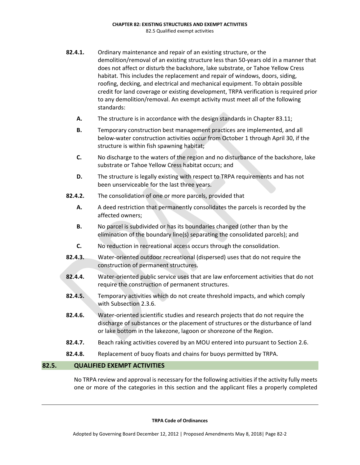- **82.4.1.** Ordinary maintenance and repair of an existing structure, or the demolition/removal of an existing structure less than 50‐years old in a manner that does not affect or disturb the backshore, lake substrate, or Tahoe Yellow Cress habitat. This includes the replacement and repair of windows, doors, siding, roofing, decking, and electrical and mechanical equipment. To obtain possible credit for land coverage or existing development, TRPA verification is required prior to any demolition/removal. An exempt activity must meet all of the following standards:
	- **A.** The structure is in accordance with the design standards in Chapter 83.11;
	- **B.** Temporary construction best management practices are implemented, and all below-water construction activities occur from October 1 through April 30, if the structure is within fish spawning habitat;
	- **C.** No discharge to the waters of the region and no disturbance of the backshore, lake substrate or Tahoe Yellow Cress habitat occurs; and
	- **D.** The structure is legally existing with respect to TRPA requirements and has not been unserviceable for the last three years.
- **82.4.2.** The consolidation of one or more parcels, provided that
	- **A.** A deed restriction that permanently consolidates the parcels is recorded by the affected owners;
	- **B.** No parcel is subdivided or has its boundaries changed (other than by the elimination of the boundary line(s) separating the consolidated parcels); and
	- **C.** No reduction in recreational access occurs through the consolidation.
- **82.4.3.** Water‐oriented outdoor recreational (dispersed) uses that do not require the construction of permanent structures.
- **82.4.4.** Water-oriented public service uses that are law enforcement activities that do not require the construction of permanent structures.
- **82.4.5.** Temporary activities which do not create threshold impacts, and which comply with Subsection 2.3.6.
- **82.4.6.** Water-oriented scientific studies and research projects that do not require the discharge of substances or the placement of structures or the disturbance of land or lake bottom in the lakezone, lagoon or shorezone of the Region.
- **82.4.7.** Beach raking activities covered by an MOU entered into pursuant to Section 2.6.
- **82.4.8.** Replacement of buoy floats and chains for buoys permitted by TRPA.

#### **82.5. QUALIFIED EXEMPT ACTIVITIES**

No TRPA review and approval is necessary for the following activitiesif the activity fully meets one or more of the categories in this section and the applicant files a properly completed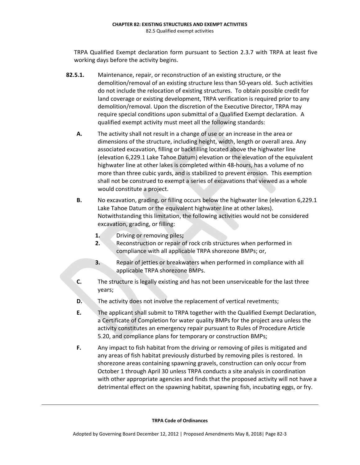TRPA Qualified Exempt declaration form pursuant to Section 2.3.7 with TRPA at least five working days before the activity begins.

- **82.5.1.** Maintenance, repair, or reconstruction of an existing structure, or the demolition/removal of an existing structure less than 50‐years old. Such activities do not include the relocation of existing structures. To obtain possible credit for land coverage or existing development, TRPA verification is required prior to any demolition/removal. Upon the discretion of the Executive Director, TRPA may require special conditions upon submittal of a Qualified Exempt declaration. A qualified exempt activity must meet all the following standards:
	- **A.** The activity shall not result in a change of use or an increase in the area or dimensions of the structure, including height, width, length or overall area. Any associated excavation, filling or backfilling located above the highwater line (elevation 6,229.1 Lake Tahoe Datum) elevation or the elevation of the equivalent highwater line at other lakes is completed within 48-hours, has a volume of no more than three cubic yards, and is stabilized to prevent erosion. This exemption shall not be construed to exempt a series of excavations that viewed as a whole would constitute a project.
	- **B.** No excavation, grading, or filling occurs below the highwater line (elevation 6,229.1 Lake Tahoe Datum or the equivalent highwater line at other lakes). Notwithstanding this limitation, the following activities would not be considered excavation, grading, or filling:
		- **1.** Driving or removing piles**;**
		- **2.** Reconstruction or repair of rock crib structures when performed in compliance with all applicable TRPA shorezone BMPs; or,
		- **3.** Repair of jetties or breakwaters when performed in compliance with all applicable TRPA shorezone BMPs.
	- **C.** The structure is legally existing and has not been unserviceable for the last three years;
	- **D.** The activity does not involve the replacement of vertical revetments;
	- **E.** The applicant shall submit to TRPA together with the Qualified Exempt Declaration, a Certificate of Completion for water quality BMPs for the project area unless the activity constitutes an emergency repair pursuant to Rules of Procedure Article 5.20, and compliance plans for temporary or construction BMPs;
	- **F.** Any impact to fish habitat from the driving or removing of piles is mitigated and any areas of fish habitat previously disturbed by removing piles is restored. In shorezone areas containing spawning gravels, construction can only occur from October 1 through April 30 unless TRPA conducts a site analysis in coordination with other appropriate agencies and finds that the proposed activity will not have a detrimental effect on the spawning habitat, spawning fish, incubating eggs, or fry.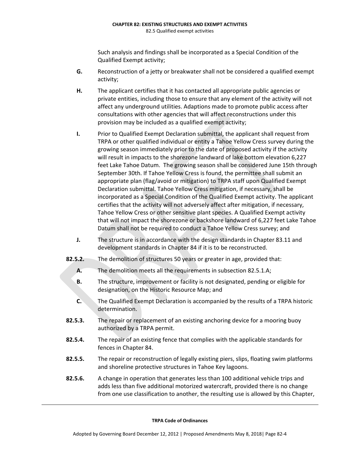#### **CHAPTER 82: EXISTING STRUCTURES AND EXEMPT ACTIVITIES** 82.5 Qualified exempt activities

Such analysis and findings shall be incorporated as a Special Condition of the Qualified Exempt activity;

- **G.** Reconstruction of a jetty or breakwater shall not be considered a qualified exempt activity;
- **H.** The applicant certifies that it has contacted all appropriate public agencies or private entities, including those to ensure that any element of the activity will not affect any underground utilities. Adaptions made to promote public access after consultations with other agencies that will affect reconstructions under this provision may be included as a qualified exempt activity;
- **I.** Prior to Qualified Exempt Declaration submittal, the applicant shall request from TRPA or other qualified individual or entity a Tahoe Yellow Cress survey during the growing season immediately prior to the date of proposed activity if the activity will result in impacts to the shorezone landward of lake bottom elevation 6,227 feet Lake Tahoe Datum. The growing season shall be considered June 15th through September 30th. If Tahoe Yellow Cress is found, the permittee shall submit an appropriate plan (flag/avoid or mitigation) to TRPA staff upon Qualified Exempt Declaration submittal. Tahoe Yellow Cress mitigation, if necessary, shall be incorporated as a Special Condition of the Qualified Exempt activity. The applicant certifies that the activity will not adversely affect after mitigation, if necessary, Tahoe Yellow Cress or other sensitive plant species. A Qualified Exempt activity that will not impact the shorezone or backshore landward of 6,227 feet Lake Tahoe Datum shall not be required to conduct a Tahoe Yellow Cress survey; and
- **J.** The structure is in accordance with the design standards in Chapter 83.11 and development standards in Chapter 84 if it is to be reconstructed.
- **82.5.2.** The demolition of structures 50 years or greater in age, provided that:
	- **A.** The demolition meets all the requirements in subsection 82.5.1.A;
	- **B.** The structure, improvement or facility is not designated, pending or eligible for designation, on the Historic Resource Map; and
	- **C.** The Qualified Exempt Declaration is accompanied by the results of a TRPA historic determination.
- **82.5.3.** The repair or replacement of an existing anchoring device for a mooring buoy authorized by a TRPA permit.
- **82.5.4.** The repair of an existing fence that complies with the applicable standards for fences in Chapter 84.
- **82.5.5.** The repair or reconstruction of legally existing piers, slips, floating swim platforms and shoreline protective structures in Tahoe Key lagoons.
- **82.5.6.** A change in operation that generates less than 100 additional vehicle trips and adds less than five additional motorized watercraft, provided there is no change from one use classification to another, the resulting use is allowed by this Chapter,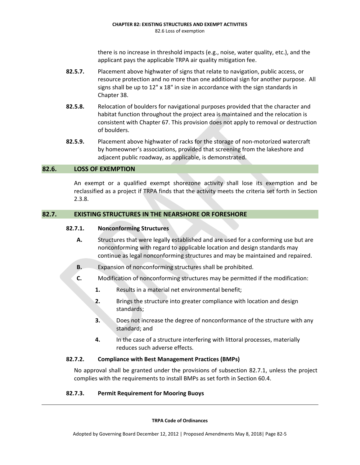there is no increase in threshold impacts (e.g., noise, water quality, etc.), and the applicant pays the applicable TRPA air quality mitigation fee.

- **82.5.7.** Placement above highwater of signs that relate to navigation, public access, or resource protection and no more than one additional sign for another purpose. All signs shall be up to 12" x 18" in size in accordance with the sign standards in Chapter 38.
- **82.5.8.** Relocation of boulders for navigational purposes provided that the character and habitat function throughout the project area is maintained and the relocation is consistent with Chapter 67. This provision does not apply to removal or destruction of boulders.
- **82.5.9.** Placement above highwater of racks for the storage of non‐motorized watercraft by homeowner's associations, provided that screening from the lakeshore and adjacent public roadway, as applicable, is demonstrated.

# **82.6. LOSS OF EXEMPTION**

An exempt or a qualified exempt shorezone activity shall lose its exemption and be reclassified as a project if TRPA finds that the activity meets the criteria set forth in Section 2.3.8.

# **82.7. EXISTING STRUCTURES IN THE NEARSHORE OR FORESHORE**

# **82.7.1. Nonconforming Structures**

- **A.** Structures that were legally established and are used for a conforming use but are nonconforming with regard to applicable location and design standards may continue as legal nonconforming structures and may be maintained and repaired.
- **B.** Expansion of nonconforming structures shall be prohibited.
- **C.** Modification of nonconforming structures may be permitted if the modification:
	- **1.** Results in a material net environmental benefit;
	- **2.** Brings the structure into greater compliance with location and design standards;
	- **3.** Does not increase the degree of nonconformance of the structure with any standard; and
	- **4.** In the case of a structure interfering with littoral processes, materially reduces such adverse effects.

#### **82.7.2. Compliance with Best Management Practices (BMPs)**

No approval shall be granted under the provisions of subsection 82.7.1, unless the project complies with the requirements to install BMPs as set forth in Section 60.4.

# **82.7.3. Permit Requirement for Mooring Buoys**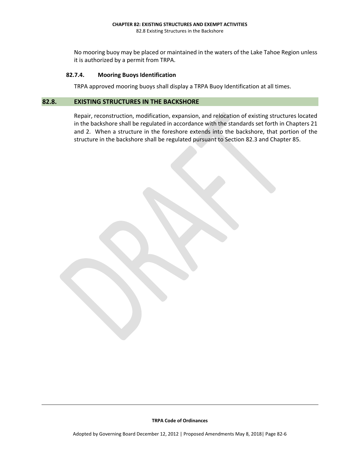#### **CHAPTER 82: EXISTING STRUCTURES AND EXEMPT ACTIVITIES** 82.8 Existing Structures in the Backshore

No mooring buoy may be placed or maintained in the waters of the Lake Tahoe Region unless it is authorized by a permit from TRPA.

#### **82.7.4. Mooring Buoys Identification**

TRPA approved mooring buoys shall display a TRPA Buoy Identification at all times.

# **82.8. EXISTING STRUCTURES IN THE BACKSHORE**

Repair, reconstruction, modification, expansion, and relocation of existing structures located in the backshore shall be regulated in accordance with the standards set forth in Chapters 21 and 2. When a structure in the foreshore extends into the backshore, that portion of the structure in the backshore shall be regulated pursuant to Section 82.3 and Chapter 85.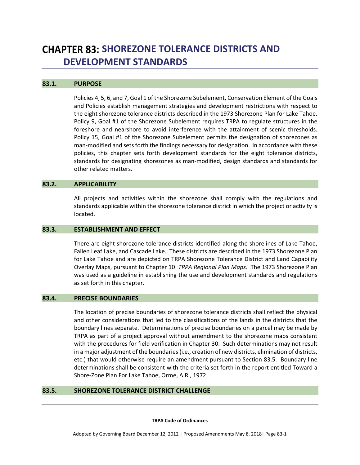# **CHAPTER 83: SHOREZONE TOLERANCE DISTRICTS AND DEVELOPMENT STANDARDS**

#### **83.1. PURPOSE**

Policies 4, 5, 6, and 7, Goal 1 of the Shorezone Subelement, Conservation Element of the Goals and Policies establish management strategies and development restrictions with respect to the eight shorezone tolerance districts described in the 1973 Shorezone Plan for Lake Tahoe. Policy 9, Goal #1 of the Shorezone Subelement requires TRPA to regulate structures in the foreshore and nearshore to avoid interference with the attainment of scenic thresholds. Policy 15, Goal #1 of the Shorezone Subelement permits the designation of shorezones as man-modified and sets forth the findings necessary for designation. In accordance with these policies, this chapter sets forth development standards for the eight tolerance districts, standards for designating shorezones as man‐modified, design standards and standards for other related matters.

#### **83.2. APPLICABILITY**

All projects and activities within the shorezone shall comply with the regulations and standards applicable within the shorezone tolerance district in which the project or activity is located.

### **83.3. ESTABLISHMENT AND EFFECT**

There are eight shorezone tolerance districts identified along the shorelines of Lake Tahoe, Fallen Leaf Lake, and Cascade Lake. These districts are described in the 1973 Shorezone Plan for Lake Tahoe and are depicted on TRPA Shorezone Tolerance District and Land Capability Overlay Maps, pursuant to Chapter 10: *TRPA Regional Plan Maps*. The 1973 Shorezone Plan was used as a guideline in establishing the use and development standards and regulations as set forth in this chapter.

#### **83.4. PRECISE BOUNDARIES**

The location of precise boundaries of shorezone tolerance districts shall reflect the physical and other considerations that led to the classifications of the lands in the districts that the boundary lines separate. Determinations of precise boundaries on a parcel may be made by TRPA as part of a project approval without amendment to the shorezone maps consistent with the procedures for field verification in Chapter 30. Such determinations may not result in a major adjustment of the boundaries(i.e., creation of new districts, elimination of districts, etc.) that would otherwise require an amendment pursuant to Section 83.5. Boundary line determinations shall be consistent with the criteria set forth in the report entitled Toward a Shore‐Zone Plan For Lake Tahoe, Orme, A.R., 1972.

### **83.5. SHOREZONE TOLERANCE DISTRICT CHALLENGE**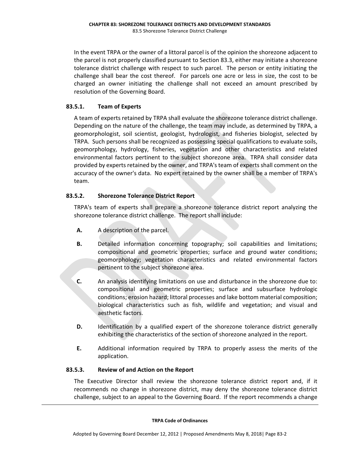In the event TRPA or the owner of a littoral parcel is of the opinion the shorezone adjacent to the parcel is not properly classified pursuant to Section 83.3, either may initiate a shorezone tolerance district challenge with respect to such parcel. The person or entity initiating the challenge shall bear the cost thereof. For parcels one acre or less in size, the cost to be charged an owner initiating the challenge shall not exceed an amount prescribed by resolution of the Governing Board.

# **83.5.1. Team of Experts**

A team of experts retained by TRPA shall evaluate the shorezone tolerance district challenge. Depending on the nature of the challenge, the team may include, as determined by TRPA, a geomorphologist, soil scientist, geologist, hydrologist, and fisheries biologist, selected by TRPA. Such persons shall be recognized as possessing special qualifications to evaluate soils, geomorphology, hydrology, fisheries, vegetation and other characteristics and related environmental factors pertinent to the subject shorezone area. TRPA shall consider data provided by experts retained by the owner, and TRPA's team of experts shall comment on the accuracy of the owner's data. No expert retained by the owner shall be a member of TRPA's team.

# **83.5.2. Shorezone Tolerance District Report**

TRPA's team of experts shall prepare a shorezone tolerance district report analyzing the shorezone tolerance district challenge. The report shall include:

- **A.** A description of the parcel.
- **B.** Detailed information concerning topography; soil capabilities and limitations; compositional and geometric properties; surface and ground water conditions; geomorphology; vegetation characteristics and related environmental factors pertinent to the subject shorezone area.
- **C.** An analysis identifying limitations on use and disturbance in the shorezone due to: compositional and geometric properties; surface and subsurface hydrologic conditions; erosion hazard; littoral processes and lake bottom material composition; biological characteristics such as fish, wildlife and vegetation; and visual and aesthetic factors.
- **D.** Identification by a qualified expert of the shorezone tolerance district generally exhibiting the characteristics of the section of shorezone analyzed in the report.
- **E.** Additional information required by TRPA to properly assess the merits of the application.

# **83.5.3. Review of and Action on the Report**

The Executive Director shall review the shorezone tolerance district report and, if it recommends no change in shorezone district, may deny the shorezone tolerance district challenge, subject to an appeal to the Governing Board. If the report recommends a change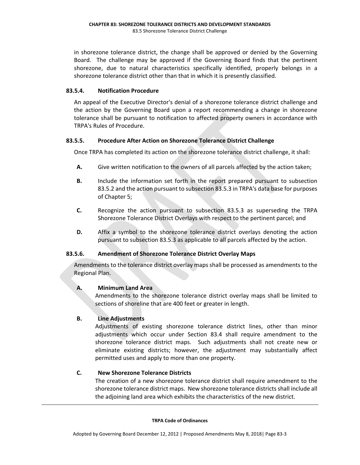in shorezone tolerance district, the change shall be approved or denied by the Governing Board. The challenge may be approved if the Governing Board finds that the pertinent shorezone, due to natural characteristics specifically identified, properly belongs in a shorezone tolerance district other than that in which it is presently classified.

# **83.5.4. Notification Procedure**

An appeal of the Executive Director's denial of a shorezone tolerance district challenge and the action by the Governing Board upon a report recommending a change in shorezone tolerance shall be pursuant to notification to affected property owners in accordance with TRPA's Rules of Procedure.

# **83.5.5. Procedure After Action on Shorezone Tolerance District Challenge**

Once TRPA has completed its action on the shorezone tolerance district challenge, it shall:

- **A.** Give written notification to the owners of all parcels affected by the action taken;
- **B.** Include the information set forth in the report prepared pursuant to subsection 83.5.2 and the action pursuant to subsection 83.5.3 in TRPA's data base for purposes of Chapter 5;
- **C.** Recognize the action pursuant to subsection 83.5.3 as superseding the TRPA Shorezone Tolerance District Overlays with respect to the pertinent parcel; and
- **D.** Affix a symbol to the shorezone tolerance district overlays denoting the action pursuant to subsection 83.5.3 as applicable to all parcels affected by the action.

# **83.5.6. Amendment of Shorezone Tolerance District Overlay Maps**

Amendments to the tolerance district overlay maps shall be processed as amendments to the Regional Plan.

# **A. Minimum Land Area**

Amendments to the shorezone tolerance district overlay maps shall be limited to sections of shoreline that are 400 feet or greater in length.

# **B. Line Adjustments**

Adjustments of existing shorezone tolerance district lines, other than minor adjustments which occur under Section 83.4 shall require amendment to the shorezone tolerance district maps. Such adjustments shall not create new or eliminate existing districts; however, the adjustment may substantially affect permitted uses and apply to more than one property.

# **C. New Shorezone Tolerance Districts**

The creation of a new shorezone tolerance district shall require amendment to the shorezone tolerance district maps. New shorezone tolerance districtsshall include all the adjoining land area which exhibits the characteristics of the new district.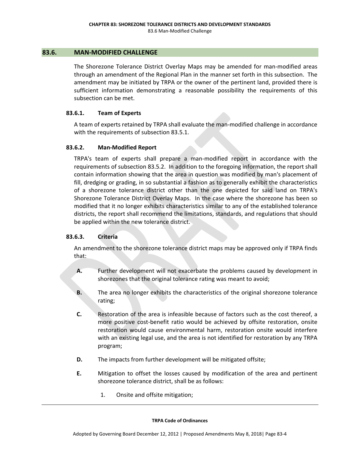### **83.6. MAN‐MODIFIED CHALLENGE**

The Shorezone Tolerance District Overlay Maps may be amended for man-modified areas through an amendment of the Regional Plan in the manner set forth in this subsection. The amendment may be initiated by TRPA or the owner of the pertinent land, provided there is sufficient information demonstrating a reasonable possibility the requirements of this subsection can be met.

### **83.6.1. Team of Experts**

A team of experts retained by TRPA shall evaluate the man‐modified challenge in accordance with the requirements of subsection 83.5.1.

### **83.6.2. Man‐Modified Report**

TRPA's team of experts shall prepare a man‐modified report in accordance with the requirements of subsection 83.5.2. In addition to the foregoing information, the report shall contain information showing that the area in question was modified by man's placement of fill, dredging or grading, in so substantial a fashion as to generally exhibit the characteristics of a shorezone tolerance district other than the one depicted for said land on TRPA's Shorezone Tolerance District Overlay Maps. In the case where the shorezone has been so modified that it no longer exhibits characteristics similar to any of the established tolerance districts, the report shall recommend the limitations, standards, and regulations that should be applied within the new tolerance district.

# **83.6.3. Criteria**

An amendment to the shorezone tolerance district maps may be approved only if TRPA finds that:

- **A.** Further development will not exacerbate the problems caused by development in shorezones that the original tolerance rating was meant to avoid;
- **B.** The area no longer exhibits the characteristics of the original shorezone tolerance rating;
- **C.** Restoration of the area is infeasible because of factors such as the cost thereof, a more positive cost-benefit ratio would be achieved by offsite restoration, onsite restoration would cause environmental harm, restoration onsite would interfere with an existing legal use, and the area is not identified for restoration by any TRPA program;
- **D.** The impacts from further development will be mitigated offsite;
- **E.** Mitigation to offset the losses caused by modification of the area and pertinent shorezone tolerance district, shall be as follows:
	- 1. Onsite and offsite mitigation;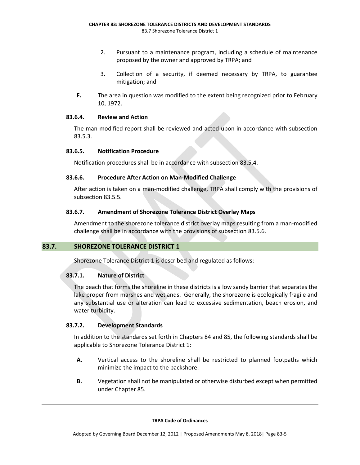- 2. Pursuant to a maintenance program, including a schedule of maintenance proposed by the owner and approved by TRPA; and
- 3. Collection of a security, if deemed necessary by TRPA, to guarantee mitigation; and
- **F.** The area in question was modified to the extent being recognized prior to February 10, 1972.

### **83.6.4. Review and Action**

The man‐modified report shall be reviewed and acted upon in accordance with subsection 83.5.3.

### **83.6.5. Notification Procedure**

Notification procedures shall be in accordance with subsection 83.5.4.

# **83.6.6. Procedure After Action on Man‐Modified Challenge**

After action is taken on a man‐modified challenge, TRPA shall comply with the provisions of subsection 83.5.5.

### **83.6.7. Amendment of Shorezone Tolerance District Overlay Maps**

Amendment to the shorezone tolerance district overlay maps resulting from a man‐modified challenge shall be in accordance with the provisions of subsection 83.5.6.

# **83.7. SHOREZONE TOLERANCE DISTRICT 1**

Shorezone Tolerance District 1 is described and regulated as follows:

# **83.7.1. Nature of District**

The beach that forms the shoreline in these districts is a low sandy barrier that separates the lake proper from marshes and wetlands. Generally, the shorezone is ecologically fragile and any substantial use or alteration can lead to excessive sedimentation, beach erosion, and water turbidity.

# **83.7.2. Development Standards**

In addition to the standards set forth in Chapters 84 and 85, the following standards shall be applicable to Shorezone Tolerance District 1:

- **A.** Vertical access to the shoreline shall be restricted to planned footpaths which minimize the impact to the backshore.
- **B.** Vegetation shall not be manipulated or otherwise disturbed except when permitted under Chapter 85.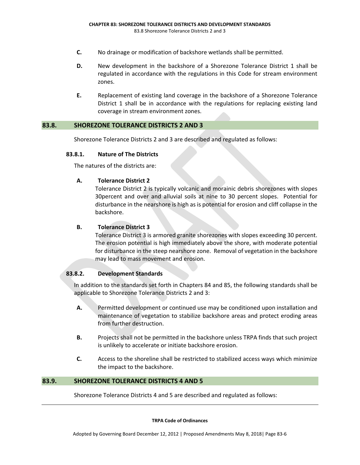- **C.** No drainage or modification of backshore wetlands shall be permitted.
- **D.** New development in the backshore of a Shorezone Tolerance District 1 shall be regulated in accordance with the regulations in this Code for stream environment zones.
- **E.** Replacement of existing land coverage in the backshore of a Shorezone Tolerance District 1 shall be in accordance with the regulations for replacing existing land coverage in stream environment zones.

### **83.8. SHOREZONE TOLERANCE DISTRICTS 2 AND 3**

Shorezone Tolerance Districts 2 and 3 are described and regulated as follows:

#### **83.8.1. Nature of The Districts**

The natures of the districts are:

### **A. Tolerance District 2**

Tolerance District 2 is typically volcanic and morainic debris shorezones with slopes 30percent and over and alluvial soils at nine to 30 percent slopes. Potential for disturbance in the nearshore is high as is potential for erosion and cliff collapse in the backshore.

#### **B. Tolerance District 3**

Tolerance District 3 is armored granite shorezones with slopes exceeding 30 percent. The erosion potential is high immediately above the shore, with moderate potential for disturbance in the steep nearshore zone. Removal of vegetation in the backshore may lead to mass movement and erosion.

#### **83.8.2. Development Standards**

In addition to the standards set forth in Chapters 84 and 85, the following standards shall be applicable to Shorezone Tolerance Districts 2 and 3:

- **A.** Permitted development or continued use may be conditioned upon installation and maintenance of vegetation to stabilize backshore areas and protect eroding areas from further destruction.
- **B.** Projects shall not be permitted in the backshore unless TRPA finds that such project is unlikely to accelerate or initiate backshore erosion.
- **C.** Access to the shoreline shall be restricted to stabilized access ways which minimize the impact to the backshore.

# **83.9. SHOREZONE TOLERANCE DISTRICTS 4 AND 5**

Shorezone Tolerance Districts 4 and 5 are described and regulated as follows: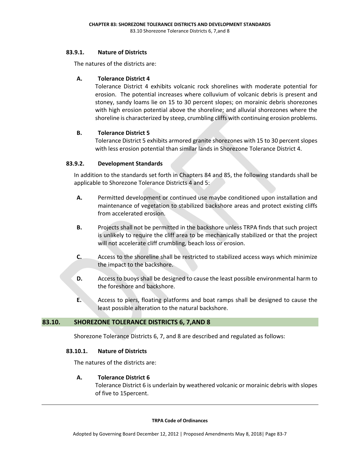### **83.9.1. Nature of Districts**

The natures of the districts are:

# **A. Tolerance District 4**

Tolerance District 4 exhibits volcanic rock shorelines with moderate potential for erosion. The potential increases where colluvium of volcanic debris is present and stoney, sandy loams lie on 15 to 30 percent slopes; on morainic debris shorezones with high erosion potential above the shoreline; and alluvial shorezones where the shoreline is characterized by steep, crumbling cliffs with continuing erosion problems.

# **B. Tolerance District 5**

Tolerance District 5 exhibits armored granite shorezones with 15 to 30 percent slopes with less erosion potential than similar lands in Shorezone Tolerance District 4.

# **83.9.2. Development Standards**

In addition to the standards set forth in Chapters 84 and 85, the following standards shall be applicable to Shorezone Tolerance Districts 4 and 5:

- **A.** Permitted development or continued use maybe conditioned upon installation and maintenance of vegetation to stabilized backshore areas and protect existing cliffs from accelerated erosion.
- **B.** Projects shall not be permitted in the backshore unless TRPA finds that such project is unlikely to require the cliff area to be mechanically stabilized or that the project will not accelerate cliff crumbling, beach loss or erosion.
- **C.** Access to the shoreline shall be restricted to stabilized access ways which minimize the impact to the backshore.
- **D.** Access to buoys shall be designed to cause the least possible environmental harm to the foreshore and backshore.
- **E.** Access to piers, floating platforms and boat ramps shall be designed to cause the least possible alteration to the natural backshore.

# **83.10. SHOREZONE TOLERANCE DISTRICTS 6, 7,AND 8**

Shorezone Tolerance Districts 6, 7, and 8 are described and regulated as follows:

# **83.10.1. Nature of Districts**

The natures of the districts are:

# **A. Tolerance District 6**

Tolerance District 6 is underlain by weathered volcanic or morainic debris with slopes of five to 15percent.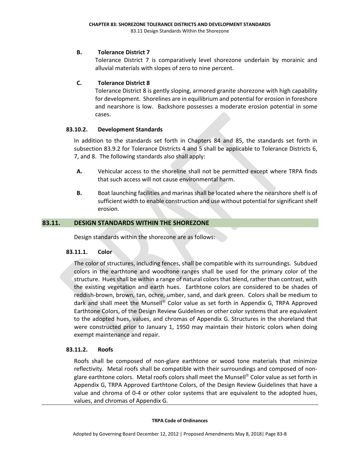# **B. Tolerance District 7**

Tolerance District 7 is comparatively level shorezone underlain by morainic and alluvial materials with slopes of zero to nine percent.

### **C. Tolerance District 8**

Tolerance District 8 is gently sloping, armored granite shorezone with high capability for development. Shorelines are in equilibrium and potential for erosion in foreshore and nearshore is low. Backshore possesses a moderate erosion potential in some cases.

### **83.10.2. Development Standards**

In addition to the standards set forth in Chapters 84 and 85, the standards set forth in subsection 83.9.2 for Tolerance Districts 4 and 5 shall be applicable to Tolerance Districts 6, 7, and 8. The following standards also shall apply:

- **A.** Vehicular access to the shoreline shall not be permitted except where TRPA finds that such access will not cause environmental harm.
- **B.** Boat launching facilities and marinas shall be located where the nearshore shelf is of sufficient width to enable construction and use without potential for significant shelf erosion.

### **83.11. DESIGN STANDARDS WITHIN THE SHOREZONE**

Design standards within the shorezone are as follows:

#### **83.11.1. Color**

The color of structures, including fences, shall be compatible with its surroundings. Subdued colors in the earthtone and woodtone ranges shall be used for the primary color of the structure. Hues shall be within a range of natural colors that blend, rather than contrast, with the existing vegetation and earth hues. Earthtone colors are considered to be shades of reddish‐brown, brown, tan, ochre, umber, sand, and dark green. Colors shall be medium to dark and shall meet the Munsell® Color value as set forth in Appendix G, TRPA Approved Earthtone Colors, of the Design Review Guidelines or other color systems that are equivalent to the adopted hues, values, and chromas of Appendix G. Structures in the shoreland that were constructed prior to January 1, 1950 may maintain their historic colors when doing exempt maintenance and repair.

#### **83.11.2. Roofs**

Roofs shall be composed of non‐glare earthtone or wood tone materials that minimize reflectivity. Metal roofs shall be compatible with their surroundings and composed of non‐ glare earthtone colors. Metal roofs colors shall meet the Munsell® Color value as set forth in Appendix G, TRPA Approved Earthtone Colors, of the Design Review Guidelines that have a value and chroma of 0-4 or other color systems that are equivalent to the adopted hues, values, and chromas of Appendix G.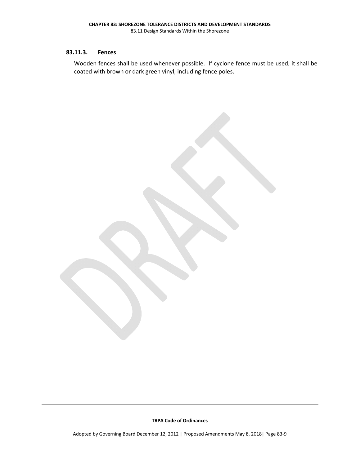# **83.11.3. Fences**

Wooden fences shall be used whenever possible. If cyclone fence must be used, it shall be coated with brown or dark green vinyl, including fence poles.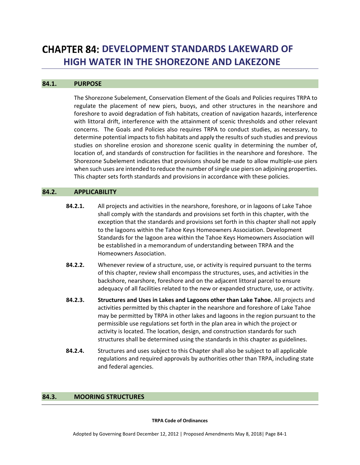# **CHAPTER 84: DEVELOPMENT STANDARDS LAKEWARD OF HIGH WATER IN THE SHOREZONE AND LAKEZONE**

#### **84.1. PURPOSE**

The Shorezone Subelement, Conservation Element of the Goals and Policies requires TRPA to regulate the placement of new piers, buoys, and other structures in the nearshore and foreshore to avoid degradation of fish habitats, creation of navigation hazards, interference with littoral drift, interference with the attainment of scenic thresholds and other relevant concerns. The Goals and Policies also requires TRPA to conduct studies, as necessary, to determine potential impacts to fish habitats and apply the results of such studies and previous studies on shoreline erosion and shorezone scenic quality in determining the number of, location of, and standards of construction for facilities in the nearshore and foreshore. The Shorezone Subelement indicates that provisions should be made to allow multiple‐use piers when such uses are intended to reduce the number of single use piers on adjoining properties. This chapter sets forth standards and provisions in accordance with these policies.

### **84.2. APPLICABILITY**

- **84.2.1.** All projects and activities in the nearshore, foreshore, or in lagoons of Lake Tahoe shall comply with the standards and provisions set forth in this chapter, with the exception that the standards and provisions set forth in this chapter shall not apply to the lagoons within the Tahoe Keys Homeowners Association. Development Standards for the lagoon area within the Tahoe Keys Homeowners Association will be established in a memorandum of understanding between TRPA and the Homeowners Association.
- **84.2.2.** Whenever review of a structure, use, or activity is required pursuant to the terms of this chapter, review shall encompass the structures, uses, and activities in the backshore, nearshore, foreshore and on the adjacent littoral parcel to ensure adequacy of all facilities related to the new or expanded structure, use, or activity.
- **84.2.3. Structures and Uses in Lakes and Lagoons other than Lake Tahoe.** All projects and activities permitted by this chapter in the nearshore and foreshore of Lake Tahoe may be permitted by TRPA in other lakes and lagoons in the region pursuant to the permissible use regulations set forth in the plan area in which the project or activity is located. The location, design, and construction standards for such structures shall be determined using the standards in this chapter as guidelines.
- **84.2.4.** Structures and uses subject to this Chapter shall also be subject to all applicable regulations and required approvals by authorities other than TRPA, including state and federal agencies.

#### **84.3. MOORING STRUCTURES**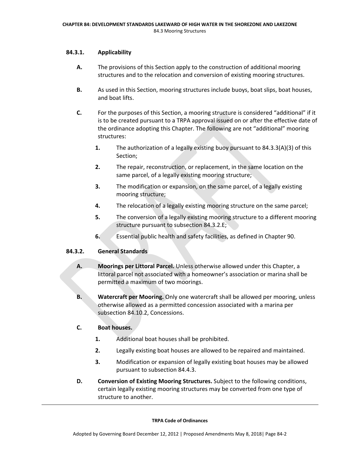# **84.3.1. Applicability**

- **A.** The provisions of this Section apply to the construction of additional mooring structures and to the relocation and conversion of existing mooring structures.
- **B.** As used in this Section, mooring structures include buoys, boat slips, boat houses, and boat lifts.
- **C.** For the purposes of this Section, a mooring structure is considered "additional" if it is to be created pursuant to a TRPA approval issued on or after the effective date of the ordinance adopting this Chapter. The following are not "additional" mooring structures:
	- **1.** The authorization of a legally existing buoy pursuant to 84.3.3(A)(3) of this Section;
	- **2.** The repair, reconstruction, or replacement, in the same location on the same parcel, of a legally existing mooring structure;
	- **3.** The modification or expansion, on the same parcel, of a legally existing mooring structure;
	- **4.** The relocation of a legally existing mooring structure on the same parcel;
	- **5.** The conversion of a legally existing mooring structure to a different mooring structure pursuant to subsection 84.3.2.E;
	- **6.** Essential public health and safety facilities, as defined in Chapter 90.

# **84.3.2. General Standards**

- **A. Moorings per Littoral Parcel.** Unless otherwise allowed under this Chapter, a littoral parcel not associated with a homeowner's association or marina shall be permitted a maximum of two moorings.
- **B. Watercraft per Mooring.** Only one watercraft shall be allowed per mooring, unless otherwise allowed as a permitted concession associated with a marina per subsection 84.10.2, Concessions.

# **C. Boat houses.**

- **1.** Additional boat houses shall be prohibited.
- **2.** Legally existing boat houses are allowed to be repaired and maintained.
- **3.** Modification or expansion of legally existing boat houses may be allowed pursuant to subsection 84.4.3.
- **D. Conversion of Existing Mooring Structures.** Subject to the following conditions, certain legally existing mooring structures may be converted from one type of structure to another.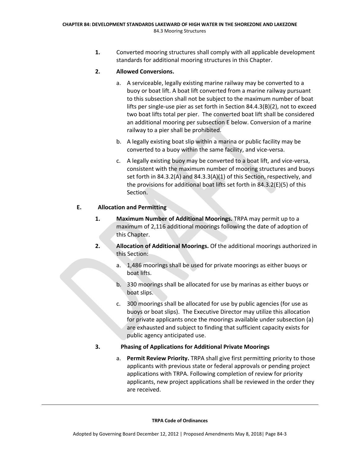**1.** Converted mooring structures shall comply with all applicable development standards for additional mooring structures in this Chapter.

# **2. Allowed Conversions.**

- a. A serviceable, legally existing marine railway may be converted to a buoy or boat lift. A boat lift converted from a marine railway pursuant to this subsection shall not be subject to the maximum number of boat lifts per single‐use pier as set forth in Section 84.4.3(B)(2), not to exceed two boat lifts total per pier. The converted boat lift shall be considered an additional mooring per subsection E below. Conversion of a marine railway to a pier shall be prohibited.
- b. A legally existing boat slip within a marina or public facility may be converted to a buoy within the same facility, and vice‐versa.
- c. A legally existing buoy may be converted to a boat lift, and vice‐versa, consistent with the maximum number of mooring structures and buoys set forth in 84.3.2(A) and 84.3.3(A)(1) of this Section, respectively, and the provisions for additional boat lifts set forth in 84.3.2(E)(5) of this Section.

# **E. Allocation and Permitting**

- **1. Maximum Number of Additional Moorings.** TRPA may permit up to a maximum of 2,116 additional moorings following the date of adoption of this Chapter.
- **2. Allocation of Additional Moorings.** Of the additional moorings authorized in this Section:
	- a. 1,486 moorings shall be used for private moorings as either buoys or boat lifts.
	- b. 330 moorings shall be allocated for use by marinas as either buoys or boat slips.
	- c. 300 moorings shall be allocated for use by public agencies (for use as buoys or boat slips). The Executive Director may utilize this allocation for private applicants once the moorings available under subsection (a) are exhausted and subject to finding that sufficient capacity exists for public agency anticipated use.

# **3. Phasing of Applications for Additional Private Moorings**

a. **Permit Review Priority.** TRPA shall give first permitting priority to those applicants with previous state or federal approvals or pending project applications with TRPA. Following completion of review for priority applicants, new project applications shall be reviewed in the order they are received.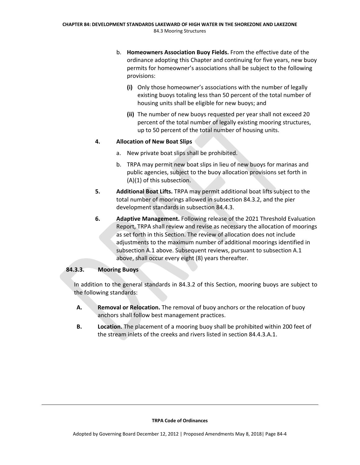- b. **Homeowners Association Buoy Fields.** From the effective date of the ordinance adopting this Chapter and continuing for five years, new buoy permits for homeowner's associations shall be subject to the following provisions:
	- **(i)** Only those homeowner's associations with the number of legally existing buoys totaling less than 50 percent of the total number of housing units shall be eligible for new buoys; and
	- **(ii)** The number of new buoys requested per year shall not exceed 20 percent of the total number of legally existing mooring structures, up to 50 percent of the total number of housing units.

# **4. Allocation of New Boat Slips**

- a. New private boat slips shall be prohibited.
- b. TRPA may permit new boat slips in lieu of new buoys for marinas and public agencies, subject to the buoy allocation provisions set forth in (A)(1) of this subsection.
- **5. Additional Boat Lifts.** TRPA may permit additional boat lifts subject to the total number of moorings allowed in subsection 84.3.2, and the pier development standards in subsection 84.4.3.
- **6. Adaptive Management.** Following release of the 2021 Threshold Evaluation Report, TRPA shall review and revise as necessary the allocation of moorings as set forth in this Section. The review of allocation does not include adjustments to the maximum number of additional moorings identified in subsection A.1 above. Subsequent reviews, pursuant to subsection A.1 above, shall occur every eight (8) years thereafter.

# **84.3.3. Mooring Buoys**

In addition to the general standards in 84.3.2 of this Section, mooring buoys are subject to the following standards:

- **A. Removal or Relocation.** The removal of buoy anchors or the relocation of buoy anchors shall follow best management practices.
- **B. Location.** The placement of a mooring buoy shall be prohibited within 200 feet of the stream inlets of the creeks and rivers listed in section 84.4.3.A.1.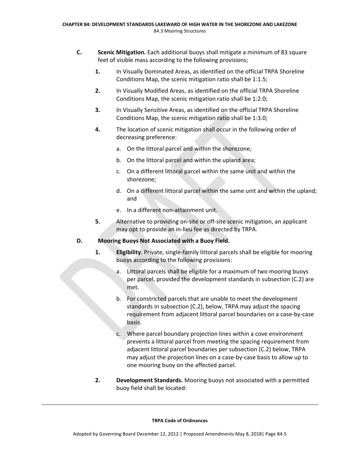- **C. Scenic Mitigation.** Each additional buoys shall mitigate a minimum of 83 square feet of visible mass according to the following provisions;
	- **1.** In Visually Dominated Areas, as identified on the official TRPA Shoreline Conditions Map, the scenic mitigation ratio shall be 1:1.5;
	- **2.** In Visually Modified Areas, as identified on the official TRPA Shoreline Conditions Map, the scenic mitigation ratio shall be 1:2.0;
	- **3.** In Visually Sensitive Areas, as identified on the official TRPA Shoreline Conditions Map, the scenic mitigation ratio shall be 1:3.0;
	- **4.** The location of scenic mitigation shall occur in the following order of decreasing preference:
		- a. On the littoral parcel and within the shorezone;
		- b. On the littoral parcel and within the upland area;
		- c. On a different littoral parcel within the same unit and within the shorezone;
		- d. On a different littoral parcel within the same unit and within the upland; and
		- e. In a different non‐attainment unit.
	- **5.** Alternative to providing on‐site or off‐site scenic mitigation, an applicant may opt to provide an in‐lieu fee as directed by TRPA.

# **D. Mooring Buoys Not Associated with a Buoy Field.**

- 1. **Eligibility**. Private, single-family littoral parcels shall be eligible for mooring buoys according to the following provisions:
	- a. Littoral parcels shall be eligible for a maximum of two mooring buoys per parcel, provided the development standards in subsection (C.2) are met.
	- b. For constricted parcels that are unable to meet the development standards in subsection (C.2), below, TRPA may adjust the spacing requirement from adjacent littoral parcel boundaries on a case‐by‐case basis.
	- c. Where parcel boundary projection lines within a cove environment prevents a littoral parcel from meeting the spacing requirement from adjacent littoral parcel boundaries per subsection (C.2) below, TRPA may adjust the projection lines on a case‐by‐case basis to allow up to one mooring buoy on the affected parcel.
- **2. Development Standards.** Mooring buoys not associated with a permitted buoy field shall be located: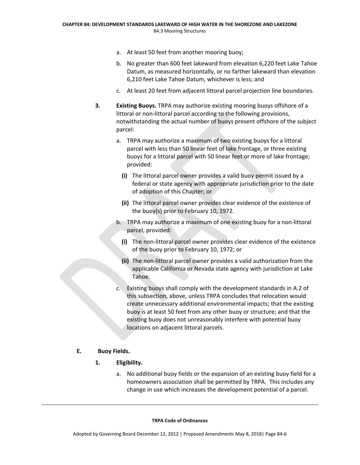- a. At least 50 feet from another mooring buoy;
- b. No greater than 600 feet lakeward from elevation 6,220 feet Lake Tahoe Datum, as measured horizontally, or no farther lakeward than elevation 6,210 feet Lake Tahoe Datum, whichever is less; and
- c. At least 20 feet from adjacent littoral parcel projection line boundaries.
- **3. Existing Buoys.** TRPA may authorize existing mooring buoys offshore of a littoral or non‐littoral parcel according to the following provisions, notwithstanding the actual number of buoys present offshore of the subject parcel:
	- a. TRPA may authorize a maximum of two existing buoys for a littoral parcel with less than 50 linear feet of lake frontage, or three existing buoys for a littoral parcel with 50 linear feet or more of lake frontage; provided:
		- **(i)** The littoral parcel owner provides a valid buoy permit issued by a federal or state agency with appropriate jurisdiction prior to the date of adoption of this Chapter; or
		- **(ii)** The littoral parcel owner provides clear evidence of the existence of the buoy(s) prior to February 10, 1972.
	- b. TRPA may authorize a maximum of one existing buoy for a non‐littoral parcel, provided:
		- **(i)** The non‐littoral parcel owner provides clear evidence of the existence of the buoy prior to February 10, 1972; or
		- **(ii)** The non‐littoral parcel owner provides a valid authorization from the applicable California or Nevada state agency with jurisdiction at Lake Tahoe.
	- c. Existing buoys shall comply with the development standards in A.2 of this subsection, above, unless TRPA concludes that relocation would create unnecessary additional environmental impacts; that the existing buoy is at least 50 feet from any other buoy or structure; and that the existing buoy does not unreasonably interfere with potential buoy locations on adjacent littoral parcels.

# **E. Buoy Fields.**

- **1. Eligibility.**
	- a. No additional buoy fields or the expansion of an existing buoy field for a homeowners association shall be permitted by TRPA. This includes any change in use which increases the development potential of a parcel.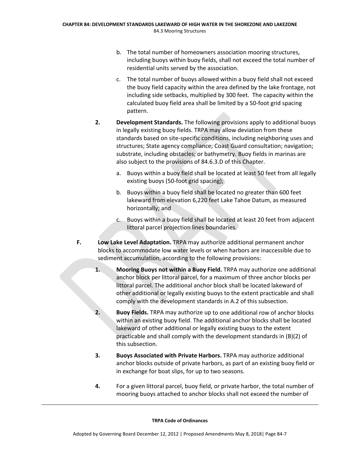- b. The total number of homeowners association mooring structures, including buoys within buoy fields, shall not exceed the total number of residential units served by the association.
- c. The total number of buoys allowed within a buoy field shall not exceed the buoy field capacity within the area defined by the lake frontage, not including side setbacks, multiplied by 300 feet. The capacity within the calculated buoy field area shall be limited by a 50‐foot grid spacing pattern.
- **2. Development Standards.** The following provisions apply to additional buoys in legally existing buoy fields. TRPA may allow deviation from these standards based on site‐specific conditions, including neighboring uses and structures; State agency compliance; Coast Guard consultation; navigation; substrate, including obstacles; or bathymetry. Buoy fields in marinas are also subject to the provisions of 84.6.3.D of this Chapter.
	- a. Buoys within a buoy field shall be located at least 50 feet from all legally existing buoys (50-foot grid spacing);
	- b. Buoys within a buoy field shall be located no greater than 600 feet lakeward from elevation 6,220 feet Lake Tahoe Datum, as measured horizontally; and
	- c. Buoys within a buoy field shall be located at least 20 feet from adjacent littoral parcel projection lines boundaries.
- **F. Low Lake Level Adaptation.** TRPA may authorize additional permanent anchor blocks to accommodate low water levels or when harbors are inaccessible due to sediment accumulation, according to the following provisions:
	- **1. Mooring Buoys not within a Buoy Field.** TRPA may authorize one additional anchor block per littoral parcel, for a maximum of three anchor blocks per littoral parcel. The additional anchor block shall be located lakeward of other additional or legally existing buoys to the extent practicable and shall comply with the development standards in A.2 of this subsection.
	- **2. Buoy Fields.** TRPA may authorize up to one additional row of anchor blocks within an existing buoy field. The additional anchor blocks shall be located lakeward of other additional or legally existing buoys to the extent practicable and shall comply with the development standards in (B)(2) of this subsection.
	- **3. Buoys Associated with Private Harbors.** TRPA may authorize additional anchor blocks outside of private harbors, as part of an existing buoy field or in exchange for boat slips, for up to two seasons.
	- **4.** For a given littoral parcel, buoy field, or private harbor, the total number of mooring buoys attached to anchor blocks shall not exceed the number of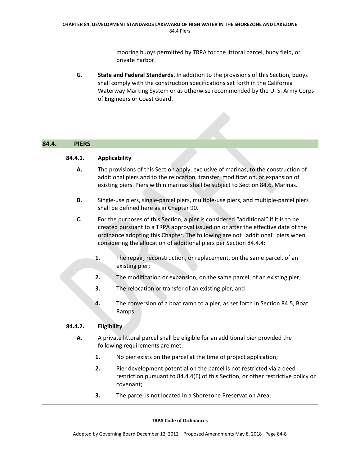mooring buoys permitted by TRPA for the littoral parcel, buoy field, or private harbor.

**G. State and Federal Standards.** In addition to the provisions of this Section, buoys shall comply with the construction specifications set forth in the California Waterway Marking System or as otherwise recommended by the U. S. Army Corps of Engineers or Coast Guard.

# **84.4. PIERS**

# **84.4.1. Applicability**

- **A.** The provisions of this Section apply, exclusive of marinas, to the construction of additional piers and to the relocation, transfer, modification, or expansion of existing piers. Piers within marinas shall be subject to Section 84.6, Marinas.
- **B.** Single‐use piers, single‐parcel piers, multiple‐use piers, and multiple‐parcel piers shall be defined here as in Chapter 90.
- **C.** For the purposes of this Section, a pier is considered "additional" if it is to be created pursuant to a TRPA approval issued on or after the effective date of the ordinance adopting this Chapter. The following are not "additional" piers when considering the allocation of additional piers per Section 84.4.4:
	- **1.** The repair, reconstruction, or replacement, on the same parcel, of an existing pier;
	- **2.** The modification or expansion, on the same parcel, of an existing pier;
	- **3.** The relocation or transfer of an existing pier, and
	- **4.** The conversion of a boat ramp to a pier, as set forth in Section 84.5, Boat Ramps.

# **84.4.2. Eligibility**

- **A.** A private littoral parcel shall be eligible for an additional pier provided the following requirements are met:
	- **1.** No pier exists on the parcel at the time of project application;
	- **2.** Pier development potential on the parcel is not restricted via a deed restriction pursuant to 84.4.4(E) of this Section, or other restrictive policy or covenant;
	- **3.** The parcel is not located in a Shorezone Preservation Area;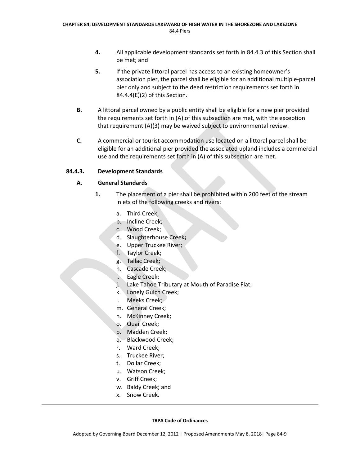- **4.** All applicable development standards set forth in 84.4.3 of this Section shall be met; and
- **5.** If the private littoral parcel has access to an existing homeowner's association pier, the parcel shall be eligible for an additional multiple‐parcel pier only and subject to the deed restriction requirements set forth in 84.4.4(E)(2) of this Section.
- **B.** A littoral parcel owned by a public entity shall be eligible for a new pier provided the requirements set forth in (A) of this subsection are met, with the exception that requirement (A)(3) may be waived subject to environmental review.
- **C.** A commercial or tourist accommodation use located on a littoral parcel shall be eligible for an additional pier provided the associated upland includes a commercial use and the requirements set forth in (A) of this subsection are met.

# **84.4.3. Development Standards**

# **A. General Standards**

- **1.** The placement of a pier shall be prohibited within 200 feet of the stream inlets of the following creeks and rivers:
	- a. Third Creek;
	- b. Incline Creek;
	- c. Wood Creek;
	- d. Slaughterhouse Creek**;**
	- e. Upper Truckee River;
	- f. Taylor Creek;
	- g. Tallac Creek;
	- h. Cascade Creek;
	- i. Eagle Creek;
	- j. Lake Tahoe Tributary at Mouth of Paradise Flat;
	- k. Lonely Gulch Creek;
	- l. Meeks Creek;
	- m. General Creek;
	- n. McKinney Creek;
	- o. Quail Creek;
	- p. Madden Creek;
	- q. Blackwood Creek;
	- r. Ward Creek;
	- s. Truckee River;
	- t. Dollar Creek;
	- u. Watson Creek;
	- v. Griff Creek;
	- w. Baldy Creek; and
	- x. Snow Creek.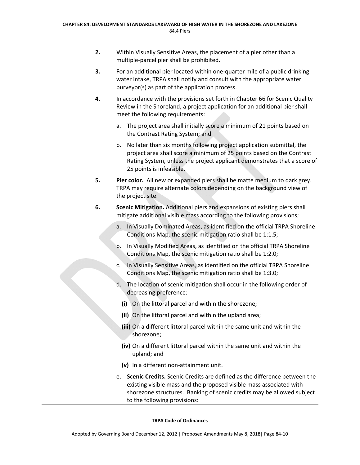- **2.** Within Visually Sensitive Areas, the placement of a pier other than a multiple‐parcel pier shall be prohibited.
- **3.** For an additional pier located within one-quarter mile of a public drinking water intake, TRPA shall notify and consult with the appropriate water purveyor(s) as part of the application process.
- **4.** In accordance with the provisions set forth in Chapter 66 for Scenic Quality Review in the Shoreland, a project application for an additional pier shall meet the following requirements:
	- a. The project area shall initially score a minimum of 21 points based on the Contrast Rating System; and
	- b. No later than six months following project application submittal, the project area shall score a minimum of 25 points based on the Contrast Rating System, unless the project applicant demonstrates that a score of 25 points is infeasible.
- **5. Pier color.** All new or expanded piers shall be matte medium to dark grey. TRPA may require alternate colors depending on the background view of the project site.
- **6. Scenic Mitigation.** Additional piers and expansions of existing piers shall mitigate additional visible mass according to the following provisions;
	- a. In Visually Dominated Areas, as identified on the official TRPA Shoreline Conditions Map, the scenic mitigation ratio shall be 1:1.5;
	- b. In Visually Modified Areas, as identified on the official TRPA Shoreline Conditions Map, the scenic mitigation ratio shall be 1:2.0;
	- c. In Visually Sensitive Areas, as identified on the official TRPA Shoreline Conditions Map, the scenic mitigation ratio shall be 1:3.0;
	- d. The location of scenic mitigation shall occur in the following order of decreasing preference:
		- **(i)** On the littoral parcel and within the shorezone;
		- **(ii)** On the littoral parcel and within the upland area;
		- **(iii)** On a different littoral parcel within the same unit and within the shorezone;
		- **(iv)** On a different littoral parcel within the same unit and within the upland; and
		- **(v)** In a different non‐attainment unit.
	- e. **Scenic Credits.** Scenic Credits are defined as the difference between the existing visible mass and the proposed visible mass associated with shorezone structures. Banking of scenic credits may be allowed subject to the following provisions: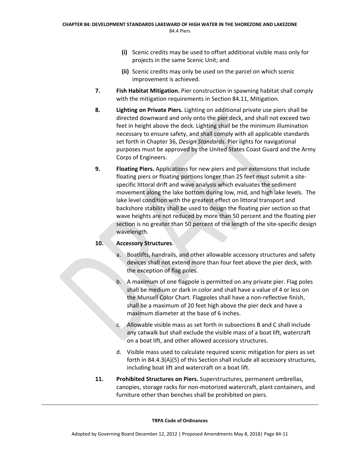- **(i)** Scenic credits may be used to offset additional visible mass only for projects in the same Scenic Unit; and
- **(ii)** Scenic credits may only be used on the parcel on which scenic improvement is achieved.
- **7. Fish Habitat Mitigation.** Pier construction in spawning habitat shall comply with the mitigation requirements in Section 84.11, Mitigation*.*
- **8. Lighting on Private Piers.** Lighting on additional private use piers shall be directed downward and only onto the pier deck, and shall not exceed two feet in height above the deck. Lighting shall be the minimum illumination necessary to ensure safety, and shall comply with all applicable standards set forth in Chapter 36, *Design Standards*. Pier lights for navigational purposes must be approved by the United States Coast Guard and the Army Corps of Engineers.
- **9. Floating Piers.** Applications for new piers and pier extensions that include floating piers or floating portions longer than 25 feet must submit a site‐ specific littoral drift and wave analysis which evaluates the sediment movement along the lake bottom during low, mid, and high lake levels.The lake level condition with the greatest effect on littoral transport and backshore stability shall be used to design the floating pier section so that wave heights are not reduced by more than 50 percent and the floating pier section is no greater than 50 percent of the length of the site-specific design wavelength.

# **10. Accessory Structures**.

- a. Boatlifts, handrails, and other allowable accessory structures and safety devices shall not extend more than four feet above the pier deck, with the exception of flag poles.
- b. A maximum of one flagpole is permitted on any private pier. Flag poles shall be medium or dark in color and shall have a value of 4 or less on the Munsell Color Chart. Flagpoles shall have a non‐reflective finish, shall be a maximum of 20 feet high above the pier deck and have a maximum diameter at the base of 6 inches.
- c. Allowable visible mass as set forth in subsections B and C shall include any catwalk but shall exclude the visible mass of a boat lift, watercraft on a boat lift, and other allowed accessory structures.
- d. Visible mass used to calculate required scenic mitigation for piers as set forth in 84.4.3(A)(5) of this Section shall include all accessory structures, including boat lift and watercraft on a boat lift.
- **11. Prohibited Structures on Piers.** Superstructures, permanent umbrellas, canopies, storage racks for non‐motorized watercraft, plant containers, and furniture other than benches shall be prohibited on piers.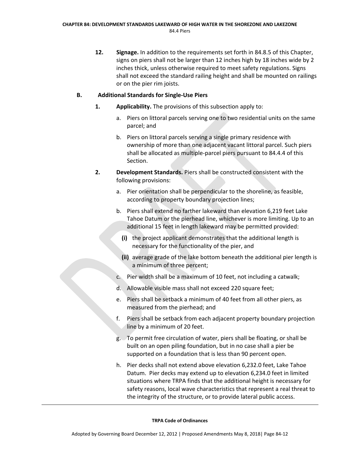**12. Signage.** In addition to the requirements set forth in 84.8.5 of this Chapter, signs on piers shall not be larger than 12 inches high by 18 inches wide by 2 inches thick, unless otherwise required to meet safety regulations. Signs shall not exceed the standard railing height and shall be mounted on railings or on the pier rim joists.

# **B. Additional Standards for Single‐Use Piers**

- **1. Applicability.** The provisions of this subsection apply to:
	- a. Piers on littoral parcels serving one to two residential units on the same parcel; and
	- b. Piers on littoral parcels serving a single primary residence with ownership of more than one adjacent vacant littoral parcel. Such piers shall be allocated as multiple‐parcel piers pursuant to 84.4.4 of this Section.
- **2. Development Standards.** Piers shall be constructed consistent with the following provisions:
	- a. Pier orientation shall be perpendicular to the shoreline, as feasible, according to property boundary projection lines;
	- b. Piers shall extend no farther lakeward than elevation 6,219 feet Lake Tahoe Datum or the pierhead line, whichever is more limiting. Up to an additional 15 feet in length lakeward may be permitted provided:
		- **(i)** the project applicant demonstrates that the additional length is necessary for the functionality of the pier, and
		- **(ii)** average grade of the lake bottom beneath the additional pier length is a minimum of three percent;
	- c. Pier width shall be a maximum of 10 feet, not including a catwalk;
	- d. Allowable visible mass shall not exceed 220 square feet;
	- e. Piers shall be setback a minimum of 40 feet from all other piers, as measured from the pierhead; and
	- f. Piers shall be setback from each adjacent property boundary projection line by a minimum of 20 feet.
	- g. To permit free circulation of water, piers shall be floating, or shall be built on an open piling foundation, but in no case shall a pier be supported on a foundation that is less than 90 percent open.
	- h. Pier decks shall not extend above elevation 6,232.0 feet, Lake Tahoe Datum. Pier decks may extend up to elevation 6,234.0 feet in limited situations where TRPA finds that the additional height is necessary for safety reasons, local wave characteristics that represent a real threat to the integrity of the structure, or to provide lateral public access.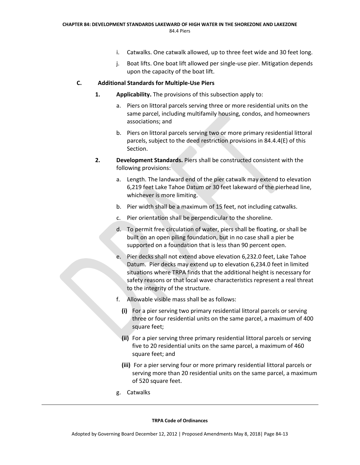- i. Catwalks. One catwalk allowed, up to three feet wide and 30 feet long.
- j. Boat lifts. One boat lift allowed per single‐use pier. Mitigation depends upon the capacity of the boat lift.

#### **C. Additional Standards for Multiple‐Use Piers**

- **1. Applicability.** The provisions of this subsection apply to:
	- a. Piers on littoral parcels serving three or more residential units on the same parcel, including multifamily housing, condos, and homeowners associations; and
	- b. Piers on littoral parcels serving two or more primary residential littoral parcels, subject to the deed restriction provisions in 84.4.4(E) of this Section.
- **2. Development Standards.** Piers shall be constructed consistent with the following provisions:
	- a. Length. The landward end of the pier catwalk may extend to elevation 6,219 feet Lake Tahoe Datum or 30 feet lakeward of the pierhead line, whichever is more limiting.
	- b. Pier width shall be a maximum of 15 feet, not including catwalks.
	- c. Pier orientation shall be perpendicular to the shoreline.
	- d. To permit free circulation of water, piers shall be floating, or shall be built on an open piling foundation, but in no case shall a pier be supported on a foundation that is less than 90 percent open.
	- e. Pier decks shall not extend above elevation 6,232.0 feet, Lake Tahoe Datum. Pier decks may extend up to elevation 6,234.0 feet in limited situations where TRPA finds that the additional height is necessary for safety reasons or that local wave characteristics represent a real threat to the integrity of the structure.
	- f. Allowable visible mass shall be as follows:
		- **(i)** For a pier serving two primary residential littoral parcels or serving three or four residential units on the same parcel, a maximum of 400 square feet;
		- **(ii)** For a pier serving three primary residential littoral parcels or serving five to 20 residential units on the same parcel, a maximum of 460 square feet; and
		- **(iii)** For a pier serving four or more primary residential littoral parcels or serving more than 20 residential units on the same parcel, a maximum of 520 square feet.
	- g. Catwalks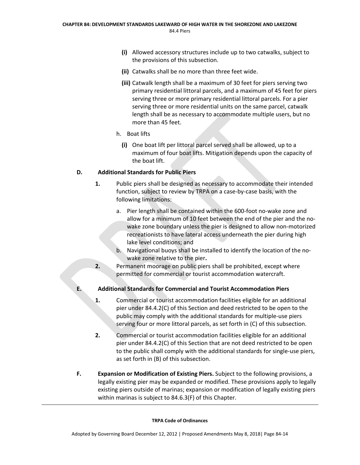- **(i)** Allowed accessory structures include up to two catwalks, subject to the provisions of this subsection.
- **(ii)** Catwalks shall be no more than three feet wide.
- **(iii)** Catwalk length shall be a maximum of 30 feet for piers serving two primary residential littoral parcels, and a maximum of 45 feet for piers serving three or more primary residential littoral parcels. For a pier serving three or more residential units on the same parcel, catwalk length shall be as necessary to accommodate multiple users, but no more than 45 feet.
- h. Boat lifts
	- **(i)** One boat lift per littoral parcel served shall be allowed, up to a maximum of four boat lifts. Mitigation depends upon the capacity of the boat lift.

# **D. Additional Standards for Public Piers**

- **1.** Public piers shall be designed as necessary to accommodate their intended function, subject to review by TRPA on a case‐by‐case basis, with the following limitations:
	- a. Pier length shall be contained within the 600‐foot no‐wake zone and allow for a minimum of 10 feet between the end of the pier and the no‐ wake zone boundary unless the pier is designed to allow non-motorized recreationists to have lateral access underneath the pier during high lake level conditions; and
	- b. Navigational buoys shall be installed to identify the location of the no‐ wake zone relative to the pier**.**
- **2.** Permanent moorage on public piers shall be prohibited, except where permitted for commercial or tourist accommodation watercraft.
- **E. Additional Standards for Commercial and Tourist Accommodation Piers**
	- **1.** Commercial or tourist accommodation facilities eligible for an additional pier under 84.4.2(C) of this Section and deed restricted to be open to the public may comply with the additional standards for multiple‐use piers serving four or more littoral parcels, as set forth in (C) of this subsection.
	- **2.** Commercial or tourist accommodation facilities eligible for an additional pier under 84.4.2(C) of this Section that are not deed restricted to be open to the public shall comply with the additional standards for single‐use piers, as set forth in (B) of this subsection.
- **F. Expansion or Modification of Existing Piers.** Subject to the following provisions, a legally existing pier may be expanded or modified. These provisions apply to legally existing piers outside of marinas; expansion or modification of legally existing piers within marinas is subject to 84.6.3(F) of this Chapter.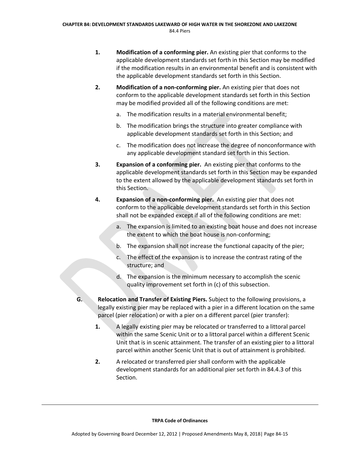- **1. Modification of a conforming pier.** An existing pier that conforms to the applicable development standards set forth in this Section may be modified if the modification results in an environmental benefit and is consistent with the applicable development standards set forth in this Section.
- **2. Modification of a non‐conforming pier.** An existing pier that does not conform to the applicable development standards set forth in this Section may be modified provided all of the following conditions are met:
	- a. The modification results in a material environmental benefit;
	- b. The modification brings the structure into greater compliance with applicable development standards set forth in this Section; and
	- c. The modification does not increase the degree of nonconformance with any applicable development standard set forth in this Section.
- **3. Expansion of a conforming pier.** An existing pier that conforms to the applicable development standards set forth in this Section may be expanded to the extent allowed by the applicable development standards set forth in this Section.
- **4. Expansion of a non‐conforming pier.** An existing pier that does not conform to the applicable development standards set forth in this Section shall not be expanded except if all of the following conditions are met:
	- a. The expansion is limited to an existing boat house and does not increase the extent to which the boat house is non‐conforming;
	- b. The expansion shall not increase the functional capacity of the pier;
	- c. The effect of the expansion is to increase the contrast rating of the structure; and
	- d. The expansion is the minimum necessary to accomplish the scenic quality improvement set forth in (c) of this subsection.
- **G. Relocation and Transfer of Existing Piers.** Subject to the following provisions, a legally existing pier may be replaced with a pier in a different location on the same parcel (pier relocation) or with a pier on a different parcel (pier transfer):
	- **1.** A legally existing pier may be relocated or transferred to a littoral parcel within the same Scenic Unit or to a littoral parcel within a different Scenic Unit that is in scenic attainment. The transfer of an existing pier to a littoral parcel within another Scenic Unit that is out of attainment is prohibited.
	- **2.** A relocated or transferred pier shall conform with the applicable development standards for an additional pier set forth in 84.4.3 of this Section.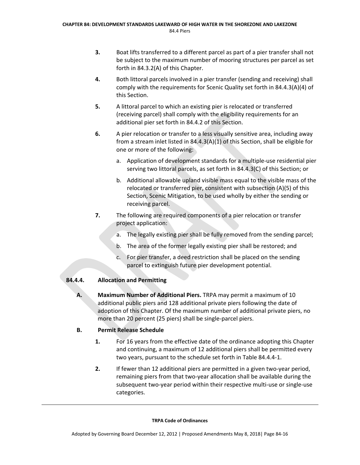- **3.** Boat lifts transferred to a different parcel as part of a pier transfer shall not be subject to the maximum number of mooring structures per parcel as set forth in 84.3.2(A) of this Chapter.
- **4.** Both littoral parcels involved in a pier transfer (sending and receiving) shall comply with the requirements for Scenic Quality set forth in 84.4.3(A)(4) of this Section.
- **5.** A littoral parcel to which an existing pier is relocated or transferred (receiving parcel) shall comply with the eligibility requirements for an additional pier set forth in 84.4.2 of this Section.
- **6.** A pier relocation or transfer to a less visually sensitive area, including away from a stream inlet listed in 84.4.3(A)(1) of this Section, shall be eligible for one or more of the following:
	- a. Application of development standards for a multiple‐use residential pier serving two littoral parcels, as set forth in 84.4.3(C) of this Section; or
	- b. Additional allowable upland visible mass equal to the visible mass of the relocated or transferred pier, consistent with subsection (A)(5) of this Section, Scenic Mitigation, to be used wholly by either the sending or receiving parcel.
- **7.** The following are required components of a pier relocation or transfer project application:
	- a. The legally existing pier shall be fully removed from the sending parcel;
	- b. The area of the former legally existing pier shall be restored; and
	- c. For pier transfer, a deed restriction shall be placed on the sending parcel to extinguish future pier development potential.

# **84.4.4. Allocation and Permitting**

**A. Maximum Number of Additional Piers.** TRPA may permit a maximum of 10 additional public piers and 128 additional private piers following the date of adoption of this Chapter. Of the maximum number of additional private piers, no more than 20 percent (25 piers) shall be single‐parcel piers.

# **B. Permit Release Schedule**

- **1.** For 16 years from the effective date of the ordinance adopting this Chapter and continuing, a maximum of 12 additional piers shall be permitted every two years, pursuant to the schedule set forth in Table 84.4.4‐1.
- **2.** If fewer than 12 additional piers are permitted in a given two-year period, remaining piers from that two-year allocation shall be available during the subsequent two-year period within their respective multi-use or single-use categories.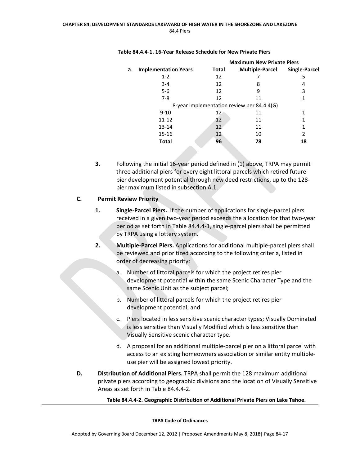|    |                             | <b>Maximum New Private Piers</b> |                                            |                      |
|----|-----------------------------|----------------------------------|--------------------------------------------|----------------------|
| а. | <b>Implementation Years</b> | Total                            | <b>Multiple-Parcel</b>                     | <b>Single-Parcel</b> |
|    | $1 - 2$                     | 12                               |                                            | 5                    |
|    | $3 - 4$                     | 12                               | 8                                          | 4                    |
|    | $5 - 6$                     | 12                               | 9                                          | 3                    |
|    | $7 - 8$                     | 12                               | 11                                         |                      |
|    |                             |                                  | 8-year implementation review per 84.4.4(G) |                      |
|    | $9 - 10$                    | 12                               | 11                                         |                      |
|    | $11 - 12$                   | 12                               | 11                                         |                      |
|    | $13 - 14$                   | 12                               | 11                                         |                      |
|    | $15 - 16$                   | 12                               | 10                                         | 2                    |
|    | Total                       | 96                               | 78                                         | 18                   |
|    |                             |                                  |                                            |                      |

#### **Table 84.4.4‐1. 16‐Year Release Schedule for New Private Piers**

**3.** Following the initial 16‐year period defined in (1) above, TRPA may permit three additional piers for every eight littoral parcels which retired future pier development potential through new deed restrictions, up to the 128‐ pier maximum listed in subsection A.1.

# **C. Permit Review Priority**

- **1. Single‐Parcel Piers.** If the number of applications for single‐parcel piers received in a given two‐year period exceeds the allocation for that two‐year period as set forth in Table 84.4.4‐1, single‐parcel piers shall be permitted by TRPA using a lottery system.
- **2. Multiple‐Parcel Piers.** Applications for additional multiple‐parcel piers shall be reviewed and prioritized according to the following criteria, listed in order of decreasing priority:
	- a. Number of littoral parcels for which the project retires pier development potential within the same Scenic Character Type and the same Scenic Unit as the subject parcel;
	- b. Number of littoral parcels for which the project retires pier development potential; and
	- c. Piers located in less sensitive scenic character types; Visually Dominated is less sensitive than Visually Modified which is less sensitive than Visually Sensitive scenic character type.
	- d. A proposal for an additional multiple‐parcel pier on a littoral parcel with access to an existing homeowners association or similar entity multiple‐ use pier will be assigned lowest priority.
- **D. Distribution of Additional Piers.** TRPA shall permit the 128 maximum additional private piers according to geographic divisions and the location of Visually Sensitive Areas as set forth in Table 84.4.4‐2.

**Table 84.4.4‐2. Geographic Distribution of Additional Private Piers on Lake Tahoe.**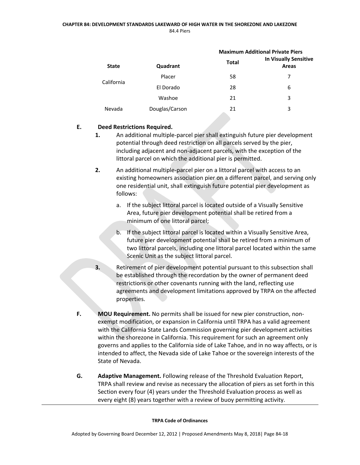#### **CHAPTER 84: DEVELOPMENT STANDARDS LAKEWARD OF HIGH WATER IN THE SHOREZONE AND LAKEZONE** 84.4 Piers

|              |                | <b>Maximum Additional Private Piers</b> |                                              |  |
|--------------|----------------|-----------------------------------------|----------------------------------------------|--|
| <b>State</b> | Quadrant       | <b>Total</b>                            | <b>In Visually Sensitive</b><br><b>Areas</b> |  |
| California   | Placer         | 58                                      | 7                                            |  |
|              | El Dorado      | 28                                      | 6                                            |  |
|              | Washoe         | 21                                      | 3                                            |  |
| Nevada       | Douglas/Carson | 21                                      | 3                                            |  |

# **E. Deed Restrictions Required.**

- **1.** An additional multiple-parcel pier shall extinguish future pier development potential through deed restriction on all parcels served by the pier, including adjacent and non‐adjacent parcels, with the exception of the littoral parcel on which the additional pier is permitted.
- **2.** An additional multiple‐parcel pier on a littoral parcel with access to an existing homeowners association pier on a different parcel, and serving only one residential unit, shall extinguish future potential pier development as follows:
	- a. If the subject littoral parcel is located outside of a Visually Sensitive Area, future pier development potential shall be retired from a minimum of one littoral parcel;
	- b. If the subject littoral parcel is located within a Visually Sensitive Area, future pier development potential shall be retired from a minimum of two littoral parcels, including one littoral parcel located within the same Scenic Unit as the subject littoral parcel.
- **3.** Retirement of pier development potential pursuant to this subsection shall be established through the recordation by the owner of permanent deed restrictions or other covenants running with the land, reflecting use agreements and development limitations approved by TRPA on the affected properties.
- **F. MOU Requirement.** No permits shall be issued for new pier construction, non‐ exempt modification, or expansion in California until TRPA has a valid agreement with the California State Lands Commission governing pier development activities within the shorezone in California. This requirement for such an agreement only governs and applies to the California side of Lake Tahoe, and in no way affects, or is intended to affect, the Nevada side of Lake Tahoe or the sovereign interests of the State of Nevada.
- **G. Adaptive Management.** Following release of the Threshold Evaluation Report, TRPA shall review and revise as necessary the allocation of piers as set forth in this Section every four (4) years under the Threshold Evaluation process as well as every eight (8) years together with a review of buoy permitting activity.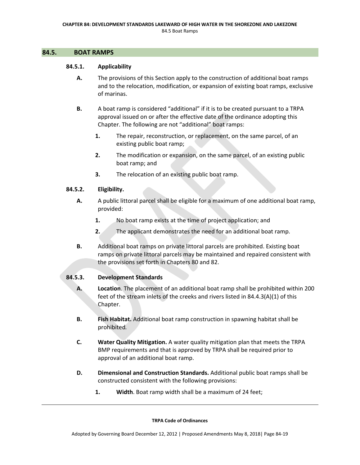#### **84.5. BOAT RAMPS**

### **84.5.1. Applicability**

- **A.** The provisions of this Section apply to the construction of additional boat ramps and to the relocation, modification, or expansion of existing boat ramps, exclusive of marinas.
- **B.** A boat ramp is considered "additional" if it is to be created pursuant to a TRPA approval issued on or after the effective date of the ordinance adopting this Chapter. The following are not "additional" boat ramps:
	- **1.** The repair, reconstruction, or replacement, on the same parcel, of an existing public boat ramp;
	- **2.** The modification or expansion, on the same parcel, of an existing public boat ramp; and
	- **3.** The relocation of an existing public boat ramp.

### **84.5.2. Eligibility.**

- **A.** A public littoral parcel shall be eligible for a maximum of one additional boat ramp, provided:
	- **1.** No boat ramp exists at the time of project application; and
	- **2.** The applicant demonstrates the need for an additional boat ramp.
- **B.** Additional boat ramps on private littoral parcels are prohibited. Existing boat ramps on private littoral parcels may be maintained and repaired consistent with the provisions set forth in Chapters 80 and 82.

# **84.5.3. Development Standards**

- **A. Location**. The placement of an additional boat ramp shall be prohibited within 200 feet of the stream inlets of the creeks and rivers listed in 84.4.3(A)(1) of this Chapter.
- **B. Fish Habitat.** Additional boat ramp construction in spawning habitat shall be prohibited*.*
- **C. Water Quality Mitigation.** A water quality mitigation plan that meets the TRPA BMP requirements and that is approved by TRPA shall be required prior to approval of an additional boat ramp.
- **D. Dimensional and Construction Standards.** Additional public boat ramps shall be constructed consistent with the following provisions:
	- **1. Width**. Boat ramp width shall be a maximum of 24 feet;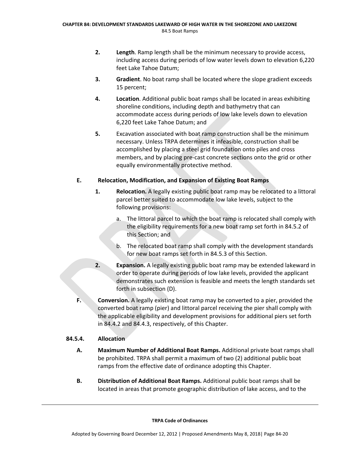- **2. Length**. Ramp length shall be the minimum necessary to provide access, including access during periods of low water levels down to elevation 6,220 feet Lake Tahoe Datum;
- **3. Gradient**. No boat ramp shall be located where the slope gradient exceeds 15 percent;
- **4. Location**. Additional public boat ramps shall be located in areas exhibiting shoreline conditions, including depth and bathymetry that can accommodate access during periods of low lake levels down to elevation 6,220 feet Lake Tahoe Datum; and
- **5.** Excavation associated with boat ramp construction shall be the minimum necessary. Unless TRPA determines it infeasible, construction shall be accomplished by placing a steel grid foundation onto piles and cross members, and by placing pre‐cast concrete sections onto the grid or other equally environmentally protective method.

# **E. Relocation, Modification, and Expansion of Existing Boat Ramps**

- **1. Relocation.** A legally existing public boat ramp may be relocated to a littoral parcel better suited to accommodate low lake levels, subject to the following provisions:
	- a. The littoral parcel to which the boat ramp is relocated shall comply with the eligibility requirements for a new boat ramp set forth in 84.5.2 of this Section; and
	- b. The relocated boat ramp shall comply with the development standards for new boat ramps set forth in 84.5.3 of this Section.
- **2. Expansion.** A legally existing public boat ramp may be extended lakeward in order to operate during periods of low lake levels, provided the applicant demonstrates such extension is feasible and meets the length standards set forth in subsection (D).
- **F. Conversion.** A legally existing boat ramp may be converted to a pier, provided the converted boat ramp (pier) and littoral parcel receiving the pier shall comply with the applicable eligibility and development provisions for additional piers set forth in 84.4.2 and 84.4.3, respectively, of this Chapter.

# **84.5.4. Allocation**

- **A. Maximum Number of Additional Boat Ramps.** Additional private boat ramps shall be prohibited. TRPA shall permit a maximum of two (2) additional public boat ramps from the effective date of ordinance adopting this Chapter.
- **B. Distribution of Additional Boat Ramps.** Additional public boat ramps shall be located in areas that promote geographic distribution of lake access, and to the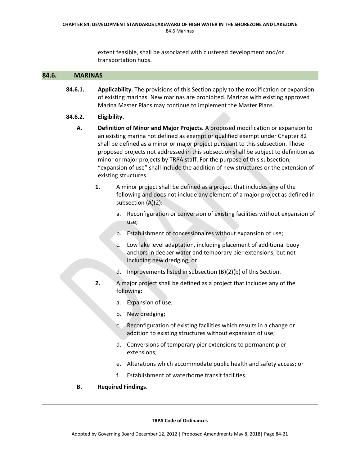extent feasible, shall be associated with clustered development and/or transportation hubs.

### **84.6. MARINAS**

**84.6.1. Applicability.** The provisions of this Section apply to the modification or expansion of existing marinas. New marinas are prohibited. Marinas with existing approved Marina Master Plans may continue to implement the Master Plans.

#### **84.6.2. Eligibility.**

- **A. Definition of Minor and Major Projects.** A proposed modification or expansion to an existing marina not defined as exempt or qualified exempt under Chapter 82 shall be defined as a minor or major project pursuant to this subsection. Those proposed projects not addressed in this subsection shall be subject to definition as minor or major projects by TRPA staff. For the purpose of this subsection, "expansion of use" shall include the addition of new structures or the extension of existing structures.
	- **1.** A minor project shall be defined as a project that includes any of the following and does not include any element of a major project as defined in subsection (A)(2):
		- a. Reconfiguration or conversion of existing facilities without expansion of use;
		- b. Establishment of concessionaires without expansion of use;
		- c. Low lake level adaptation, including placement of additional buoy anchors in deeper water and temporary pier extensions, but not including new dredging; or
		- d. Improvements listed in subsection (B)(2)(b) of this Section.
	- **2.** A major project shall be defined as a project that includes any of the following:
		- a. Expansion of use;
		- b. New dredging;
		- c. Reconfiguration of existing facilities which results in a change or addition to existing structures without expansion of use;
		- d. Conversions of temporary pier extensions to permanent pier extensions;
		- e. Alterations which accommodate public health and safety access; or
		- f. Establishment of waterborne transit facilities.
- **B. Required Findings.**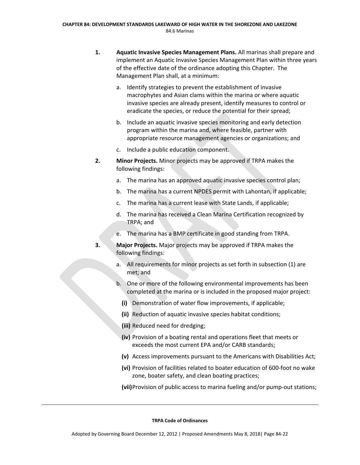- **1. Aquatic Invasive Species Management Plans.** All marinas shall prepare and implement an Aquatic Invasive Species Management Plan within three years of the effective date of the ordinance adopting this Chapter. The Management Plan shall, at a minimum:
	- a. Identify strategies to prevent the establishment of invasive macrophytes and Asian clams within the marina or where aquatic invasive species are already present, identify measures to control or eradicate the species, or reduce the potential for their spread;
	- b. Include an aquatic invasive species monitoring and early detection program within the marina and, where feasible, partner with appropriate resource management agencies or organizations; and
	- c. Include a public education component.
- **2. Minor Projects.** Minor projects may be approved if TRPA makes the following findings:
	- a. The marina has an approved aquatic invasive species control plan;
	- b. The marina has a current NPDES permit with Lahontan, if applicable;
	- c. The marina has a current lease with State Lands, if applicable;
	- d. The marina has received a Clean Marina Certification recognized by TRPA; and
	- e. The marina has a BMP certificate in good standing from TRPA.
- **3. Major Projects.** Major projects may be approved if TRPA makes the following findings:
	- a. All requirements for minor projects as set forth in subsection (1) are met; and
	- b. One or more of the following environmental improvements has been completed at the marina or is included in the proposed major project:
		- **(i)** Demonstration of water flow improvements, if applicable;
		- **(ii)** Reduction of aquatic invasive species habitat conditions;
		- **(iii)** Reduced need for dredging;
		- **(iv)** Provision of a boating rental and operations fleet that meets or exceeds the most current EPA and/or CARB standards;
		- **(v)** Access improvements pursuant to the Americans with Disabilities Act;
		- **(vi)** Provision of facilities related to boater education of 600‐foot no wake zone, boater safety, and clean boating practices;
		- **(vii)**Provision of public access to marina fueling and/or pump‐out stations;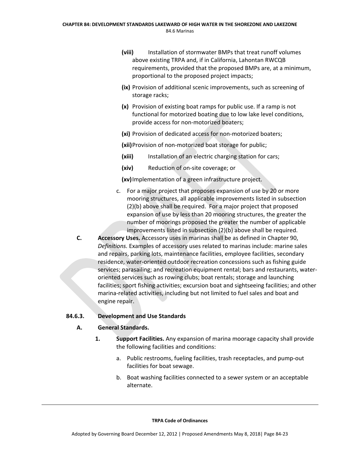- **(viii)** Installation of stormwater BMPs that treat runoff volumes above existing TRPA and, if in California, Lahontan RWCQB requirements, provided that the proposed BMPs are, at a minimum, proportional to the proposed project impacts;
- **(ix)** Provision of additional scenic improvements, such as screening of storage racks;
- **(x)** Provision of existing boat ramps for public use. If a ramp is not functional for motorized boating due to low lake level conditions, provide access for non‐motorized boaters;
- **(xi)** Provision of dedicated access for non‐motorized boaters;

**(xii)**Provision of non‐motorized boat storage for public;

- **(xiii)** Installation of an electric charging station for cars;
- **(xiv)** Reduction of on‐site coverage; or

**(xv)**Implementation of a green infrastructure project.

- c. For a major project that proposes expansion of use by 20 or more mooring structures, all applicable improvements listed in subsection (2)(b) above shall be required. For a major project that proposed expansion of use by less than 20 mooring structures, the greater the number of moorings proposed the greater the number of applicable improvements listed in subsection (2)(b) above shall be required.
- **C. Accessory Uses.** Accessory uses in marinas shall be as defined in Chapter 90, *Definitions.* Examples of accessory uses related to marinas include: marine sales and repairs, parking lots, maintenance facilities, employee facilities, secondary residence, water‐oriented outdoor recreation concessions such as fishing guide services; parasailing; and recreation equipment rental; bars and restaurants, water‐ oriented services such as rowing clubs; boat rentals; storage and launching facilities; sport fishing activities; excursion boat and sightseeing facilities; and other marina‐related activities, including but not limited to fuel sales and boat and engine repair.

#### **84.6.3. Development and Use Standards**

#### **A. General Standards.**

- **1. Support Facilities.** Any expansion of marina moorage capacity shall provide the following facilities and conditions:
	- a. Public restrooms, fueling facilities, trash receptacles, and pump‐out facilities for boat sewage.
	- b. Boat washing facilities connected to a sewer system or an acceptable alternate.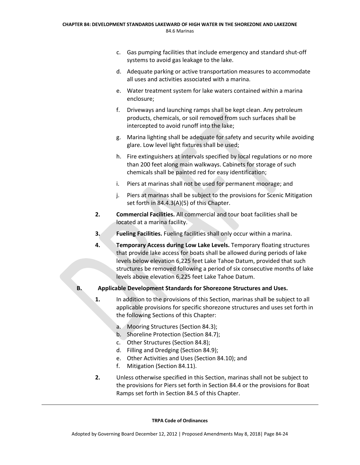- c. Gas pumping facilities that include emergency and standard shut‐off systems to avoid gas leakage to the lake.
- d. Adequate parking or active transportation measures to accommodate all uses and activities associated with a marina.
- e. Water treatment system for lake waters contained within a marina enclosure;
- f. Driveways and launching ramps shall be kept clean. Any petroleum products, chemicals, or soil removed from such surfaces shall be intercepted to avoid runoff into the lake;
- g. Marina lighting shall be adequate for safety and security while avoiding glare. Low level light fixtures shall be used;
- h. Fire extinguishers at intervals specified by local regulations or no more than 200 feet along main walkways. Cabinets for storage of such chemicals shall be painted red for easy identification;
- i. Piers at marinas shall not be used for permanent moorage; and
- j. Piers at marinas shall be subject to the provisions for Scenic Mitigation set forth in 84.4.3(A)(5) of this Chapter.
- **2. Commercial Facilities.** All commercial and tour boat facilities shall be located at a marina facility.
- **3. Fueling Facilities.** Fueling facilities shall only occur within a marina.
- **4. Temporary Access during Low Lake Levels.** Temporary floating structures that provide lake access for boats shall be allowed during periods of lake levels below elevation 6,225 feet Lake Tahoe Datum, provided that such structures be removed following a period of six consecutive months of lake levels above elevation 6,225 feet Lake Tahoe Datum.

# **B. Applicable Development Standards for Shorezone Structures and Uses.**

- **1.** In addition to the provisions of this Section, marinas shall be subject to all applicable provisions for specific shorezone structures and uses set forth in the following Sections of this Chapter:
	- a. Mooring Structures (Section 84.3);
	- b. Shoreline Protection (Section 84.7);
	- c. Other Structures (Section 84.8);
	- d. Filling and Dredging (Section 84.9);
	- e. Other Activities and Uses (Section 84.10); and
	- f. Mitigation (Section 84.11).
- **2.** Unless otherwise specified in this Section, marinas shall not be subject to the provisions for Piers set forth in Section 84.4 or the provisions for Boat Ramps set forth in Section 84.5 of this Chapter.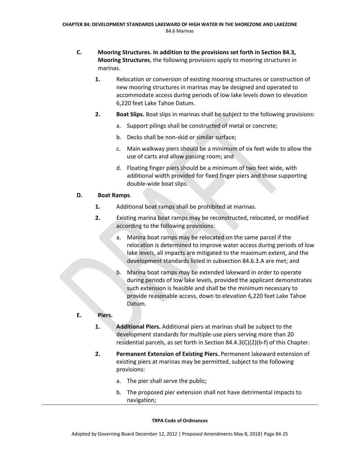- **C. Mooring Structures. In addition to the provisions set forth in Section 84.3, Mooring Structures**, the following provisions apply to mooring structures in marinas.
	- **1.** Relocation or conversion of existing mooring structures or construction of new mooring structures in marinas may be designed and operated to accommodate access during periods of low lake levels down to elevation 6,220 feet Lake Tahoe Datum.
	- **2. Boat Slips.** Boat slips in marinas shall be subject to the following provisions:
		- a. Support pilings shall be constructed of metal or concrete;
		- b. Decks shall be non‐skid or similar surface;
		- c. Main walkway piers should be a minimum of six feet wide to allow the use of carts and allow passing room; and
		- d. Floating finger piers should be a minimum of two feet wide, with additional width provided for fixed finger piers and those supporting double‐wide boat slips.

### **D. Boat Ramps**.

- **1.** Additional boat ramps shall be prohibited at marinas.
- **2.** Existing marina boat ramps may be reconstructed, relocated, or modified according to the following provisions:
	- a. Marina boat ramps may be relocated on the same parcel if the relocation is determined to improve water access during periods of low lake levels, all impacts are mitigated to the maximum extent, and the development standards listed in subsection 84.6.3.A are met; and
	- b. Marina boat ramps may be extended lakeward in order to operate during periods of low lake levels, provided the applicant demonstrates such extension is feasible and shall be the minimum necessary to provide reasonable access, down to elevation 6,220 feet Lake Tahoe Datum.

# **E. Piers.**

- **1. Additional Piers.** Additional piers at marinas shall be subject to the development standards for multiple‐use piers serving more than 20 residential parcels, as set forth in Section 84.4.3(C)(2)(b‐f) of this Chapter.
- **2. Permanent Extension of Existing Piers.** Permanent lakeward extension of existing piers at marinas may be permitted, subject to the following provisions:
	- a. The pier shall serve the public;
	- b. The proposed pier extension shall not have detrimental impacts to navigation;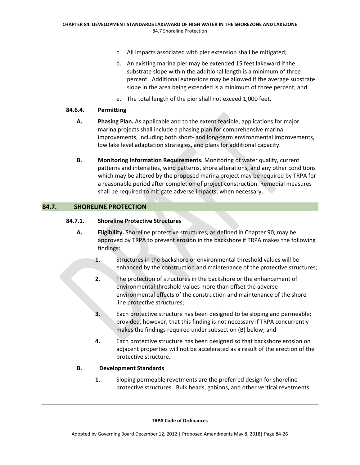- c. All impacts associated with pier extension shall be mitigated;
- d. An existing marina pier may be extended 15 feet lakeward if the substrate slope within the additional length is a minimum of three percent. Additional extensions may be allowed if the average substrate slope in the area being extended is a minimum of three percent; and
- e. The total length of the pier shall not exceed 1,000 feet.

## **84.6.4. Permitting**

- **A. Phasing Plan.** As applicable and to the extent feasible, applications for major marina projects shall include a phasing plan for comprehensive marina improvements, including both short- and long-term environmental improvements, low lake level adaptation strategies, and plans for additional capacity.
- **B. Monitoring Information Requirements.** Monitoring of water quality, current patterns and intensities, wind patterns, shore alterations, and any other conditions which may be altered by the proposed marina project may be required by TRPA for a reasonable period after completion of project construction. Remedial measures shall be required to mitigate adverse impacts, when necessary.

# **84.7. SHORELINE PROTECTION**

# **84.7.1. Shoreline Protective Structures**

- **A. Eligibility.** Shoreline protective structures, as defined in Chapter 90, may be approved by TRPA to prevent erosion in the backshore if TRPA makes the following findings:
	- **1.** Structures in the backshore or environmental threshold values will be enhanced by the construction and maintenance of the protective structures;
	- **2.** The protection of structures in the backshore or the enhancement of environmental threshold values more than offset the adverse environmental effects of the construction and maintenance of the shore line protective structures;
	- **3.** Each protective structure has been designed to be sloping and permeable; provided, however, that this finding is not necessary if TRPA concurrently makes the findings required under subsection (B) below; and
	- **4.** Each protective structure has been designed so that backshore erosion on adjacent properties will not be accelerated as a result of the erection of the protective structure.

# **B. Development Standards**

**1.** Sloping permeable revetments are the preferred design for shoreline protective structures. Bulk heads, gabions, and other vertical revetments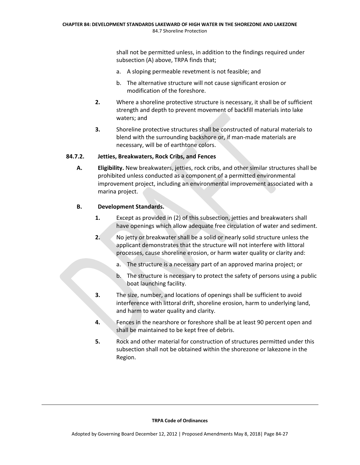shall not be permitted unless, in addition to the findings required under subsection (A) above, TRPA finds that;

- a. A sloping permeable revetment is not feasible; and
- b. The alternative structure will not cause significant erosion or modification of the foreshore.
- **2.** Where a shoreline protective structure is necessary, it shall be of sufficient strength and depth to prevent movement of backfill materials into lake waters; and
- **3.** Shoreline protective structures shall be constructed of natural materials to blend with the surrounding backshore or, if man‐made materials are necessary, will be of earthtone colors.

## **84.7.2. Jetties, Breakwaters, Rock Cribs, and Fences**

**A. Eligibility.** New breakwaters, jetties, rock cribs, and other similar structures shall be prohibited unless conducted as a component of a permitted environmental improvement project, including an environmental improvement associated with a marina project.

## **B. Development Standards.**

- **1.** Except as provided in (2) of this subsection, jetties and breakwaters shall have openings which allow adequate free circulation of water and sediment.
- **2.** No jetty or breakwater shall be a solid or nearly solid structure unless the applicant demonstrates that the structure will not interfere with littoral processes, cause shoreline erosion, or harm water quality or clarity and:
	- a. The structure is a necessary part of an approved marina project; or
	- b. The structure is necessary to protect the safety of persons using a public boat launching facility.
- **3.** The size, number, and locations of openings shall be sufficient to avoid interference with littoral drift, shoreline erosion, harm to underlying land, and harm to water quality and clarity.
- **4.** Fences in the nearshore or foreshore shall be at least 90 percent open and shall be maintained to be kept free of debris.
- **5.** Rock and other material for construction of structures permitted under this subsection shall not be obtained within the shorezone or lakezone in the Region.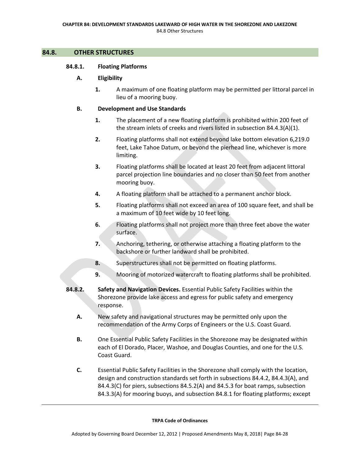## **84.8. OTHER STRUCTURES**

## **84.8.1. Floating Platforms**

## **A. Eligibility**

**1.** A maximum of one floating platform may be permitted per littoral parcel in lieu of a mooring buoy.

## **B. Development and Use Standards**

- **1.** The placement of a new floating platform is prohibited within 200 feet of the stream inlets of creeks and rivers listed in subsection 84.4.3(A)(1).
- **2.** Floating platforms shall not extend beyond lake bottom elevation 6,219.0 feet, Lake Tahoe Datum, or beyond the pierhead line, whichever is more limiting.
- **3.** Floating platforms shall be located at least 20 feet from adjacent littoral parcel projection line boundaries and no closer than 50 feet from another mooring buoy.
- **4.** A floating platform shall be attached to a permanent anchor block.
- **5.** Floating platforms shall not exceed an area of 100 square feet, and shall be a maximum of 10 feet wide by 10 feet long.
- **6.** Floating platforms shall not project more than three feet above the water surface.
- **7.** Anchoring, tethering, or otherwise attaching a floating platform to the backshore or further landward shall be prohibited.
- **8.** Superstructures shall not be permitted on floating platforms.
- **9.** Mooring of motorized watercraft to floating platforms shall be prohibited.
- **84.8.2. Safety and Navigation Devices.** Essential Public Safety Facilities within the Shorezone provide lake access and egress for public safety and emergency response.
	- **A.** New safety and navigational structures may be permitted only upon the recommendation of the Army Corps of Engineers or the U.S. Coast Guard.
	- **B.** One Essential Public Safety Facilities in the Shorezone may be designated within each of El Dorado, Placer, Washoe, and Douglas Counties, and one for the U.S. Coast Guard.
	- **C.** Essential Public Safety Facilities in the Shorezone shall comply with the location, design and construction standards set forth in subsections 84.4.2, 84.4.3(A), and 84.4.3(C) for piers, subsections 84.5.2(A) and 84.5.3 for boat ramps, subsection 84.3.3(A) for mooring buoys, and subsection 84.8.1 for floating platforms; except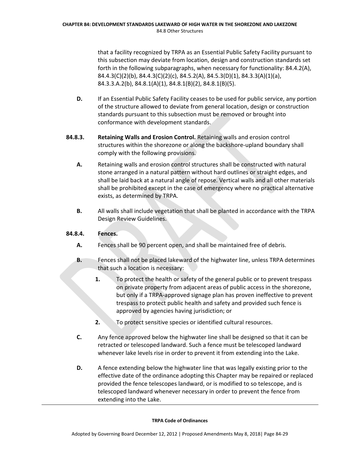that a facility recognized by TRPA as an Essential Public Safety Facility pursuant to this subsection may deviate from location, design and construction standards set forth in the following subparagraphs, when necessary for functionality: 84.4.2(A), 84.4.3(C)(2)(b), 84.4.3(C)(2)(c), 84.5.2(A), 84.5.3(D)(1), 84.3.3(A)(1)(a), 84.3.3.A.2(b), 84.8.1(A)(1), 84.8.1(B)(2), 84.8.1(B)(5).

- **D.** If an Essential Public Safety Facility ceases to be used for public service, any portion of the structure allowed to deviate from general location, design or construction standards pursuant to this subsection must be removed or brought into conformance with development standards.
- **84.8.3. Retaining Walls and Erosion Control.** Retaining walls and erosion control structures within the shorezone or along the backshore‐upland boundary shall comply with the following provisions.
	- **A.** Retaining walls and erosion control structures shall be constructed with natural stone arranged in a natural pattern without hard outlines or straight edges, and shall be laid back at a natural angle of repose. Vertical walls and all other materials shall be prohibited except in the case of emergency where no practical alternative exists, as determined by TRPA.
	- **B.** All walls shall include vegetation that shall be planted in accordance with the TRPA Design Review Guidelines.

# **84.8.4. Fences.**

- **A.** Fences shall be 90 percent open, and shall be maintained free of debris.
- **B.** Fences shall not be placed lakeward of the highwater line, unless TRPA determines that such a location is necessary:
	- **1.** To protect the health or safety of the general public or to prevent trespass on private property from adjacent areas of public access in the shorezone, but only if a TRPA‐approved signage plan has proven ineffective to prevent trespass to protect public health and safety and provided such fence is approved by agencies having jurisdiction; or
	- **2.** To protect sensitive species or identified cultural resources.
- **C.** Any fence approved below the highwater line shall be designed so that it can be retracted or telescoped landward. Such a fence must be telescoped landward whenever lake levels rise in order to prevent it from extending into the Lake.
- **D.** A fence extending below the highwater line that was legally existing prior to the effective date of the ordinance adopting this Chapter may be repaired or replaced provided the fence telescopes landward, or is modified to so telescope, and is telescoped landward whenever necessary in order to prevent the fence from extending into the Lake.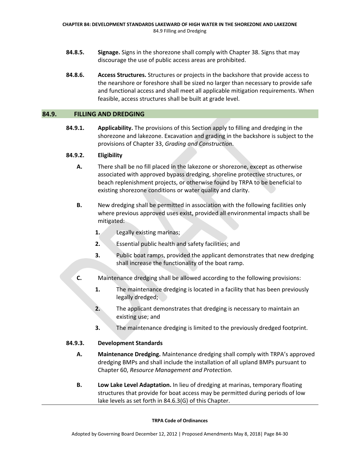- **84.8.5. Signage.** Signs in the shorezone shall comply with Chapter 38. Signs that may discourage the use of public access areas are prohibited.
- **84.8.6. Access Structures.** Structures or projects in the backshore that provide access to the nearshore or foreshore shall be sized no larger than necessary to provide safe and functional access and shall meet all applicable mitigation requirements. When feasible, access structures shall be built at grade level.

## **84.9. FILLING AND DREDGING**

**84.9.1. Applicability.** The provisions of this Section apply to filling and dredging in the shorezone and lakezone. Excavation and grading in the backshore is subject to the provisions of Chapter 33, *Grading and Construction*.

## **84.9.2. Eligibility**

- **A.** There shall be no fill placed in the lakezone or shorezone, except as otherwise associated with approved bypass dredging, shoreline protective structures, or beach replenishment projects, or otherwise found by TRPA to be beneficial to existing shorezone conditions or water quality and clarity.
- **B.** New dredging shall be permitted in association with the following facilities only where previous approved uses exist, provided all environmental impacts shall be mitigated:
	- **1.** Legally existing marinas;
	- **2.** Essential public health and safety facilities; and
	- **3.** Public boat ramps, provided the applicant demonstrates that new dredging shall increase the functionality of the boat ramp.
- **C.** Maintenance dredging shall be allowed according to the following provisions:
	- **1.** The maintenance dredging is located in a facility that has been previously legally dredged;
	- **2.** The applicant demonstrates that dredging is necessary to maintain an existing use; and
	- **3.** The maintenance dredging is limited to the previously dredged footprint.

# **84.9.3. Development Standards**

- **A. Maintenance Dredging.** Maintenance dredging shall comply with TRPA's approved dredging BMPs and shall include the installation of all upland BMPs pursuant to Chapter 60, *Resource Management and Protection.*
- **B. Low Lake Level Adaptation.** In lieu of dredging at marinas, temporary floating structures that provide for boat access may be permitted during periods of low lake levels as set forth in 84.6.3(G) of this Chapter.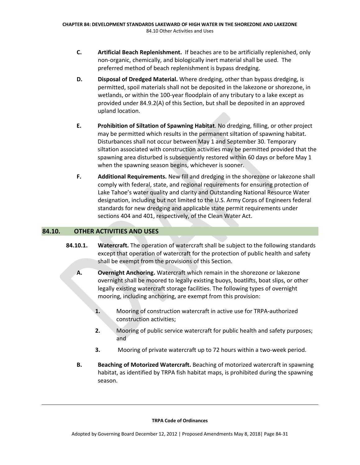- **C. Artificial Beach Replenishment.** If beaches are to be artificially replenished, only non‐organic, chemically, and biologically inert material shall be used. The preferred method of beach replenishment is bypass dredging.
- **D. Disposal of Dredged Material.** Where dredging, other than bypass dredging, is permitted, spoil materials shall not be deposited in the lakezone or shorezone, in wetlands, or within the 100-year floodplain of any tributary to a lake except as provided under 84.9.2(A) of this Section, but shall be deposited in an approved upland location.
- **E. Prohibition of Siltation of Spawning Habitat**. No dredging, filling, or other project may be permitted which results in the permanent siltation of spawning habitat. Disturbances shall not occur between May 1 and September 30. Temporary siltation associated with construction activities may be permitted provided that the spawning area disturbed is subsequently restored within 60 days or before May 1 when the spawning season begins, whichever is sooner.
- **F. Additional Requirements.** New fill and dredging in the shorezone or lakezone shall comply with federal, state, and regional requirements for ensuring protection of Lake Tahoe's water quality and clarity and Outstanding National Resource Water designation, including but not limited to the U.S. Army Corps of Engineers federal standards for new dredging and applicable state permit requirements under sections 404 and 401, respectively, of the Clean Water Act.

# **84.10. OTHER ACTIVITIES AND USES**

- **84.10.1. Watercraft.** The operation of watercraft shall be subject to the following standards except that operation of watercraft for the protection of public health and safety shall be exempt from the provisions of this Section.
	- **A. Overnight Anchoring.** Watercraft which remain in the shorezone or lakezone overnight shall be moored to legally existing buoys, boatlifts, boat slips, or other legally existing watercraft storage facilities. The following types of overnight mooring, including anchoring, are exempt from this provision:
		- 1. Mooring of construction watercraft in active use for TRPA-authorized construction activities;
		- **2.** Mooring of public service watercraft for public health and safety purposes; and
		- **3.** Mooring of private watercraft up to 72 hours within a two-week period.
	- **B. Beaching of Motorized Watercraft.** Beaching of motorized watercraft in spawning habitat, as identified by TRPA fish habitat maps, is prohibited during the spawning season.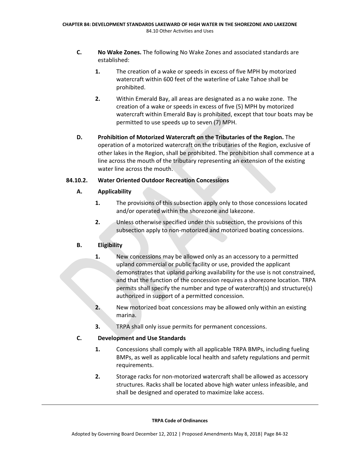- **C. No Wake Zones.** The following No Wake Zones and associated standards are established:
	- **1.** The creation of a wake or speeds in excess of five MPH by motorized watercraft within 600 feet of the waterline of Lake Tahoe shall be prohibited.
	- **2.** Within Emerald Bay, all areas are designated as a no wake zone. The creation of a wake or speeds in excess of five (5) MPH by motorized watercraft within Emerald Bay is prohibited, except that tour boats may be permitted to use speeds up to seven (7) MPH.
- **D. Prohibition of Motorized Watercraft on the Tributaries of the Region.** The operation of a motorized watercraft on the tributaries of the Region, exclusive of other lakes in the Region, shall be prohibited. The prohibition shall commence at a line across the mouth of the tributary representing an extension of the existing water line across the mouth.

# **84.10.2. Water Oriented Outdoor Recreation Concessions**

# **A. Applicability**

- **1.** The provisions of this subsection apply only to those concessions located and/or operated within the shorezone and lakezone.
- **2.** Unless otherwise specified under this subsection, the provisions of this subsection apply to non‐motorized and motorized boating concessions.

# **B. Eligibility**

- **1.** New concessions may be allowed only as an accessory to a permitted upland commercial or public facility or use, provided the applicant demonstrates that upland parking availability for the use is not constrained, and that the function of the concession requires a shorezone location. TRPA permits shall specify the number and type of watercraft(s) and structure(s) authorized in support of a permitted concession.
- **2.** New motorized boat concessions may be allowed only within an existing marina.
- **3.** TRPA shall only issue permits for permanent concessions.

# **C. Development and Use Standards**

- **1.** Concessions shall comply with all applicable TRPA BMPs, including fueling BMPs, as well as applicable local health and safety regulations and permit requirements.
- **2.** Storage racks for non-motorized watercraft shall be allowed as accessory structures. Racks shall be located above high water unless infeasible, and shall be designed and operated to maximize lake access.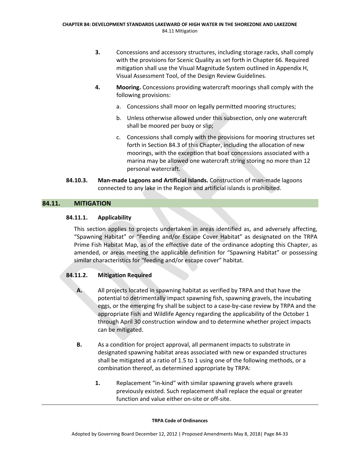- **3.** Concessions and accessory structures, including storage racks, shall comply with the provisions for Scenic Quality as set forth in Chapter 66. Required mitigation shall use the Visual Magnitude System outlined in Appendix H, Visual Assessment Tool, of the Design Review Guidelines.
- **4. Mooring.** Concessions providing watercraft moorings shall comply with the following provisions:
	- a. Concessions shall moor on legally permitted mooring structures;
	- b. Unless otherwise allowed under this subsection, only one watercraft shall be moored per buoy or slip;
	- c. Concessions shall comply with the provisions for mooring structures set forth in Section 84.3 of this Chapter, including the allocation of new moorings, with the exception that boat concessions associated with a marina may be allowed one watercraft string storing no more than 12 personal watercraft.
- **84.10.3. Man‐made Lagoons and Artificial Islands.** Construction of man‐made lagoons connected to any lake in the Region and artificial islands is prohibited.

# **84.11. MITIGATION**

# **84.11.1. Applicability**

This section applies to projects undertaken in areas identified as, and adversely affecting, "Spawning Habitat" or "Feeding and/or Escape Cover Habitat" as designated on the TRPA Prime Fish Habitat Map, as of the effective date of the ordinance adopting this Chapter, as amended, or areas meeting the applicable definition for "Spawning Habitat" or possessing similar characteristics for "feeding and/or escape cover" habitat.

# **84.11.2. Mitigation Required**

- **A.** All projects located in spawning habitat as verified by TRPA and that have the potential to detrimentally impact spawning fish, spawning gravels, the incubating eggs, or the emerging fry shall be subject to a case‐by‐case review by TRPA and the appropriate Fish and Wildlife Agency regarding the applicability of the October 1 through April 30 construction window and to determine whether project impacts can be mitigated.
- **B.** As a condition for project approval, all permanent impacts to substrate in designated spawning habitat areas associated with new or expanded structures shall be mitigated at a ratio of 1.5 to 1 using one of the following methods, or a combination thereof, as determined appropriate by TRPA:
	- **1.** Replacement "in‐kind" with similar spawning gravels where gravels previously existed. Such replacement shall replace the equal or greater function and value either on‐site or off‐site.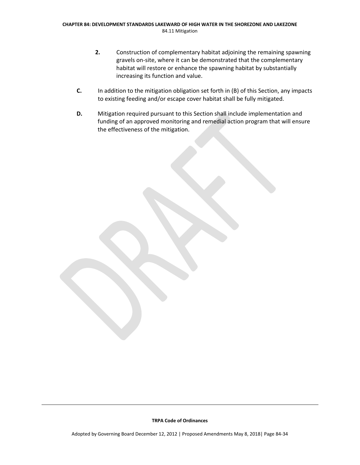- **2.** Construction of complementary habitat adjoining the remaining spawning gravels on‐site, where it can be demonstrated that the complementary habitat will restore or enhance the spawning habitat by substantially increasing its function and value.
- **C.** In addition to the mitigation obligation set forth in (B) of this Section, any impacts to existing feeding and/or escape cover habitat shall be fully mitigated.
- **D.** Mitigation required pursuant to this Section shall include implementation and funding of an approved monitoring and remedial action program that will ensure the effectiveness of the mitigation.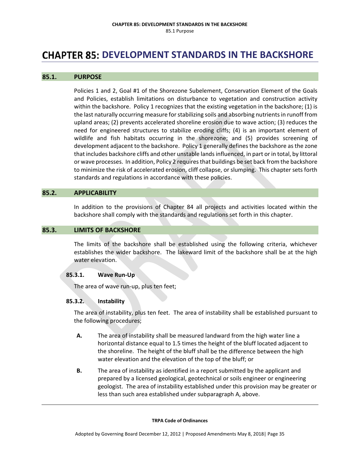# **CHAPTER 85: DEVELOPMENT STANDARDS IN THE BACKSHORE**

## **85.1. PURPOSE**

Policies 1 and 2, Goal #1 of the Shorezone Subelement, Conservation Element of the Goals and Policies, establish limitations on disturbance to vegetation and construction activity within the backshore. Policy 1 recognizes that the existing vegetation in the backshore; (1) is the last naturally occurring measure forstabilizing soils and absorbing nutrientsin runoff from upland areas; (2) prevents accelerated shoreline erosion due to wave action; (3) reduces the need for engineered structures to stabilize eroding cliffs; (4) is an important element of wildlife and fish habitats occurring in the shorezone; and (5) provides screening of development adjacent to the backshore. Policy 1 generally defines the backshore as the zone that includes backshore cliffs and other unstable landsinfluenced, in part or in total, by littoral or wave processes. In addition, Policy 2 requires that buildings be set back from the backshore to minimize the risk of accelerated erosion, cliff collapse, or slumping. This chapter sets forth standards and regulations in accordance with these policies.

#### **85.2. APPLICABILITY**

In addition to the provisions of Chapter 84 all projects and activities located within the backshore shall comply with the standards and regulations set forth in this chapter.

## **85.3. LIMITS OF BACKSHORE**

The limits of the backshore shall be established using the following criteria, whichever establishes the wider backshore. The lakeward limit of the backshore shall be at the high water elevation.

#### **85.3.1. Wave Run‐Up**

The area of wave run-up, plus ten feet;

#### **85.3.2. Instability**

The area of instability, plus ten feet. The area of instability shall be established pursuant to the following procedures;

- **A.** The area of instability shall be measured landward from the high water line a horizontal distance equal to 1.5 times the height of the bluff located adjacent to the shoreline. The height of the bluff shall be the difference between the high water elevation and the elevation of the top of the bluff; or
- **B.** The area of instability as identified in a report submitted by the applicant and prepared by a licensed geological, geotechnical or soils engineer or engineering geologist. The area of instability established under this provision may be greater or less than such area established under subparagraph A, above.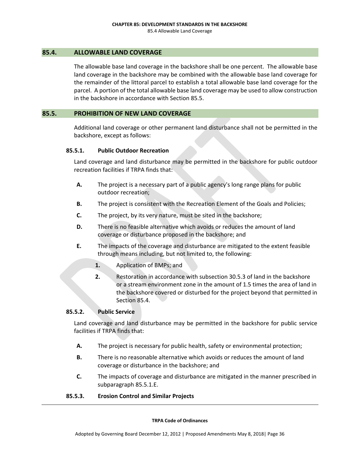## **85.4. ALLOWABLE LAND COVERAGE**

The allowable base land coverage in the backshore shall be one percent. The allowable base land coverage in the backshore may be combined with the allowable base land coverage for the remainder of the littoral parcel to establish a total allowable base land coverage for the parcel. A portion of the total allowable base land coverage may be used to allow construction in the backshore in accordance with Section 85.5.

## **85.5. PROHIBITION OF NEW LAND COVERAGE**

Additional land coverage or other permanent land disturbance shall not be permitted in the backshore, except as follows:

## **85.5.1. Public Outdoor Recreation**

Land coverage and land disturbance may be permitted in the backshore for public outdoor recreation facilities if TRPA finds that:

- **A.** The project is a necessary part of a public agency's long range plans for public outdoor recreation;
- **B.** The project is consistent with the Recreation Element of the Goals and Policies;
- **C.** The project, by its very nature, must be sited in the backshore;
- **D.** There is no feasible alternative which avoids or reduces the amount of land coverage or disturbance proposed in the backshore; and
- **E.** The impacts of the coverage and disturbance are mitigated to the extent feasible through means including, but not limited to, the following:
	- **1.** Application of BMPs; and
	- **2.** Restoration in accordance with subsection 30.5.3 of land in the backshore or a stream environment zone in the amount of 1.5 times the area of land in the backshore covered or disturbed for the project beyond that permitted in Section 85.4.

# **85.5.2. Public Service**

Land coverage and land disturbance may be permitted in the backshore for public service facilities if TRPA finds that:

- **A.** The project is necessary for public health, safety or environmental protection;
- **B.** There is no reasonable alternative which avoids or reduces the amount of land coverage or disturbance in the backshore; and
- **C.** The impacts of coverage and disturbance are mitigated in the manner prescribed in subparagraph 85.5.1.E.
- **85.5.3. Erosion Control and Similar Projects**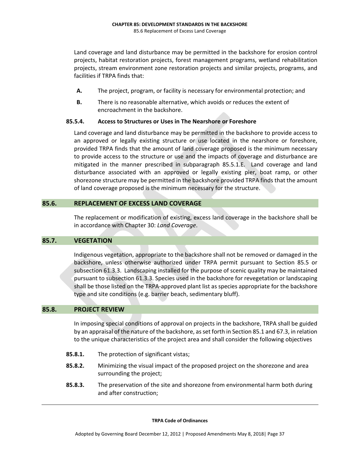Land coverage and land disturbance may be permitted in the backshore for erosion control projects, habitat restoration projects, forest management programs, wetland rehabilitation projects, stream environment zone restoration projects and similar projects, programs, and facilities if TRPA finds that:

- **A.** The project, program, or facility is necessary for environmental protection; and
- **B.** There is no reasonable alternative, which avoids or reduces the extent of encroachment in the backshore.

## **85.5.4. Access to Structures or Uses in The Nearshore or Foreshore**

Land coverage and land disturbance may be permitted in the backshore to provide access to an approved or legally existing structure or use located in the nearshore or foreshore, provided TRPA finds that the amount of land coverage proposed is the minimum necessary to provide access to the structure or use and the impacts of coverage and disturbance are mitigated in the manner prescribed in subparagraph 85.5.1.E. Land coverage and land disturbance associated with an approved or legally existing pier, boat ramp, or other shorezone structure may be permitted in the backshore provided TRPA finds that the amount of land coverage proposed is the minimum necessary for the structure.

# **85.6. REPLACEMENT OF EXCESS LAND COVERAGE**

The replacement or modification of existing, excess land coverage in the backshore shall be in accordance with Chapter 30: *Land Coverage*.

# **85.7. VEGETATION**

Indigenous vegetation, appropriate to the backshore shall not be removed or damaged in the backshore, unless otherwise authorized under TRPA permit pursuant to Section 85.5 or subsection 61.3.3. Landscaping installed for the purpose of scenic quality may be maintained pursuant to subsection 61.3.3. Species used in the backshore for revegetation or landscaping shall be those listed on the TRPA‐approved plant list as species appropriate for the backshore type and site conditions (e.g. barrier beach, sedimentary bluff).

## **85.8. PROJECT REVIEW**

In imposing special conditions of approval on projects in the backshore, TRPA shall be guided by an appraisal of the nature of the backshore, asset forth in Section 85.1 and 67.3, in relation to the unique characteristics of the project area and shall consider the following objectives

- **85.8.1.** The protection of significant vistas;
- **85.8.2.** Minimizing the visual impact of the proposed project on the shorezone and area surrounding the project;
- **85.8.3.** The preservation of the site and shorezone from environmental harm both during and after construction;